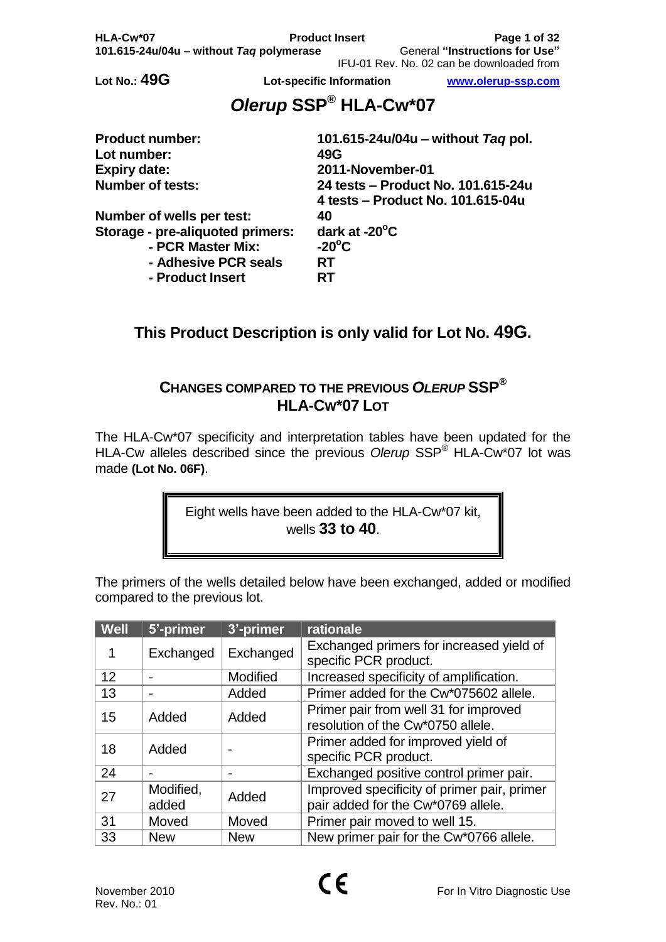# *Olerup* **SSP® HLA-Cw\*07**

**Lot number: 49G**

**Product number: 101.615-24u/04u – without** *Taq* **pol. Expiry date: 2011-November-01 Number of tests: 24 tests – Product No. 101.615-24u 4 tests – Product No. 101.615-04u**

**Number of wells per test: 40 Storage - pre-aliquoted primers: dark at -20<sup>o</sup>C**

- **- PCR Master Mix: -20<sup>o</sup>C**
- **- Adhesive PCR seals RT**
- **- Product Insert RT**

**This Product Description is only valid for Lot No. 49G.**

## **CHANGES COMPARED TO THE PREVIOUS** *OLERUP* **SSP® HLA-CW\*07 LOT**

The HLA-Cw\*07 specificity and interpretation tables have been updated for the HLA-Cw alleles described since the previous *Olerup* SSP® HLA-Cw\*07 lot was made **(Lot No. 06F)**.

> Eight wells have been added to the HLA-Cw\*07 kit, wells **33 to 40**.

The primers of the wells detailed below have been exchanged, added or modified compared to the previous lot.

| <b>Well</b> | 5'-primer  | 3'-primer  | rationale                                   |
|-------------|------------|------------|---------------------------------------------|
|             | Exchanged  | Exchanged  | Exchanged primers for increased yield of    |
|             |            |            | specific PCR product.                       |
| 12          |            | Modified   | Increased specificity of amplification.     |
| 13          |            | Added      | Primer added for the Cw*075602 allele.      |
| 15          |            | Added      | Primer pair from well 31 for improved       |
| Added       |            |            | resolution of the Cw*0750 allele.           |
| 18          | Added      |            | Primer added for improved yield of          |
|             |            |            | specific PCR product.                       |
| 24          |            |            | Exchanged positive control primer pair.     |
| 27          | Modified,  | Added      | Improved specificity of primer pair, primer |
|             | added      |            | pair added for the Cw*0769 allele.          |
| 31          | Moved      | Moved      | Primer pair moved to well 15.               |
| 33          | <b>New</b> | <b>New</b> | New primer pair for the Cw*0766 allele.     |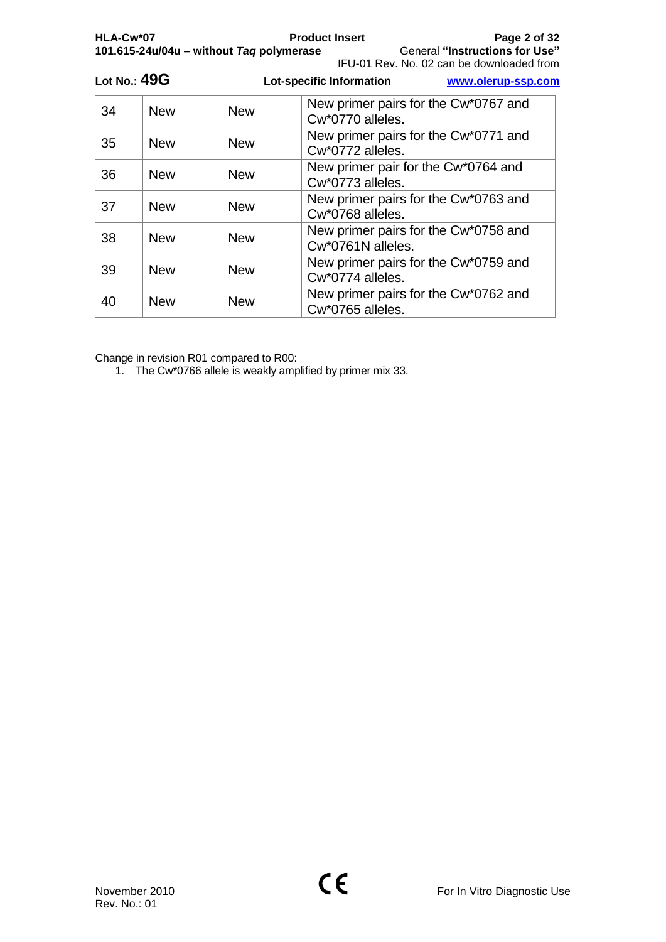| HLA-Cw*07<br>101.615-24u/04u - without Tag polymerase |                |            | <b>Product Insert</b>                                   | Page 2 of 32<br><b>General "Instructions for Use"</b><br>IFU-01 Rev. No. 02 can be downloaded from |
|-------------------------------------------------------|----------------|------------|---------------------------------------------------------|----------------------------------------------------------------------------------------------------|
|                                                       | Lot No.: $49G$ |            | <b>Lot-specific Information</b>                         | www.olerup-ssp.com                                                                                 |
| 34                                                    | <b>New</b>     | <b>New</b> | Cw*0770 alleles.                                        | New primer pairs for the Cw*0767 and                                                               |
| 35                                                    | <b>New</b>     | <b>New</b> | Cw*0772 alleles.                                        | New primer pairs for the Cw*0771 and                                                               |
| 36                                                    | <b>New</b>     | <b>New</b> | New primer pair for the Cw*0764 and<br>Cw*0773 alleles. |                                                                                                    |
| 37                                                    | <b>New</b>     | <b>New</b> | Cw*0768 alleles.                                        | New primer pairs for the Cw*0763 and                                                               |
| 38                                                    | <b>New</b>     | <b>New</b> | Cw*0761N alleles.                                       | New primer pairs for the Cw*0758 and                                                               |
| 39                                                    | <b>New</b>     | <b>New</b> | Cw*0774 alleles.                                        | New primer pairs for the Cw*0759 and                                                               |
| 40                                                    | <b>New</b>     | <b>New</b> | Cw*0765 alleles.                                        | New primer pairs for the Cw*0762 and                                                               |

Change in revision R01 compared to R00:

1. The Cw\*0766 allele is weakly amplified by primer mix 33.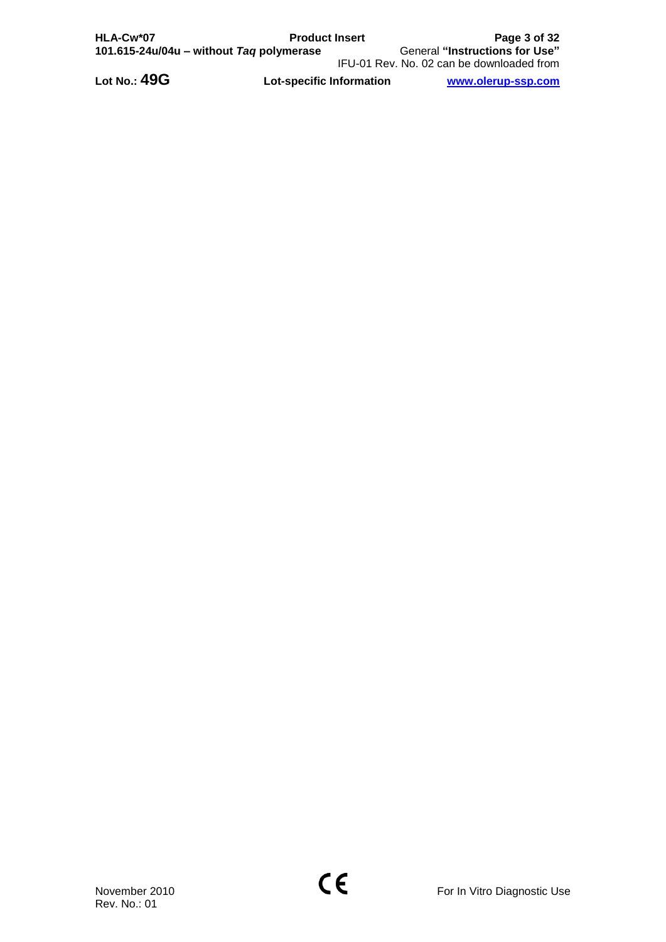| HLA-Cw*07                                | <b>Product Insert</b>    | Page 3 of 32                              |  |
|------------------------------------------|--------------------------|-------------------------------------------|--|
| 101.615-24u/04u - without Tag polymerase |                          | <b>General "Instructions for Use"</b>     |  |
|                                          |                          | IFU-01 Rev. No. 02 can be downloaded from |  |
| Lot No.: $49G$                           | Lot-specific Information | www.olerup-ssp.com                        |  |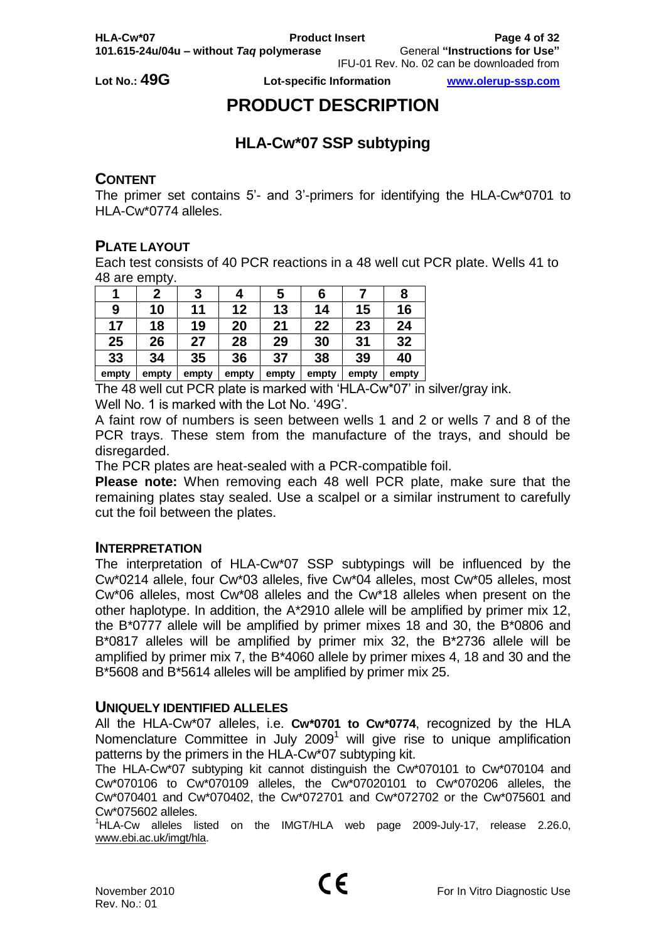## **PRODUCT DESCRIPTION**

## **HLA-Cw\*07 SSP subtyping**

### **CONTENT**

The primer set contains 5'- and 3'-primers for identifying the HLA-Cw\*0701 to HLA-Cw<sup>\*</sup>0774 alleles.

## **PLATE LAYOUT**

Each test consists of 40 PCR reactions in a 48 well cut PCR plate. Wells 41 to 48 are empty.

|       |       | 3     |       | 5     | 6     |       | 8     |
|-------|-------|-------|-------|-------|-------|-------|-------|
| 9     | 10    | 11    | 12    | 13    | 14    | 15    | 16    |
| 17    | 18    | 19    | 20    | 21    | 22    | 23    | 24    |
| 25    | 26    | 27    | 28    | 29    | 30    | 31    | 32    |
| 33    | 34    | 35    | 36    | 37    | 38    | 39    | 40    |
| empty | empty | empty | empty | empty | empty | empty | empty |

The 48 well cut PCR plate is marked with 'HLA-Cw\*07' in silver/gray ink.

Well No. 1 is marked with the Lot No. '49G'.

A faint row of numbers is seen between wells 1 and 2 or wells 7 and 8 of the PCR trays. These stem from the manufacture of the trays, and should be disregarded.

The PCR plates are heat-sealed with a PCR-compatible foil.

**Please note:** When removing each 48 well PCR plate, make sure that the remaining plates stay sealed. Use a scalpel or a similar instrument to carefully cut the foil between the plates.

### **INTERPRETATION**

The interpretation of HLA-Cw\*07 SSP subtypings will be influenced by the Cw\*0214 allele, four Cw\*03 alleles, five Cw\*04 alleles, most Cw\*05 alleles, most Cw\*06 alleles, most Cw\*08 alleles and the Cw\*18 alleles when present on the other haplotype. In addition, the A\*2910 allele will be amplified by primer mix 12, the B\*0777 allele will be amplified by primer mixes 18 and 30, the B\*0806 and B\*0817 alleles will be amplified by primer mix 32, the B\*2736 allele will be amplified by primer mix 7, the B\*4060 allele by primer mixes 4, 18 and 30 and the B\*5608 and B\*5614 alleles will be amplified by primer mix 25.

## **UNIQUELY IDENTIFIED ALLELES**

All the HLA-Cw\*07 alleles, i.e. **Cw\*0701 to Cw\*0774**, recognized by the HLA Nomenclature Committee in July 2009<sup>1</sup> will give rise to unique amplification patterns by the primers in the HLA-Cw\*07 subtyping kit.

The HLA-Cw\*07 subtyping kit cannot distinguish the Cw\*070101 to Cw\*070104 and Cw\*070106 to Cw\*070109 alleles, the Cw\*07020101 to Cw\*070206 alleles, the Cw\*070401 and Cw\*070402, the Cw\*072701 and Cw\*072702 or the Cw\*075601 and Cw\*075602 alleles.

 $1$ HLA-Cw alleles listed on the IMGT/HLA web page 2009-July-17, release 2.26.0, [www.ebi.ac.uk/imgt/hla.](http://www.ebi.ac.uk/imgt/hla)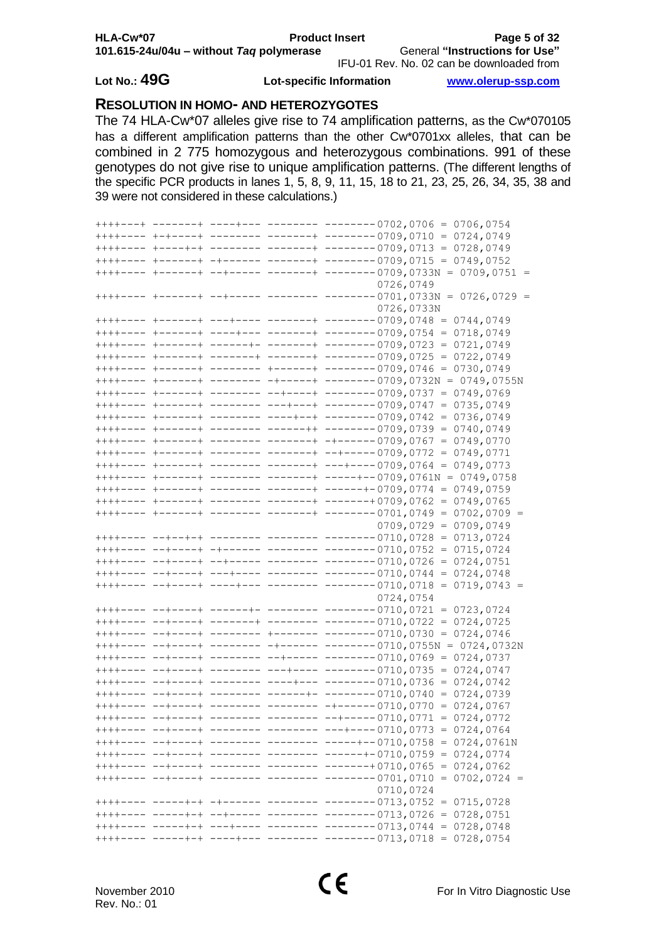**Lot No.: 49G Lot-specific Information www.olerup-ssp.com**

### **RESOLUTION IN HOMO- AND HETEROZYGOTES**

The 74 HLA-Cw\*07 alleles give rise to 74 amplification patterns, as the Cw\*070105 has a different amplification patterns than the other Cw\*0701xx alleles, that can be combined in 2 775 homozygous and heterozygous combinations. 991 of these genotypes do not give rise to unique amplification patterns. (The different lengths of the specific PCR products in lanes 1, 5, 8, 9, 11, 15, 18 to 21, 23, 25, 26, 34, 35, 38 and 39 were not considered in these calculations.)

|  |  | $++++---+---++------------+---0709,0713 = 0728,0749$                            |
|--|--|---------------------------------------------------------------------------------|
|  |  | $++++----+------+$ -+------ -------+ -------- 0709,0715 = 0749,0752             |
|  |  |                                                                                 |
|  |  | 0726,0749                                                                       |
|  |  |                                                                                 |
|  |  | 0726,0733N                                                                      |
|  |  |                                                                                 |
|  |  | $++++--- + --- --- + --- - --- + --- - --- + --- - --- - 0709,0754 = 0718,0749$ |
|  |  | $++++--- +---++ --- --- --- --- --- --- --- --- 0709,0723 = 0721,0749$          |
|  |  |                                                                                 |
|  |  |                                                                                 |
|  |  | $++++---+---++--------+---++------0709,0732N = 0749,0755N$                      |
|  |  |                                                                                 |
|  |  |                                                                                 |
|  |  | $++++--- +---++ --- --- --- --- --- --- --- --- --- 0709,0742 = 0736,0749$      |
|  |  |                                                                                 |
|  |  |                                                                                 |
|  |  | $++++----+---++-------------+---+---0709,0772 = 0749,0771$                      |
|  |  | $++++--- +---++ --- --- --- --- --- --- --- --- --- 0709,0764 = 0749,0773$      |
|  |  | $++++--- +---++ --- --- --- --- --- --- --- --- --- 0709,0761N = 0749,0758$     |
|  |  |                                                                                 |
|  |  | $++++--- +---++ --- --- --- --- --- --- --- --- --- 0709,0762 = 0749,0765$      |
|  |  |                                                                                 |
|  |  | $0709,0729 = 0709,0749$                                                         |
|  |  | $++++$ ---- --+--+-+ ------- ------- -------- 0710,0728 = 0713,0724             |
|  |  |                                                                                 |
|  |  | $++++---$ --+----+ --+----- -------- -------- 0710,0726 = 0724,0751             |
|  |  | $++++---$ --+----+ ---+---- -------- -------- 0710,0744 = 0724,0748             |
|  |  | $++++---$ --+----+ ----+--- -------- --------0710,0718 = 0719,0743 =            |
|  |  | 0724,0754                                                                       |
|  |  |                                                                                 |
|  |  | $++++------+---+-----+------------0710,0722 = 0724,0725$                        |
|  |  |                                                                                 |
|  |  |                                                                                 |
|  |  | $++++---$ --+----+ ------- --+---- ---------0710,0769 = 0724,0737               |
|  |  | $++++---$ --+----+ ------- ---+---- ---------0710,0735 = 0724,0747              |
|  |  | $++++---$ --+----+ ------- ----+--- --------0710,0736 = 0724,0742               |
|  |  |                                                                                 |
|  |  | $++++---$ --+----+ ------- ------- -+------ 0710,0770 = 0724,0767               |
|  |  | $++++---$ --+----+ -------- ------- --+----- 0710,0771 = 0724,0772              |
|  |  | $++++---$ --+----+ ------- ------- ---+---- 0710,0773 = 0724,0764               |
|  |  | $++++---$ --+----+ ------- ------- -----+--0710,0758 = 0724,0761N               |
|  |  | $++++---$ --+----+ ------- ------- ------+-0710,0759 = 0724,0774                |
|  |  | $++++---$ --+----+ ------- ------- -------+0710,0765 = 0724,0762                |
|  |  | $++++---$ --+----+ ------- ------- -------- 0701,0710 = 0702,0724 =             |
|  |  | 0710,0724                                                                       |
|  |  |                                                                                 |
|  |  | $++++$ ---- ----+-+ --+---- ------- -------- 0713,0726 = 0728,0751              |
|  |  | $++++$ ---- ----+-+ ---+---- ------- -------- 0713,0744 = 0728,0748             |
|  |  | $++++$ ----+-+ ----+--- -------- -------- 0713,0718 = 0728,0754                 |
|  |  |                                                                                 |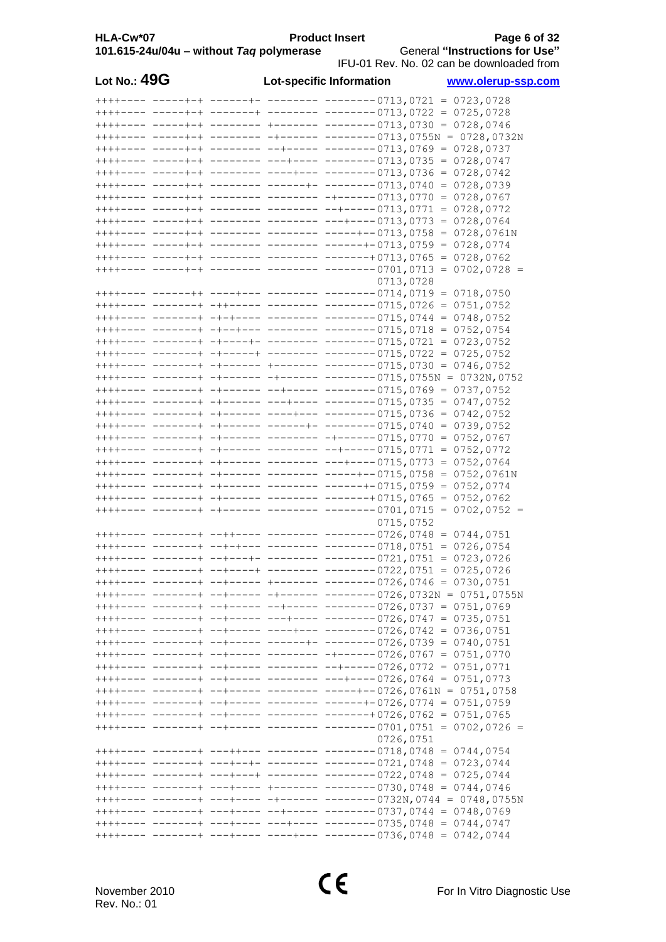|                                                                                     |                                                                        | IFU-01 Rev. No. 02 can be downloaded from |
|-------------------------------------------------------------------------------------|------------------------------------------------------------------------|-------------------------------------------|
| <b>Lot No.: 49G</b>                                                                 | <b>Lot-specific Information</b>                                        | www.olerup-ssp.com                        |
|                                                                                     | $++++--------++------+------------------0713,0721 = 0723,0728$         |                                           |
|                                                                                     |                                                                        |                                           |
|                                                                                     |                                                                        |                                           |
|                                                                                     | $++++$ ---- ----+-+ ------- -+------ --------0713,0755N = 0728,0732N   |                                           |
|                                                                                     | $++++---$ -----+-+ ------- --+---- ----------0713,0769 = 0728,0737     |                                           |
|                                                                                     |                                                                        |                                           |
|                                                                                     |                                                                        |                                           |
|                                                                                     | $++++$ ---- ----+-+ ------- -----+- -------- 0713,0740 = 0728,0739     |                                           |
|                                                                                     |                                                                        |                                           |
|                                                                                     | $++++$ ---- ----+-+ ------- ------- --+----- 0713,0771 = 0728,0772     |                                           |
|                                                                                     | $++++$ ---- ----+-+ ------- ------- ---+---- 0713,0773 = 0728,0764     |                                           |
|                                                                                     | $+$ +++---- -----+-+ -------- -------- -----+-- 0713,0758 = 0728,0761N |                                           |
|                                                                                     | $++++$ ---- ----+-+ ------- ------- ------+-0713,0759 = 0728,0774      |                                           |
|                                                                                     | $++++---$ -----+-+ ------- ------- -------+0713,0765 = 0728,0762       |                                           |
|                                                                                     | $++++--------++------------------------0701,0713 = 0702,0728 =$        |                                           |
|                                                                                     | 0713,0728                                                              |                                           |
|                                                                                     | $++++---$ -----++ ----+--- ------- -------- 0714,0719 = 0718,0750      |                                           |
|                                                                                     | $++++---$ ------+ -++----- ------- -------- 0715,0726 = 0751,0752      |                                           |
|                                                                                     | $++++---$ ------+ -+-+---- ------- -------- 0715,0744 = 0748,0752      |                                           |
|                                                                                     | $++++---$ -------+ -+--+--- ------- -------- 0715,0718 = 0752,0754     |                                           |
|                                                                                     | $++++---$ -------+ -+----+- -------- -------- 0715,0721 = 0723,0752    |                                           |
|                                                                                     |                                                                        |                                           |
|                                                                                     | $++++---$ ------+ -+------ +------ ------- 0715,0730 = 0746,0752       |                                           |
|                                                                                     | $++++---$ ------+ -+----- -+------ -------0715,0755N = 0732N,0752      |                                           |
|                                                                                     | $++++---$ -------+ -+------ --+----- --------0715,0769 = 0737,0752     |                                           |
|                                                                                     | $++++---$ ------+ -+------ --+---- --------0715,0735 = 0747,0752       |                                           |
|                                                                                     | $++++---$ ------+ -+----- ----+--- ---------0715,0736 = 0742,0752      |                                           |
|                                                                                     | $++++---$ ------+ -+------ -----+- -------- 0715,0740 = 0739,0752      |                                           |
|                                                                                     |                                                                        |                                           |
|                                                                                     | $++++----------++-+----------------------0715,0771 = 0752,0772$        |                                           |
|                                                                                     | $++++---$ -------+ -+------ ------- ---+---- 0715,0773 = 0752,0764     |                                           |
|                                                                                     | $++++---$ ------+ -+----- ------- -----+--0715,0758 = 0752,0761N       |                                           |
|                                                                                     | $++++---$ ------+ -+----- ------- ------+-0715,0759 = 0752,0774        |                                           |
|                                                                                     | $++++---$ ------+ -+----- ------- -------+0715,0765 = 0752,0762        |                                           |
|                                                                                     | $++++---$ ------+ -+------ ------- -------- 0701,0715 = 0702,0752 =    |                                           |
|                                                                                     | 0715,0752                                                              |                                           |
|                                                                                     | $++++---$ ------+ --++---- ------- -------- 0726,0748 = 0744,0751      |                                           |
|                                                                                     | $++++---$ ------+ --+-+--- ------- -------- 0718,0751 = 0726,0754      |                                           |
| $\begin{array}{cccccccccccccc} \bot & \bot & \bot & \bot & \bot & \bot \end{array}$ | -- --------0721,0751 = 0723,0726                                       |                                           |
|                                                                                     |                                                                        |                                           |
|                                                                                     | $++++---$ -------+ --+----- +------- -------- 0726,0746 = 0730,0751    |                                           |
|                                                                                     |                                                                        |                                           |
|                                                                                     | $++++---$ ------+ --+----- --+---- ---------0726,0747 = 0735,0751      |                                           |
|                                                                                     | $++++---$ ------+ --+----- ----+--- --------0726,0742 = 0736,0751      |                                           |
|                                                                                     | $++++---$ -------+ --+----- ------+ -------- 0726,0739 = 0740,0751     |                                           |
|                                                                                     | $++++---$ ------+ --+---- ------- -+------ 0726,0767 = 0751,0770       |                                           |
|                                                                                     | $++++---$ ------+ --+----- -------- --+----- 0726,0772 = 0751,0771     |                                           |
|                                                                                     | ++++---- -------+ --+----- -------- ---+---- 0726,0764 = 0751,0773     |                                           |
|                                                                                     | $++++---$ ------+ --+----- -------- ----++--0726,0761N = 0751,0758     |                                           |
|                                                                                     | $++++---$ ------+ --+----- -------- ------+-0726,0774 = 0751,0759      |                                           |
|                                                                                     | $++++---$ ------+ --+---- ------- -------+0726,0762 = 0751,0765        |                                           |
|                                                                                     | $++++---$ -------+ --+----- -------- -------- 0701,0751 = 0702,0726 =  |                                           |
|                                                                                     | 0726,0751                                                              |                                           |
|                                                                                     | $++++---$ ------+ ---++--- ------- -------- 0718,0748 = 0744,0754      |                                           |
|                                                                                     | $++++---$ ------+ --+--+- ------- -------- 0721,0748 = 0723,0744       |                                           |
|                                                                                     |                                                                        |                                           |
|                                                                                     | $++++---$ ------+ --+---- +------ ------- 0730,0748 = 0744,0746        |                                           |
|                                                                                     | $++++---$ ------+ --+---- -+----- ------- 0732N, 0744 = 0748, 0755N    |                                           |
|                                                                                     |                                                                        |                                           |
|                                                                                     | $++++---$ ------+ --+---- --+---- ---------0735,0748 = 0744,0747       |                                           |
|                                                                                     | $++++---$ ------+ --+---- ----+--- --------0736,0748 = 0742,0744       |                                           |
|                                                                                     |                                                                        |                                           |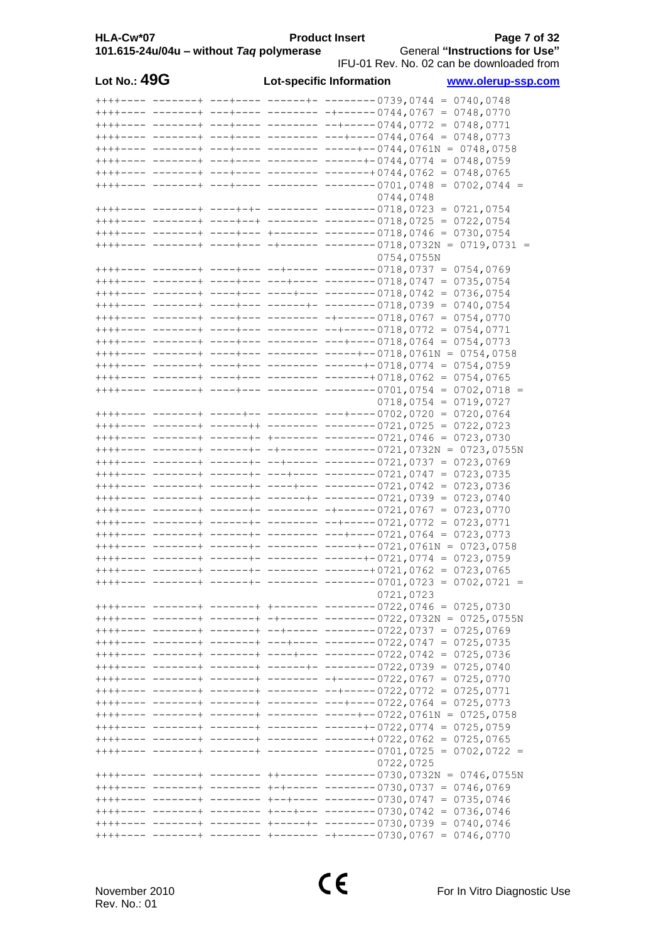|                |                                                                     | IFU-01 Rev. No. 02 can be downloaded from |
|----------------|---------------------------------------------------------------------|-------------------------------------------|
| Lot No.: $49G$ | <b>Lot-specific Information</b>                                     | www.olerup-ssp.com                        |
|                | $++++---$ -------+ ---+---- ------+ -------- 0739,0744 = 0740,0748  |                                           |
|                | $++++---$ ------+ ---+---- -------- -+------ 0744,0767 = 0748,0770  |                                           |
|                | $++++---$ ------+ --+---- ------- --+----- 0744,0772 = 0748,0771    |                                           |
|                | $++++---$ -------+ ---+---- -------- ---+---- 0744,0764 = 0748,0773 |                                           |
|                | $++++---$ -------+ ---+---- -------- -----+--0744,0761N = 0748,0758 |                                           |
|                | $++++---$ ------+ --+---- -------- ------+-0744,0774 = 0748,0759    |                                           |
|                | $++++---$ ------+ --+---- ------- -------+0744,0762 = 0748,0765     |                                           |
|                | $++++----------++---------------------0701,0748 = 0702,0744 =$      |                                           |
|                | 0744,0748                                                           |                                           |
|                | $++++---$ -------+ ---+++- ------- -------- 0718,0723 = 0721,0754   |                                           |
|                | $++++---$ ------+ ---+--+ ------- -------- 0718,0725 = 0722,0754    |                                           |
|                | $++++----------++---+-++-------------0718,0746 = 0730,0754$         |                                           |
|                | $++++----------++-------+---------------0718,0732N = 0719,0731 =$   |                                           |
|                | 0754,0755N                                                          |                                           |
|                | $++++---------++---+------------0718,0737 = 0754,0769$              |                                           |
|                | $++++----------++---------------------0718,0747 = 0735,0754$        |                                           |
|                | $++++---$ ------+ ---+--- ---+--- ---------0718,0742 = 0736,0754    |                                           |
|                |                                                                     |                                           |
|                | $++++---$ ------+ ---+--- ------+- -------- 0718,0739 = 0740,0754   |                                           |
|                | $++++---$ ------+ ---+--- -------- -+------0718,0767 = 0754,0770    |                                           |
|                | $++++---$ -------+ ---+--- -------- --+-----0718,0772 = 0754,0771   |                                           |
|                | $++++---$ ------+ ---+--- ------- ---+--- 0718,0764 = 0754,0773     |                                           |
|                | $++++---$ -------+ ----+--- -------- -----+--0718,0761N = 0754,0758 |                                           |
|                | $++++----------++---+-------------+--0718,0774 = 0754,0759$         |                                           |
|                | $++++---$ ------+ ---+--- ------- -------+ 0718,0762 = 0754,0765    |                                           |
|                | $++++---$ ------+ ---+--- ------- -------- 0701,0754 = 0702,0718 =  |                                           |
|                |                                                                     | $0718, 0754 = 0719, 0727$                 |
|                | ++++---- -------+ -----+-- -------- ---+----0702,0720 = 0720,0764   |                                           |
|                |                                                                     |                                           |
|                | $++++---$ -------+ -----+- +------- -------- 0721,0746 = 0723,0730  |                                           |
|                | $++++---$ ------+ -----+- -+------ --------0721,0732N = 0723,0755N  |                                           |
|                | $++++---$ ------+ -----+- --+----- ---------0721,0737 = 0723,0769   |                                           |
|                |                                                                     |                                           |
|                | $++++---$ ------+ -----+- ---+---- ---------0721,0747 = 0723,0735   |                                           |
|                | $++++---$ ------+ -----+- ----+--- -------- 0721,0742 = 0723,0736   |                                           |
|                | $++++---$ ------+ -----+- -----+- -------- 0721,0739 = 0723,0740    |                                           |
|                | $++++---$ ------+ -----+- ------- -+------ 0721,0767 = 0723,0770    |                                           |
|                | $++++---$ ------+ -----+- ------- --+----- 0721,0772 = 0723,0771    |                                           |
|                | $++++---$ ------+ -----+- ------- ---+---- 0721,0764 = 0723,0773    |                                           |
|                | $++++---$ ------+ -----+- ------- -----+-- 0721,0761N = 0723,0758   |                                           |
|                | $++++---$ ------+ -----+- ------- ------+- 0721,0774 = 0723,0759    |                                           |
|                |                                                                     |                                           |
|                |                                                                     |                                           |
|                | 0721,0723                                                           |                                           |
|                |                                                                     |                                           |
|                |                                                                     |                                           |
|                | $++++---$ ------+ ------+ --+---- --------0722,0737 = 0725,0769     |                                           |
|                |                                                                     |                                           |
|                |                                                                     |                                           |
|                | $++++---$ -------+ ------+ ------+ ------- -0722,0739 = 0725,0740   |                                           |
|                |                                                                     |                                           |
|                |                                                                     |                                           |
|                | ++++----- -------+ -------+ -------- --+----- 0722,0772 = 0725,0771 |                                           |
|                | $++++---$ ------+ ------+ ------- --+---- 0722,0764 = 0725,0773     |                                           |
|                | $++++---$ ------+ ------+ ------- -----+--0722,0761N = 0725,0758    |                                           |
|                |                                                                     |                                           |
|                |                                                                     |                                           |
|                |                                                                     |                                           |
|                | 0722,0725                                                           |                                           |
|                |                                                                     |                                           |
|                | $++++---$ ------+ ------- +-+----- --------0730,0737 = 0746,0769    |                                           |
|                |                                                                     |                                           |
|                |                                                                     |                                           |
|                | $++++---$ -------+ ------- +-----+ ------- 0730,0739 = 0740,0746    |                                           |
|                |                                                                     |                                           |
|                |                                                                     |                                           |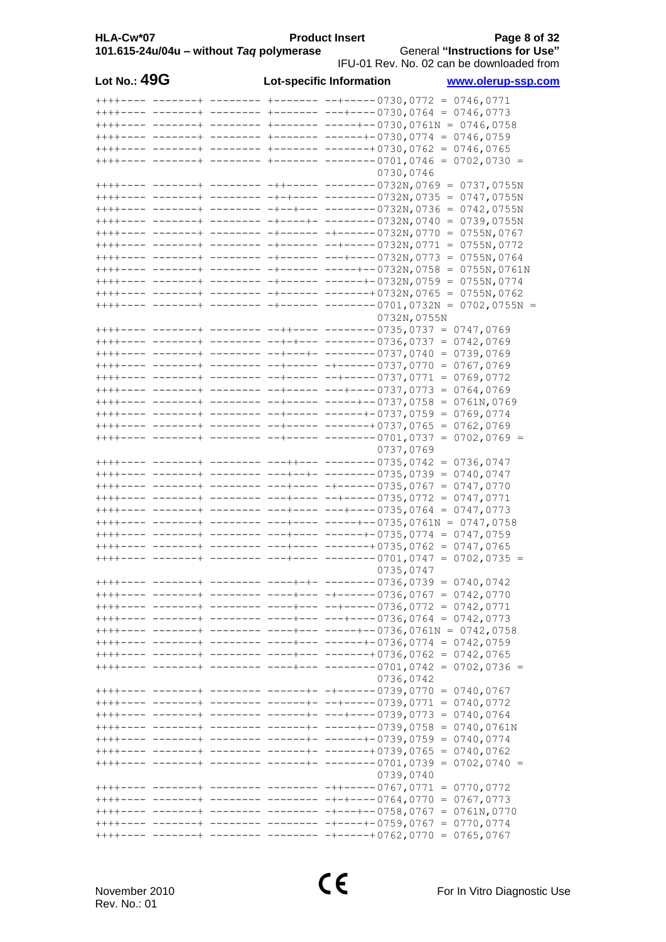| <b>Lot No.: 49G</b> | <b>Lot-specific Information</b>                                            | www.olerup-ssp.com |
|---------------------|----------------------------------------------------------------------------|--------------------|
|                     | $++++----------+$ -------+ ------- +------- --+----- 0730,0772 = 0746,0771 |                    |
|                     | $++++---$ ------+ ------- +------ ---+----0730,0764 = 0746,0773            |                    |
|                     | $++++----------++-----++------------------0730,0761N = 0746,0758$          |                    |
|                     | $++++----------++------+---------------------0730,0774 = 0746,0759$        |                    |
|                     | $++++---$ ------+ ------- +------ ------+0730,0762 = 0746,0765             |                    |
|                     |                                                                            |                    |
|                     | 0730,0746                                                                  |                    |
|                     | $++++----------++-----+++-------------0732N,0769 = 0737,0755N$             |                    |
|                     | $++++---$ ------+ ------- -+-+---- -------- 0732N, 0735 = 0747, 0755N      |                    |
|                     | $++++----$ ------+ ------- -+--+--- -------- 0732N, 0736 = 0742, 0755N     |                    |
|                     | $++++---$ ------+ ------- -+----+- -------- 0732N, 0740 = 0739, 0755N      |                    |
|                     | $++++---$ ------+ ------- -+------ -+------ 0732N, 0770 = 0755N, 0767      |                    |
|                     | $++++---$ -------+ ------- -+------ --+-----0732N, 0771 = 0755N, 0772      |                    |
|                     |                                                                            |                    |
|                     | $++++---$ ------+ ------- -+------ --+----- 0732N, 0773 = 0755N, 0764      |                    |
|                     | ++++---- -------+ -------- -+------ -----+-- 0732N, 0758 = 0755N, 0761N    |                    |
|                     | $++++---$ ------+ ------- -+------ ------+-0732N,0759 = 0755N,0774         |                    |
|                     | $++++---$ ------+ ------- -+------ -------+0732N,0765 = 0755N,0762         |                    |
|                     |                                                                            |                    |
|                     | 0732N, 0755N                                                               |                    |
|                     |                                                                            |                    |
|                     |                                                                            |                    |
|                     |                                                                            |                    |
|                     | $++++---$ ------+ ------- --+---- -+----- 0737,0770 = 0767,0769            |                    |
|                     | $++++----------++--------------------0737,0771 = 0769,0772$                |                    |
|                     | $++++---$ ------+ ------- --+---- --+---- 0737,0773 = 0764,0769            |                    |
|                     | ++++---- -------+ -------- --+----- -----+--0737,0758 = 0761N,0769         |                    |
|                     |                                                                            |                    |
|                     |                                                                            |                    |
|                     |                                                                            |                    |
|                     | 0737,0769                                                                  |                    |
|                     | $++++---$ ------+ ------- ---++--- --------0735,0742 = 0736,0747           |                    |
|                     | $++++---$ ------+ ------- --+--+- -------- 0735,0739 = 0740,0747           |                    |
|                     |                                                                            |                    |
|                     | $++++---$ -------+ ------- ---+---- --+----- 0735,0772 = 0747,0771         |                    |
|                     | $++++---$ ------+ ------- ---+--- --+---- 0735,0764 = 0747,0773            |                    |
|                     | ++++---- -------+ -------- ---+---- -----+--0735,0761N = 0747,0758         |                    |
|                     |                                                                            |                    |
|                     |                                                                            |                    |
|                     |                                                                            |                    |
|                     | $++++---$ ------+ ------- ---+---- -------- 0701,0747 = 0702,0735 =        |                    |
|                     | 0735,0747                                                                  |                    |
|                     | $++++----------++--------+-------------0736,0739 = 0740,0742$              |                    |
|                     |                                                                            |                    |
|                     | $++++---$ ------+ ------- ----+--- --+----0736,0772 = 0742,0771            |                    |
|                     | $++++---$ ------+ ------- ---+--- --+---- 0736,0764 = 0742,0773            |                    |
|                     | $++++---$ -------+ ------- ----+--- ----+-- 0736,0761N = 0742,0758         |                    |
|                     | $++++---$ -------+ ------- ----+--- ------+-0736,0774 = 0742,0759          |                    |
|                     |                                                                            |                    |
|                     | $++++---$ ------+ ------- ----+--- -------- 0701,0742 = 0702,0736 =        |                    |
|                     | 0736,0742                                                                  |                    |
|                     |                                                                            |                    |
|                     | $++++---$ ------+ ------- ------+ --+-----0739,0771 = 0740,0772            |                    |
|                     | $++++----$ -------+ ------- ------+ ---+---- 0739,0773 = 0740,0764         |                    |
|                     | $++++---$ ------+ ------- -----+- -----+- 0739,0758 = 0740,0761N           |                    |
|                     | $++++---$ ------+ ------- -----+ ------+ ------+- 0739,0759 = 0740,0774    |                    |
|                     | $++++---$ ------+ ------- -----+ -----+1 ------+0739,0765 = 0740,0762      |                    |
|                     |                                                                            |                    |
|                     | 0739,0740                                                                  |                    |
|                     | ++++---- -------+ ------- -------- -++----- 0767,0771 = 0770,0772          |                    |
|                     | ++++----- -------+ -------- -------- -+-+----0764,0770 = 0767,0773         |                    |
|                     | $++++---$ ------+ ------- ------- +---+--0758,0767 = 0761N,0770            |                    |
|                     | $++++---$ ------+ ------- ------- -+----+-0759,0767 = 0770,0774            |                    |
|                     | $++++---$ ------+ ------- ------- -+-----+0762,0770 = 0765,0767            |                    |
|                     |                                                                            |                    |

Rev. No.: 01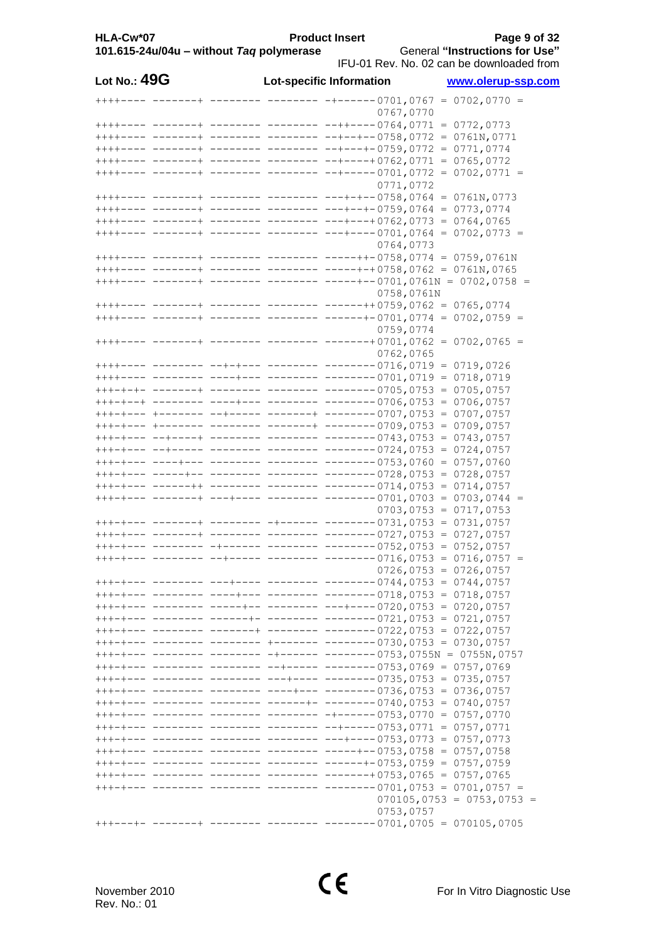| HLA-Cw*07           |                                                                       | <b>Product Insert</b>           | Page 9 of 32                                                    |
|---------------------|-----------------------------------------------------------------------|---------------------------------|-----------------------------------------------------------------|
|                     | 101.615-24u/04u - without Tag polymerase                              |                                 | <b>General "Instructions for Use"</b>                           |
| <b>Lot No.: 49G</b> |                                                                       | <b>Lot-specific Information</b> | IFU-01 Rev. No. 02 can be downloaded from<br>www.olerup-ssp.com |
|                     |                                                                       |                                 |                                                                 |
|                     |                                                                       | 0767,0770                       |                                                                 |
|                     | ++++----- -------+ -------- -------- --++----0764,0771 = 0772,0773    |                                 |                                                                 |
|                     | $++++---$ ------+ ------- ------- --+--+--0758,0772 = 0761N,0771      |                                 |                                                                 |
|                     | $++++----------++-------------------+----+---+-0759,0772 = 0771,0774$ |                                 |                                                                 |
|                     | $++++---$ -------+ ------- ------- --+----+0762,0771 = 0765,0772      |                                 |                                                                 |
|                     | $++++---$ ------+ ------- ------- --+-----0701,0772 = 0702,0771 =     |                                 |                                                                 |
|                     |                                                                       | 0771,0772                       |                                                                 |
|                     | $++++---$ ------+ ------- ------- ---+-+--0758,0764 = 0761N,0773      |                                 |                                                                 |
|                     |                                                                       |                                 |                                                                 |
|                     | $++++----$ -------+ ------- ------- ---+---+0762,0773 = 0764,0765     |                                 |                                                                 |
|                     | $++++---$ ------+ ------- ------- ---+----0701,0764 = 0702,0773 =     |                                 |                                                                 |
|                     | $++++---$ -------+ -------- -------- -----++-0758,0774 = 0759,0761N   | 0764,0773                       |                                                                 |
|                     | $++++---$ ------+ ------- ------- -----+-+0758,0762 = 0761N,0765      |                                 |                                                                 |
|                     | $++++---$ -------+ ------- ------- -----+--0701,0761N = 0702,0758 =   |                                 |                                                                 |
|                     |                                                                       | 0758,0761N                      |                                                                 |
|                     | $++++---$ ------+ ------- ------- ------++0759,0762 = 0765,0774       |                                 |                                                                 |
|                     | $++++---$ ------+ ------- ------- ------+-0701,0774 = 0702,0759 =     |                                 |                                                                 |
|                     |                                                                       | 0759,0774                       |                                                                 |
|                     | $++++----$ ------+ ------- ------- -------+0701,0762 = 0702,0765 =    |                                 |                                                                 |
|                     |                                                                       | 0762,0765                       |                                                                 |
|                     | $++++---$ ------- --+-+--- -------- -------- 0716,0719 = 0719,0726    |                                 |                                                                 |
|                     | $++++---$ ------- ----+--- -------- -------- 0701,0719 = 0718,0719    |                                 |                                                                 |
|                     | $++++++$ -------+ ------- ------- -------- 0705,0753 = 0705,0757      |                                 |                                                                 |
|                     | $++++--+$ -------- ----+--- -------- -------- 0706,0753 = 0706,0757   |                                 |                                                                 |
|                     |                                                                       |                                 |                                                                 |
|                     |                                                                       |                                 |                                                                 |
|                     | $++++------++---+$ -------- -------- ------- 0743,0753 = 0743,0757    |                                 |                                                                 |
|                     | $++++--$ --+----- ------- ------- ------- 0724,0753 = 0724,0757       |                                 |                                                                 |
|                     | $++++--$ ----+-- ------- ------- ------- 0728,0753 = 0728,0757        |                                 |                                                                 |
|                     | $++++$ ---- -----++ ------- ------- -------- 0714,0753 = 0714,0757    |                                 |                                                                 |
|                     | $++++--$ ------+ ---+---- -------- -------- 0701,0703 = 0703,0744 =   |                                 |                                                                 |
|                     |                                                                       |                                 | $0703, 0753 = 0717, 0753$                                       |
|                     | $++++--$ ------+ ------- -+----- -------- 0731,0753 = 0731,0757       |                                 |                                                                 |
|                     |                                                                       |                                 |                                                                 |
|                     | $++++---$ ------- -+----- ------- ------- 0752,0753 = 0752,0757       |                                 |                                                                 |
|                     | $++++--$ ------- --+----- -------- -------- 0716,0753 = 0716,0757 =   |                                 |                                                                 |
|                     |                                                                       |                                 | $0726, 0753 = 0726, 0757$                                       |
|                     | $++++++$ -------- --+---- -------- -------- 0744,0753 = 0744,0757     |                                 |                                                                 |
|                     | $++++--$ ------- ----+--- -------- --------0718,0753 = 0718,0757      |                                 |                                                                 |
|                     | $++++------------+--------------------0720,0753 = 0720,0757$          |                                 |                                                                 |
|                     |                                                                       |                                 |                                                                 |
|                     | $++++--$ ------- ------- +------ ------- 0730,0753 = 0730,0757        |                                 |                                                                 |
|                     | $++++--$ ------- ------- -+----- --------0753,0755N = 0755N,0757      |                                 |                                                                 |
|                     |                                                                       |                                 |                                                                 |
|                     | $++++----------------------------------------0735,0753 = 0735,0757$   |                                 |                                                                 |
|                     | $++++--$ ------- ------- ----+--- -------- 0736,0753 = 0736,0757      |                                 |                                                                 |
|                     | $++++------------------------+----------------0740,0753 = 0740,0757$  |                                 |                                                                 |
|                     | $++++--$ ------- ------- ------- -+----- 0753,0770 = 0757,0770        |                                 |                                                                 |
|                     | $++++--------------------------------------0753,0771 = 0757,0771$     |                                 |                                                                 |
|                     | $++++----------------------------------------0753,0773 = 0757,0773$   |                                 |                                                                 |
|                     | +++-+--- ------- ------- -------- -----+--0753,0758 = 0757,0758       |                                 |                                                                 |
|                     | $++++--------------------------------+-0753,0759 = 0757,0759$         |                                 |                                                                 |
|                     |                                                                       |                                 |                                                                 |
|                     | $++++--$ ------- ------- -------- ------- 0701,0753 = 0701,0757 =     |                                 |                                                                 |
|                     |                                                                       |                                 | $070105, 0753 = 0753, 0753 =$                                   |
|                     |                                                                       | 0753,0757                       |                                                                 |
|                     |                                                                       |                                 |                                                                 |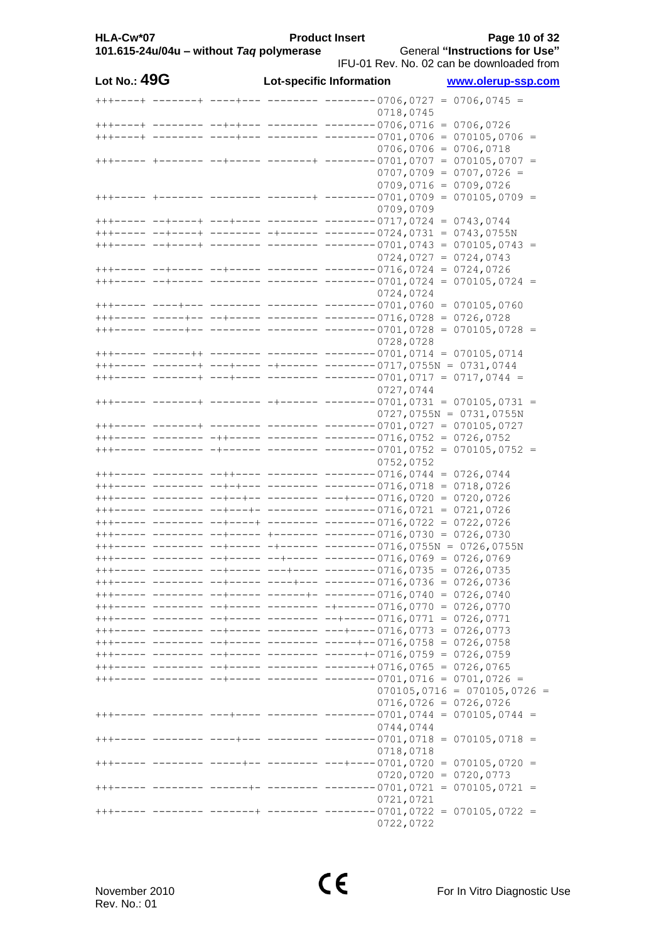| HLA-Cw*07                                                                                                                                             | <b>Product Insert</b>           | Page 10 of 32                                                                      |
|-------------------------------------------------------------------------------------------------------------------------------------------------------|---------------------------------|------------------------------------------------------------------------------------|
| 101.615-24u/04u - without Tag polymerase                                                                                                              |                                 | <b>General "Instructions for Use"</b><br>IFU-01 Rev. No. 02 can be downloaded from |
| <b>Lot No.: 49G</b>                                                                                                                                   | <b>Lot-specific Information</b> | www.olerup-ssp.com                                                                 |
| $+++---+$ ------+ ----+--- -------- ---------0706,0727 = 0706,0745 =                                                                                  |                                 |                                                                                    |
| $++++---+$ ------- --+-+--- ------- -------- 0706,0716 = 0706,0726                                                                                    |                                 | 0718,0745                                                                          |
| $++++---+$ ------- ----+--- -------- --------0701,0706 = 070105,0706 =                                                                                |                                 |                                                                                    |
|                                                                                                                                                       |                                 | $0706,0706 = 0706,0718$                                                            |
|                                                                                                                                                       |                                 | $0707,0709 = 0707,0726 =$                                                          |
|                                                                                                                                                       |                                 | $0709, 0716 = 0709, 0726$                                                          |
|                                                                                                                                                       |                                 | 0709,0709                                                                          |
| $+++--- - - + --- + --- - --- - --- - --- - --- - 0717,0724 = 0743,0744$<br>$+++--- - - + --- + --- - --- + --- - --- - --- - 0724,0731 = 0743,0755N$ |                                 |                                                                                    |
| $+++--- - - + --- + --- - --- - --- - --- - --- -0701,0743 = 070105,0743 =$                                                                           |                                 |                                                                                    |
|                                                                                                                                                       |                                 | $0724, 0727 = 0724, 0743$                                                          |
| $++++--------+--------------0716,0724 = 0724,0726$                                                                                                    |                                 |                                                                                    |
| $+++--- - - + --- - --- - --- - --- - --- - --- -0701,0724 = 070105,0724 =$                                                                           |                                 | 0724,0724                                                                          |
|                                                                                                                                                       |                                 |                                                                                    |
| $+++--- - --- +--- - --- - --- - --- - --- -0716,0728 = 0726,0728$                                                                                    |                                 |                                                                                    |
|                                                                                                                                                       |                                 |                                                                                    |
|                                                                                                                                                       |                                 | 0728,0728                                                                          |
| $+++--- ---- + --- +--- -+--- ---- ---- 0717,0755N = 0731,0744$                                                                                       |                                 |                                                                                    |
| $+++--- - --- - --- - --- - --- - --- - --- - --- - 0701,0717 = 0717,0744 =$                                                                          |                                 |                                                                                    |
| $+++--------++-----+$ -------- -+------ ---------0701,0731 = 070105,0731 =                                                                            |                                 | 0727,0744                                                                          |
|                                                                                                                                                       |                                 | $0727, 0755N = 0731, 0755N$                                                        |
| $++++---$ ------- -++----- ------- -------- 0716,0752 = 0726,0752                                                                                     |                                 |                                                                                    |
| $+++--- - --- - + --- - - --- - --- - --- - 0701,0752 = 070105,0752 =$                                                                                |                                 |                                                                                    |
|                                                                                                                                                       |                                 | 0752,0752                                                                          |
|                                                                                                                                                       |                                 |                                                                                    |
| $++++---$ ------- --+-+--- ------- -------- 0716,0718 = 0718,0726<br>$+++$ ----- ------- --+--+-- ------- ---+---- 0716,0720 = 0720,0726              |                                 |                                                                                    |
| $++++---$ ------- --+---+- ------- -------- 0716,0721 = 0721,0726                                                                                     |                                 |                                                                                    |
|                                                                                                                                                       |                                 |                                                                                    |
|                                                                                                                                                       |                                 |                                                                                    |
|                                                                                                                                                       |                                 |                                                                                    |
| $++++---$ ------- --+---- --+---- --------0716,0735 = 0726,0735                                                                                       |                                 |                                                                                    |
|                                                                                                                                                       |                                 |                                                                                    |
| $++++---$ ------- --+---- ------+- -------- 0716,0740 = 0726,0740                                                                                     |                                 |                                                                                    |
|                                                                                                                                                       |                                 |                                                                                    |
| $++++---$ ------- --+----- -------- --+----- 0716,0771 = 0726,0771                                                                                    |                                 |                                                                                    |
| $++++---$ ------- --+----- -------- ---+----0716,0773 = 0726,0773<br>$+++--- - --- - --- - --- - --- - --- - --- - --- - 0716,0758 = 0726,0758$       |                                 |                                                                                    |
|                                                                                                                                                       |                                 |                                                                                    |
| $+++--- - --- - --- - --- - --- - --- - --- - --- - 0716,0765 = 0726,0765$                                                                            |                                 |                                                                                    |
| $+++---$ ------- --+---- ------- -------- 0701,0716 = 0701,0726 =                                                                                     |                                 |                                                                                    |
|                                                                                                                                                       |                                 | $070105,0716 = 070105,0726 =$                                                      |
| $+++---$ ------- ---+---- -------- -------- 0701,0744 = 070105,0744 =                                                                                 |                                 | $0716,0726 = 0726,0726$                                                            |
|                                                                                                                                                       |                                 | 0744,0744                                                                          |
|                                                                                                                                                       |                                 |                                                                                    |
| +++----- -------- -----+-- -------- ---+----0701,0720 = 070105,0720 =                                                                                 |                                 | 0718,0718                                                                          |
|                                                                                                                                                       |                                 | $0720,0720 = 0720,0773$                                                            |
| $+++--- - --- --- --- --- --- --- --- --- --- --- 0701,0721 = 070105,0721 =$                                                                          |                                 |                                                                                    |
| $+++--------------+ -------------------0701,0722 = 070105,0722 =$                                                                                     |                                 | 0721,0721                                                                          |
|                                                                                                                                                       |                                 | 0722,0722                                                                          |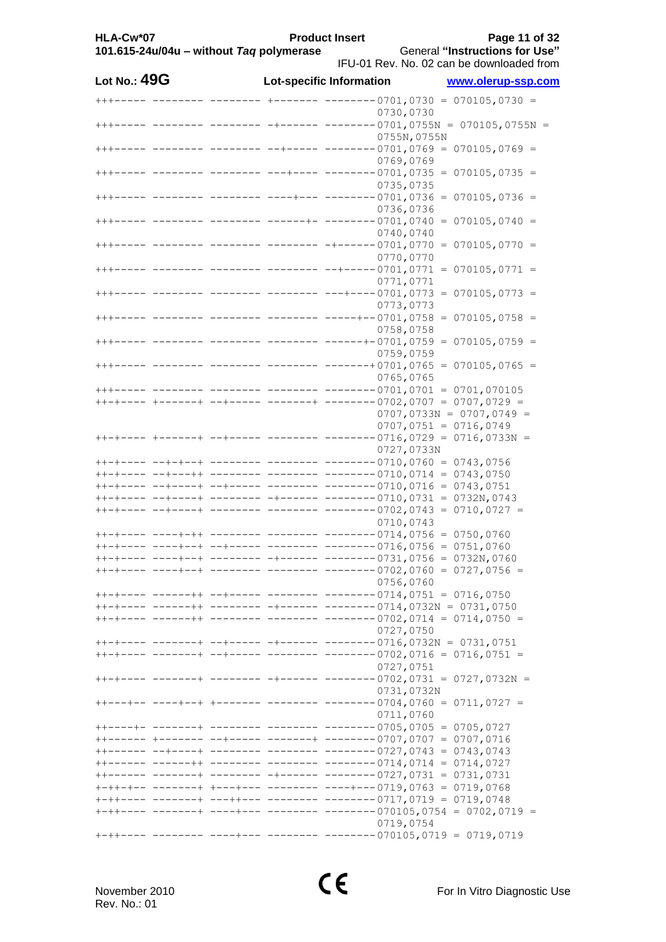| HLA-Cw*07           | 101.615-24u/04u - without Tag polymerase |                                 | <b>Product Insert</b> |                                                                      | Page 11 of 32<br><b>General "Instructions for Use"</b>                         |
|---------------------|------------------------------------------|---------------------------------|-----------------------|----------------------------------------------------------------------|--------------------------------------------------------------------------------|
|                     |                                          |                                 |                       |                                                                      | IFU-01 Rev. No. 02 can be downloaded from                                      |
| <b>Lot No.: 49G</b> |                                          | <b>Lot-specific Information</b> |                       |                                                                      | www.olerup-ssp.com                                                             |
|                     |                                          |                                 |                       | 0730,0730                                                            | $+++---$ ------- ------- +------ ------- 0701,0730 = 070105,0730 =             |
|                     |                                          |                                 |                       |                                                                      |                                                                                |
|                     |                                          |                                 |                       | 0755N, 0755N                                                         | $+++------------------------------------------------0701,0769 = 070105,0769 =$ |
|                     |                                          |                                 |                       | 0769,0769                                                            |                                                                                |
|                     |                                          |                                 |                       | 0735,0735                                                            | $+++------------------+--------------0701,0736 = 070105,0736 =$                |
|                     |                                          |                                 |                       | 0736,0736                                                            | $+++--------------------+------------0701,0740 = 070105,0740 =$                |
|                     |                                          |                                 |                       | 0740,0740                                                            | $+++--------------------------------------0701,0770 = 070105,0770 =$           |
|                     |                                          |                                 |                       | 0770,0770                                                            | +++----- -------- -------- -------- --+-----0701,0771 = 070105,0771 =          |
|                     |                                          |                                 |                       | 0771,0771                                                            | $+++--------------------------------------0701,0773 = 070105,0773 =$           |
|                     |                                          |                                 |                       | 0773,0773                                                            | $+++--------------------------------------0701,0758 = 070105,0758 =$           |
|                     |                                          |                                 |                       | 0758,0758                                                            |                                                                                |
|                     |                                          |                                 |                       | 0759,0759                                                            |                                                                                |
|                     |                                          |                                 |                       | 0765,0765                                                            | $+++--------------------------+---+---+0701,0765 = 070105,0765 =$              |
|                     |                                          |                                 |                       |                                                                      | $++++---$ ------- ------- ------- ------- -0701,0701 = 0701,070105             |
|                     |                                          |                                 |                       |                                                                      | $++++--+$ +------+ --+----- -------+ -------- 0702,0707 = 0707,0729 =          |
|                     |                                          |                                 |                       |                                                                      | $0707, 0733N = 0707, 0749 =$                                                   |
|                     |                                          |                                 |                       | $0707,0751 = 0716,0749$                                              |                                                                                |
|                     |                                          |                                 |                       |                                                                      | $++++--+$ +------+ --+----- ------- ---------0716,0729 = 0716,0733N =          |
|                     |                                          |                                 |                       | 0727,0733N                                                           |                                                                                |
|                     |                                          |                                 |                       |                                                                      |                                                                                |
|                     |                                          |                                 |                       | $++++---$ --+---++ ------- ------- -------- 0710,0714 = 0743,0750    |                                                                                |
|                     |                                          |                                 |                       | $++++--$ --+----+ --+----- ------- -------- 0710,0716 = 0743,0751    |                                                                                |
|                     |                                          |                                 |                       | $++++--- -++ --- --- ++--- -+--- -10710,0731 = 0732N,0743$           |                                                                                |
|                     |                                          |                                 |                       |                                                                      | $++++--$ --+----+ ------- ------- -------- 0702,0743 = 0710,0727 =             |
|                     |                                          |                                 |                       | 0710,0743                                                            |                                                                                |
|                     |                                          |                                 |                       | $++++---$ ----+-++ ------- ------- -------- 0714,0756 = 0750,0760    |                                                                                |
|                     |                                          |                                 |                       | $++++--$ ----+--+ ------- -+------ -------- 0731,0756 = 0732N,0760   |                                                                                |
|                     |                                          |                                 |                       |                                                                      | $++++--$ ---+--+ -------- ------- -------- 0702,0760 = 0727,0756 =             |
|                     |                                          |                                 |                       | 0756,0760                                                            |                                                                                |
|                     |                                          |                                 |                       | $++++--$ ------++ --+----- -------- --------- 0714,0751 = 0716,0750  |                                                                                |
|                     |                                          |                                 |                       | $++++---$ -----++ ------- -+----- -------- 0714,0732N = 0731,0750    |                                                                                |
|                     |                                          |                                 |                       |                                                                      | $++++---$ ------++ -------- ------- -------- 0702,0714 = 0714,0750 =           |
|                     |                                          |                                 |                       | 0727,0750                                                            |                                                                                |
|                     |                                          |                                 |                       | $++++---$ ------+ --+----- -+------ -------- 0716,0732N = 0731,0751  |                                                                                |
|                     |                                          |                                 |                       |                                                                      | $++++---$ ------+ --+---- ------- -------- 0702,0716 = 0716,0751 =             |
|                     |                                          |                                 |                       | 0727,0751                                                            |                                                                                |
|                     |                                          |                                 |                       | 0731,0732N                                                           | $++++---$ ------+ ------- -+----- --------0702,0731 = 0727,0732N =             |
|                     |                                          |                                 |                       | 0711,0760                                                            | $++--+--$ ---+--+ +------- ------- -------- 0704,0760 = 0711,0727 =            |
|                     |                                          |                                 |                       |                                                                      |                                                                                |
|                     |                                          |                                 |                       |                                                                      |                                                                                |
|                     |                                          |                                 |                       |                                                                      |                                                                                |
|                     |                                          |                                 |                       | $++----------++------------0714,0714 = 0714,0727$                    |                                                                                |
|                     |                                          |                                 |                       |                                                                      |                                                                                |
|                     |                                          |                                 |                       | $+$ -++-+-- -------+ +---+--- -------- ----+---0719,0763 = 0719,0768 |                                                                                |
|                     |                                          |                                 |                       |                                                                      |                                                                                |
|                     |                                          |                                 |                       |                                                                      |                                                                                |
|                     |                                          |                                 |                       | 0719,0754                                                            |                                                                                |
|                     |                                          |                                 |                       |                                                                      |                                                                                |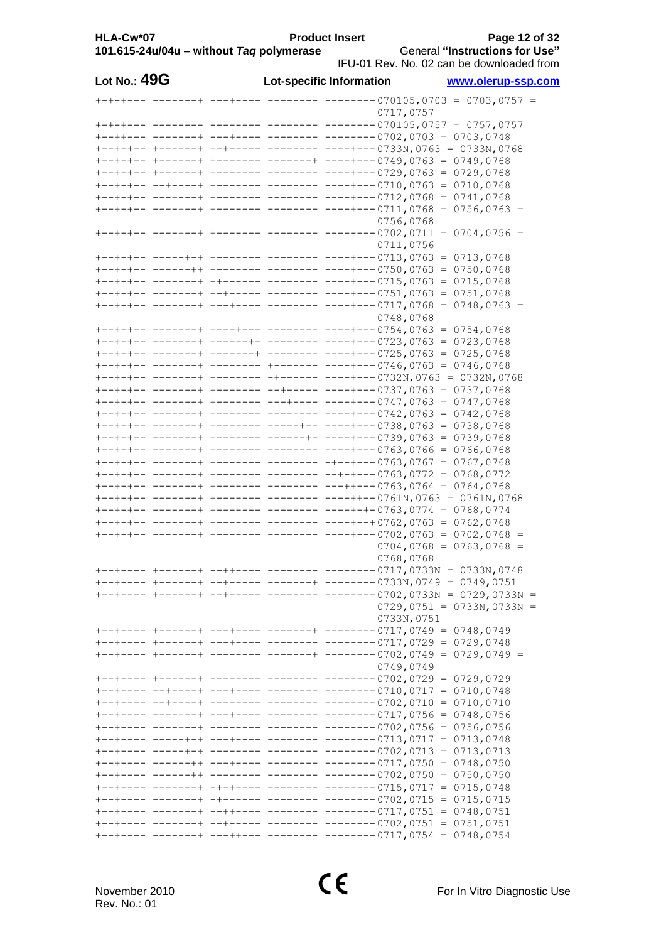| HLA-Cw*07                                                                                                                                          | <b>Product Insert</b>           | Page 12 of 32                                                                      |
|----------------------------------------------------------------------------------------------------------------------------------------------------|---------------------------------|------------------------------------------------------------------------------------|
| 101.615-24u/04u - without Taq polymerase                                                                                                           |                                 | <b>General "Instructions for Use"</b><br>IFU-01 Rev. No. 02 can be downloaded from |
| Lot No.: 49G                                                                                                                                       | <b>Lot-specific Information</b> | www.olerup-ssp.com                                                                 |
|                                                                                                                                                    |                                 |                                                                                    |
|                                                                                                                                                    |                                 | 0717,0757                                                                          |
|                                                                                                                                                    |                                 |                                                                                    |
|                                                                                                                                                    |                                 |                                                                                    |
| $+$ --+-+-- +------+ +-+----- -------- ----+--- 0733N, 0763 = 0733N, 0768<br>$+$ --+-+-- +------+ +------- -------+ ----+--- 0749,0763 = 0749,0768 |                                 |                                                                                    |
| $+$ --+-+-- +------+ +------- -------- ----+--- 0729,0763 = 0729,0768                                                                              |                                 |                                                                                    |
| $+$ --+-+-- --+----+ +------- -------- ----+--- 0710,0763 = 0710,0768                                                                              |                                 |                                                                                    |
|                                                                                                                                                    |                                 |                                                                                    |
| $+$ --+-+-- ----+--+ +------- -------- ----+--- 0711,0768 = 0756,0763 =                                                                            |                                 |                                                                                    |
|                                                                                                                                                    |                                 | 0756,0768                                                                          |
|                                                                                                                                                    |                                 |                                                                                    |
|                                                                                                                                                    |                                 | 0711,0756                                                                          |
|                                                                                                                                                    |                                 |                                                                                    |
|                                                                                                                                                    |                                 |                                                                                    |
| $+$ --+-+-- -------+ ++------ ------- ----+--- 0715,0763 = 0715,0768                                                                               |                                 |                                                                                    |
| $+$ --+-+-- -------+ +-+----- -------- ----+---0751,0763 = 0751,0768                                                                               |                                 |                                                                                    |
| $+$ --+-+-- -------+ +--+---- -------- ----+--- 0717,0768 = 0748,0763 =                                                                            |                                 |                                                                                    |
|                                                                                                                                                    |                                 | 0748,0768                                                                          |
| $+$ --+-+-- -------+ +---+--- -------- ----+---0754,0763 = 0754,0768                                                                               |                                 |                                                                                    |
| $+$ --+-+-- -------+ +-----+- -------- ----+--- 0723,0763 = 0723,0768                                                                              |                                 |                                                                                    |
| +--+-+-- -------+ +------+ -------- ----+---0725,0763 = 0725,0768                                                                                  |                                 |                                                                                    |
| $+$ --+-+-- -------+ +------- +------- ----+--- 0746,0763 = 0746,0768                                                                              |                                 |                                                                                    |
| $+$ --+-+-- -------+ +------- -+------ ----+--- 0732N, 0763 = 0732N, 0768                                                                          |                                 |                                                                                    |
| $+$ --+-+-- -------+ +------- --+----- ----+--- 0737,0763 = 0737,0768                                                                              |                                 |                                                                                    |
| $+$ --+-+-- -------+ +------- ---+---- ----+---- 0747,0763 = 0747,0768                                                                             |                                 |                                                                                    |
| $+$ --+-+-- -------+ +------- ----+--- ----+--- 0742,0763 = 0742,0768                                                                              |                                 |                                                                                    |
| $+$ --+-+-- -------+ +------- -----+-- ----+--- 0738,0763 = 0738,0768                                                                              |                                 |                                                                                    |
| +--+-+-- -------+ +------- ------+- ----+---0739,0763 = 0739,0768                                                                                  |                                 |                                                                                    |
| $+$ --+-+-- -------+ +------- -------- +---+--- 0763,0766 = 0766,0768                                                                              |                                 |                                                                                    |
|                                                                                                                                                    |                                 |                                                                                    |
| $+$ --+-+-- -------+ +------- -------- ---++---0763,0764 = 0764,0768                                                                               |                                 |                                                                                    |
| $+$ --+-+-- -------+ +------- ------- ----++--0761N,0763 = 0761N,0768                                                                              |                                 |                                                                                    |
|                                                                                                                                                    |                                 |                                                                                    |
| $+ - + - + - - - - - - + + - - - - - - - - - - - - - - - - - - + - - + 0762,0763 = 0762,0768$                                                      |                                 |                                                                                    |
| +--+-+-- -------+ +------- -------- ----+---0702,0763 = 0702,0768 =                                                                                |                                 |                                                                                    |
|                                                                                                                                                    |                                 | $0704, 0768 = 0763, 0768 =$                                                        |
|                                                                                                                                                    |                                 | 0768,0768                                                                          |
|                                                                                                                                                    |                                 |                                                                                    |
|                                                                                                                                                    |                                 |                                                                                    |
|                                                                                                                                                    |                                 |                                                                                    |
|                                                                                                                                                    |                                 | $0729, 0751 = 0733N, 0733N =$                                                      |
|                                                                                                                                                    |                                 | 0733N, 0751                                                                        |
|                                                                                                                                                    |                                 |                                                                                    |
|                                                                                                                                                    |                                 |                                                                                    |
|                                                                                                                                                    |                                 |                                                                                    |
|                                                                                                                                                    |                                 | 0749,0749                                                                          |
|                                                                                                                                                    |                                 |                                                                                    |
|                                                                                                                                                    |                                 |                                                                                    |
|                                                                                                                                                    |                                 |                                                                                    |
|                                                                                                                                                    |                                 |                                                                                    |
|                                                                                                                                                    |                                 |                                                                                    |
|                                                                                                                                                    |                                 |                                                                                    |
|                                                                                                                                                    |                                 |                                                                                    |
|                                                                                                                                                    |                                 |                                                                                    |
|                                                                                                                                                    |                                 |                                                                                    |
|                                                                                                                                                    |                                 |                                                                                    |
|                                                                                                                                                    |                                 |                                                                                    |
|                                                                                                                                                    |                                 |                                                                                    |
|                                                                                                                                                    |                                 |                                                                                    |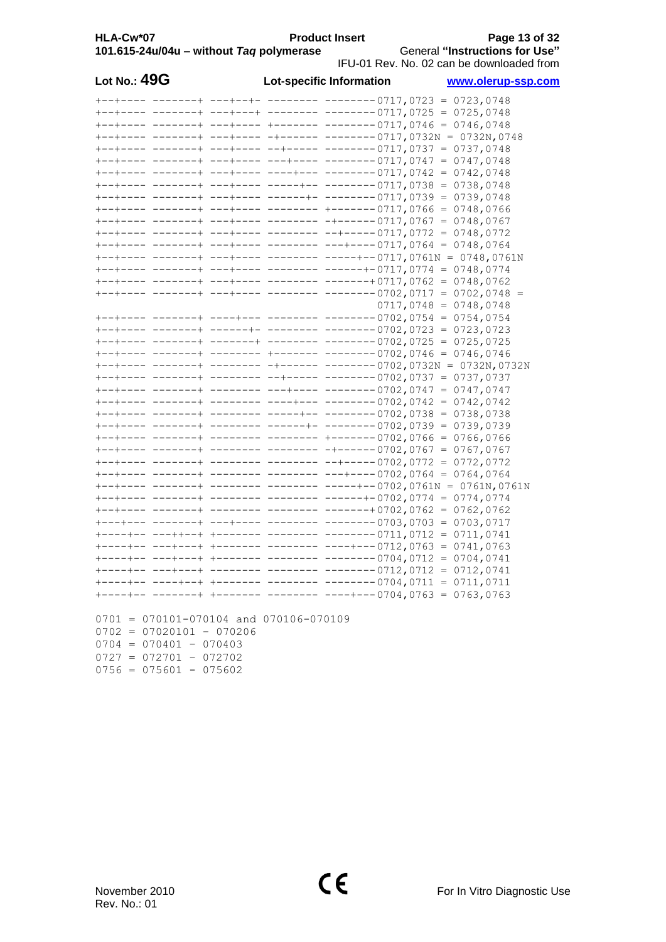|                                                                                                                                                                  | IFU-01 Rev. No. 02 can be downloaded from                              |
|------------------------------------------------------------------------------------------------------------------------------------------------------------------|------------------------------------------------------------------------|
| <b>Lot No.: 49G</b>                                                                                                                                              | <b>Lot-specific Information</b><br>www.olerup-ssp.com                  |
|                                                                                                                                                                  |                                                                        |
|                                                                                                                                                                  |                                                                        |
|                                                                                                                                                                  |                                                                        |
|                                                                                                                                                                  |                                                                        |
|                                                                                                                                                                  |                                                                        |
|                                                                                                                                                                  |                                                                        |
|                                                                                                                                                                  |                                                                        |
|                                                                                                                                                                  |                                                                        |
|                                                                                                                                                                  |                                                                        |
|                                                                                                                                                                  |                                                                        |
|                                                                                                                                                                  |                                                                        |
|                                                                                                                                                                  | $+$ --+---- -------+ ---+---- -------- --+----- 0717,0772 = 0748,0772  |
|                                                                                                                                                                  | $+$ --+---- -------+ ---+---- -------- ---+---- 0717,0764 = 0748,0764  |
|                                                                                                                                                                  | $+$ --+---- -------+ ---+---- ------- -----+--0717,0761N = 0748,0761N  |
|                                                                                                                                                                  |                                                                        |
|                                                                                                                                                                  |                                                                        |
|                                                                                                                                                                  |                                                                        |
|                                                                                                                                                                  | $0717,0748 = 0748,0748$                                                |
|                                                                                                                                                                  |                                                                        |
|                                                                                                                                                                  |                                                                        |
|                                                                                                                                                                  |                                                                        |
|                                                                                                                                                                  |                                                                        |
|                                                                                                                                                                  |                                                                        |
|                                                                                                                                                                  |                                                                        |
|                                                                                                                                                                  |                                                                        |
|                                                                                                                                                                  |                                                                        |
|                                                                                                                                                                  |                                                                        |
|                                                                                                                                                                  |                                                                        |
|                                                                                                                                                                  |                                                                        |
|                                                                                                                                                                  | $+$ --+---- -------+ -------- -------- --+----- 0702,0772 = 0772,0772  |
|                                                                                                                                                                  | $+$ -+---- -------+ ------- ------- ---+---- 0702,0764 = 0764,0764     |
|                                                                                                                                                                  | $+$ --+---- -------+ -------- ------- -----+--0702,0761N = 0761N,0761N |
|                                                                                                                                                                  |                                                                        |
|                                                                                                                                                                  | $+$ -+---- -------+ ------- ------- -------+0702,0762 = 0762,0762      |
|                                                                                                                                                                  |                                                                        |
|                                                                                                                                                                  |                                                                        |
|                                                                                                                                                                  | $+$ ----+-- ---+---+ +------- -------- ----+--- 0712,0763 = 0741,0763  |
|                                                                                                                                                                  |                                                                        |
|                                                                                                                                                                  |                                                                        |
|                                                                                                                                                                  |                                                                        |
|                                                                                                                                                                  | $+$ ----+-- -------+ +------- -------- ----+--- 0704,0763 = 0763,0763  |
| $0701 = 070101 - 070104$ and $070106 - 070109$<br>$0702 = 07020101 - 070206$<br>$0704 = 070401 - 070403$<br>$0727 = 072701 - 072702$<br>$0756 = 075601 - 075602$ |                                                                        |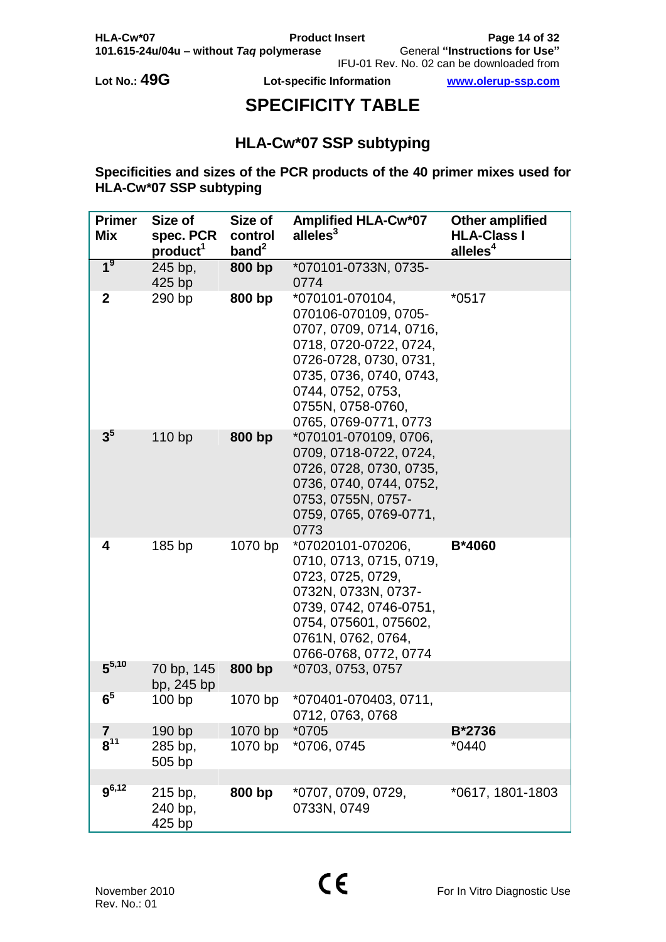## **SPECIFICITY TABLE**

## **HLA-Cw\*07 SSP subtyping**

**Specificities and sizes of the PCR products of the 40 primer mixes used for HLA-Cw\*07 SSP subtyping**

| <b>Primer</b><br>Mix    | Size of<br>spec. PCR<br>product <sup>1</sup> | Size of<br>control<br>band <sup>2</sup> | <b>Amplified HLA-Cw*07</b><br>alleles $3$                                                                                                                                                                            | <b>Other amplified</b><br><b>HLA-Class I</b><br>alleles <sup>4</sup> |
|-------------------------|----------------------------------------------|-----------------------------------------|----------------------------------------------------------------------------------------------------------------------------------------------------------------------------------------------------------------------|----------------------------------------------------------------------|
| 1 <sup>9</sup>          | 245 bp,<br>425 bp                            | 800 bp                                  | *070101-0733N, 0735-<br>0774                                                                                                                                                                                         |                                                                      |
| $\mathbf{2}$            | 290 bp                                       | 800 bp                                  | *070101-070104,<br>070106-070109, 0705-<br>0707, 0709, 0714, 0716,<br>0718, 0720-0722, 0724,<br>0726-0728, 0730, 0731,<br>0735, 0736, 0740, 0743,<br>0744, 0752, 0753,<br>0755N, 0758-0760,<br>0765, 0769-0771, 0773 | *0517                                                                |
| 3 <sup>5</sup>          | 110 bp                                       | 800 bp                                  | *070101-070109, 0706,<br>0709, 0718-0722, 0724,<br>0726, 0728, 0730, 0735,<br>0736, 0740, 0744, 0752,<br>0753, 0755N, 0757-<br>0759, 0765, 0769-0771,<br>0773                                                        |                                                                      |
| 4                       | 185 bp                                       | 1070 bp                                 | *07020101-070206,<br>0710, 0713, 0715, 0719,<br>0723, 0725, 0729,<br>0732N, 0733N, 0737-<br>0739, 0742, 0746-0751,<br>0754, 075601, 075602,<br>0761N, 0762, 0764,<br>0766-0768, 0772, 0774                           | <b>B*4060</b>                                                        |
| $5^{5,10}$              | 70 bp, 145<br>bp, 245 bp                     | 800 bp                                  | *0703, 0753, 0757                                                                                                                                                                                                    |                                                                      |
| 6 <sup>5</sup>          | 100 <sub>bp</sub>                            | 1070 bp                                 | *070401-070403, 0711,<br>0712, 0763, 0768                                                                                                                                                                            |                                                                      |
| $\overline{\mathbf{r}}$ | 190 bp                                       | 1070 bp                                 | *0705                                                                                                                                                                                                                | B*2736                                                               |
| $8^{11}$                | 285 bp,<br>505 bp                            | 1070 bp                                 | *0706, 0745                                                                                                                                                                                                          | *0440                                                                |
| $9^{6,12}$              | 215 bp,<br>240 bp,<br>425 bp                 | 800 bp                                  | *0707, 0709, 0729,<br>0733N, 0749                                                                                                                                                                                    | *0617, 1801-1803                                                     |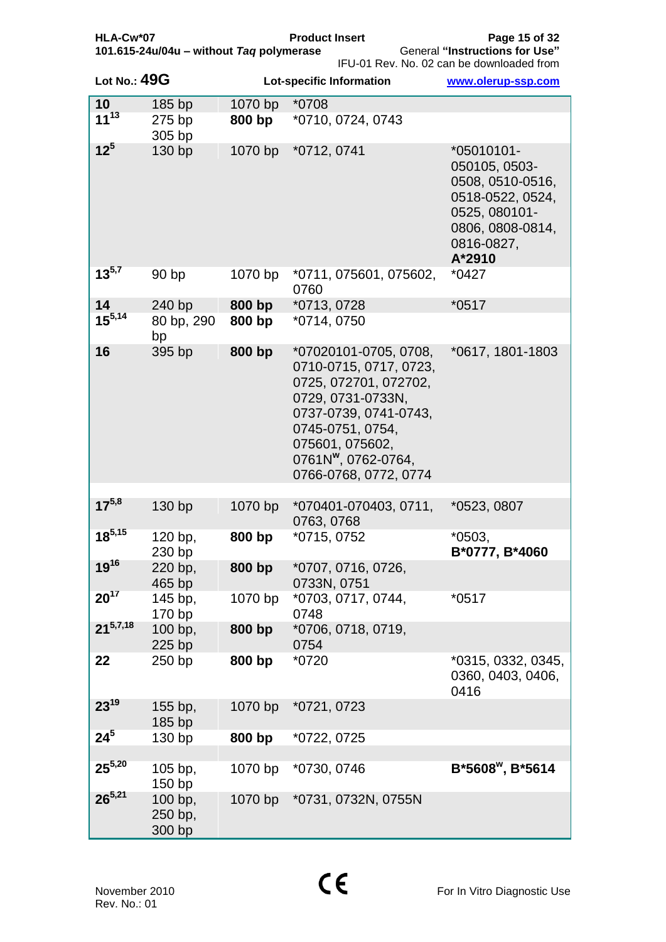| HLA-Cw*07         | 101.615-24u/04u - without Tag polymerase |                   | <b>Product Insert</b>      |                                                                                                                                                                                                              | Page 15 of 32<br><b>General "Instructions for Use"</b><br>IFU-01 Rev. No. 02 can be downloaded from |                                                                                                                                    |  |  |  |  |
|-------------------|------------------------------------------|-------------------|----------------------------|--------------------------------------------------------------------------------------------------------------------------------------------------------------------------------------------------------------|-----------------------------------------------------------------------------------------------------|------------------------------------------------------------------------------------------------------------------------------------|--|--|--|--|
| Lot No.: $49G$    |                                          |                   |                            | <b>Lot-specific Information</b>                                                                                                                                                                              |                                                                                                     | www.olerup-ssp.com                                                                                                                 |  |  |  |  |
| 10<br>$11^{13}$   | 185 bp<br>275 bp<br>305 bp               | 1070 bp<br>800 bp | *0708                      | *0710, 0724, 0743                                                                                                                                                                                            |                                                                                                     |                                                                                                                                    |  |  |  |  |
| $12^{5}$          | 130 bp                                   | $1070$ bp         | *0712, 0741                |                                                                                                                                                                                                              |                                                                                                     | $*05010101-$<br>050105, 0503-<br>0508, 0510-0516,<br>0518-0522, 0524,<br>0525, 080101-<br>0806, 0808-0814,<br>0816-0827,<br>A*2910 |  |  |  |  |
| $13^{5,7}$        | 90 bp                                    | 1070 bp           | 0760                       | *0711, 075601, 075602,                                                                                                                                                                                       |                                                                                                     | $*0427$                                                                                                                            |  |  |  |  |
| 14<br>$15^{5,14}$ | 240 bp<br>80 bp, 290<br>bp               | 800 bp<br>800 bp  | *0713, 0728<br>*0714, 0750 |                                                                                                                                                                                                              |                                                                                                     | $*0517$                                                                                                                            |  |  |  |  |
| 16                | 395 bp                                   | 800 bp            |                            | *07020101-0705, 0708,<br>0710-0715, 0717, 0723,<br>0725, 072701, 072702,<br>0729, 0731-0733N,<br>0737-0739, 0741-0743,<br>0745-0751, 0754,<br>075601, 075602,<br>0761NW, 0762-0764,<br>0766-0768, 0772, 0774 |                                                                                                     | *0617, 1801-1803                                                                                                                   |  |  |  |  |
|                   |                                          |                   |                            |                                                                                                                                                                                                              |                                                                                                     |                                                                                                                                    |  |  |  |  |
| $17^{5,8}$        | 130 bp                                   | 1070 bp           | 0763, 0768                 | *070401-070403, 0711,                                                                                                                                                                                        |                                                                                                     | *0523, 0807                                                                                                                        |  |  |  |  |
| $18^{5,15}$       | 120 bp,<br>230 bp                        | 800 bp            | *0715, 0752                |                                                                                                                                                                                                              |                                                                                                     | *0503,<br>B*0777, B*4060                                                                                                           |  |  |  |  |
| $19^{16}$         | 220 bp,<br>465 bp                        | 800 bp            | 0733N, 0751                | *0707, 0716, 0726,                                                                                                                                                                                           |                                                                                                     |                                                                                                                                    |  |  |  |  |
| $20^{17}$         | 145 bp,<br>170 bp                        | 1070 bp           | 0748                       | *0703, 0717, 0744,                                                                                                                                                                                           |                                                                                                     | $*0517$                                                                                                                            |  |  |  |  |
| $21^{5,7,18}$     | 100 bp,<br>225 bp                        | 800 bp            | 0754                       | *0706, 0718, 0719,                                                                                                                                                                                           |                                                                                                     |                                                                                                                                    |  |  |  |  |
| 22                | 250 bp                                   | 800 bp            | *0720                      |                                                                                                                                                                                                              |                                                                                                     | *0315, 0332, 0345,<br>0360, 0403, 0406,<br>0416                                                                                    |  |  |  |  |
| $23^{19}$         | 155 bp,<br>185 bp                        | 1070 bp           | *0721, 0723                |                                                                                                                                                                                                              |                                                                                                     |                                                                                                                                    |  |  |  |  |
| $24^{5}$          | 130 bp                                   | 800 bp            | *0722, 0725                |                                                                                                                                                                                                              |                                                                                                     |                                                                                                                                    |  |  |  |  |
| $25^{5,20}$       | 105 bp,<br>150 bp                        | 1070 bp           | *0730, 0746                |                                                                                                                                                                                                              |                                                                                                     | B*5608", B*5614                                                                                                                    |  |  |  |  |
| $26^{5,21}$       | 100 bp,<br>250 bp,<br>300 bp             | 1070 bp           |                            | *0731, 0732N, 0755N                                                                                                                                                                                          |                                                                                                     |                                                                                                                                    |  |  |  |  |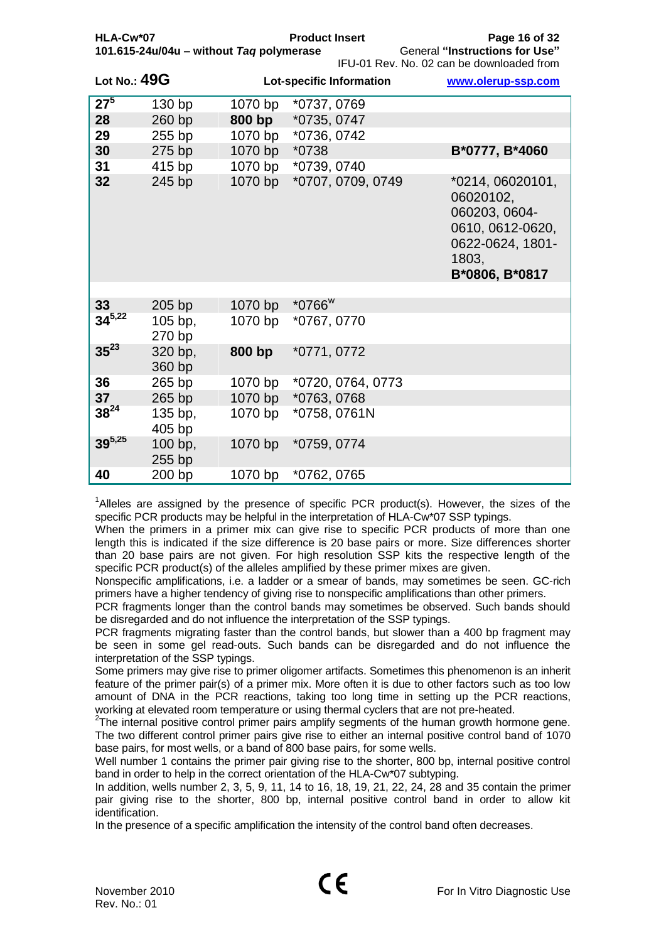| HLA-Cw*07           |                                          |         | <b>Product Insert</b>           |                   | Page 16 of 32                                                                                                     |
|---------------------|------------------------------------------|---------|---------------------------------|-------------------|-------------------------------------------------------------------------------------------------------------------|
|                     | 101.615-24u/04u - without Taq polymerase |         |                                 |                   | <b>General "Instructions for Use"</b><br>IFU-01 Rev. No. 02 can be downloaded from                                |
| <b>Lot No.: 49G</b> |                                          |         |                                 |                   |                                                                                                                   |
|                     |                                          |         | <b>Lot-specific Information</b> |                   | www.olerup-ssp.com                                                                                                |
| $27^{5}$            | 130 bp                                   | 1070 bp | *0737, 0769                     |                   |                                                                                                                   |
| 28                  | 260 bp                                   | 800 bp  | *0735, 0747                     |                   |                                                                                                                   |
| 29                  | 255 bp                                   | 1070 bp | *0736, 0742                     |                   |                                                                                                                   |
| 30                  | 275 bp                                   | 1070 bp | $*0738$                         |                   | B*0777, B*4060                                                                                                    |
| 31                  | 415 bp                                   | 1070 bp | *0739, 0740                     |                   |                                                                                                                   |
| 32                  | 245 bp                                   | 1070 bp |                                 | *0707, 0709, 0749 | *0214, 06020101,<br>06020102,<br>060203, 0604-<br>0610, 0612-0620,<br>0622-0624, 1801-<br>1803,<br>B*0806, B*0817 |
|                     |                                          |         |                                 |                   |                                                                                                                   |
| 33                  | 205 bp                                   | 1070 bp | $*0766^w$                       |                   |                                                                                                                   |
| $34^{5,22}$         | 105 bp,<br>270 bp                        | 1070 bp | *0767, 0770                     |                   |                                                                                                                   |
| $35^{23}$           | 320 bp,<br>360 bp                        | 800 bp  | *0771, 0772                     |                   |                                                                                                                   |
| 36                  | 265 bp                                   | 1070 bp |                                 | *0720, 0764, 0773 |                                                                                                                   |
| 37                  | 265 bp                                   | 1070 bp | *0763, 0768                     |                   |                                                                                                                   |
| $38^{24}$           | 135 bp,<br>405 bp                        | 1070 bp | *0758, 0761N                    |                   |                                                                                                                   |
| $39^{5,25}$         | 100 bp,<br>255 bp                        | 1070 bp | *0759, 0774                     |                   |                                                                                                                   |
| 40                  | 200 bp                                   | 1070 bp | *0762, 0765                     |                   |                                                                                                                   |

<sup>1</sup>Alleles are assigned by the presence of specific PCR product(s). However, the sizes of the specific PCR products may be helpful in the interpretation of HLA-Cw\*07 SSP typings.

When the primers in a primer mix can give rise to specific PCR products of more than one length this is indicated if the size difference is 20 base pairs or more. Size differences shorter than 20 base pairs are not given. For high resolution SSP kits the respective length of the specific PCR product(s) of the alleles amplified by these primer mixes are given.

Nonspecific amplifications, i.e. a ladder or a smear of bands, may sometimes be seen. GC-rich primers have a higher tendency of giving rise to nonspecific amplifications than other primers.

PCR fragments longer than the control bands may sometimes be observed. Such bands should be disregarded and do not influence the interpretation of the SSP typings.

PCR fragments migrating faster than the control bands, but slower than a 400 bp fragment may be seen in some gel read-outs. Such bands can be disregarded and do not influence the interpretation of the SSP typings.

Some primers may give rise to primer oligomer artifacts. Sometimes this phenomenon is an inherit feature of the primer pair(s) of a primer mix. More often it is due to other factors such as too low amount of DNA in the PCR reactions, taking too long time in setting up the PCR reactions,

working at elevated room temperature or using thermal cyclers that are not pre-heated.<br><sup>2</sup>The internal positive control primer pairs amplify segments of the human growth hormone gene. The two different control primer pairs give rise to either an internal positive control band of 1070 base pairs, for most wells, or a band of 800 base pairs, for some wells.

Well number 1 contains the primer pair giving rise to the shorter, 800 bp, internal positive control band in order to help in the correct orientation of the HLA-Cw\*07 subtyping.

In addition, wells number 2, 3, 5, 9, 11, 14 to 16, 18, 19, 21, 22, 24, 28 and 35 contain the primer pair giving rise to the shorter, 800 bp, internal positive control band in order to allow kit identification.

In the presence of a specific amplification the intensity of the control band often decreases.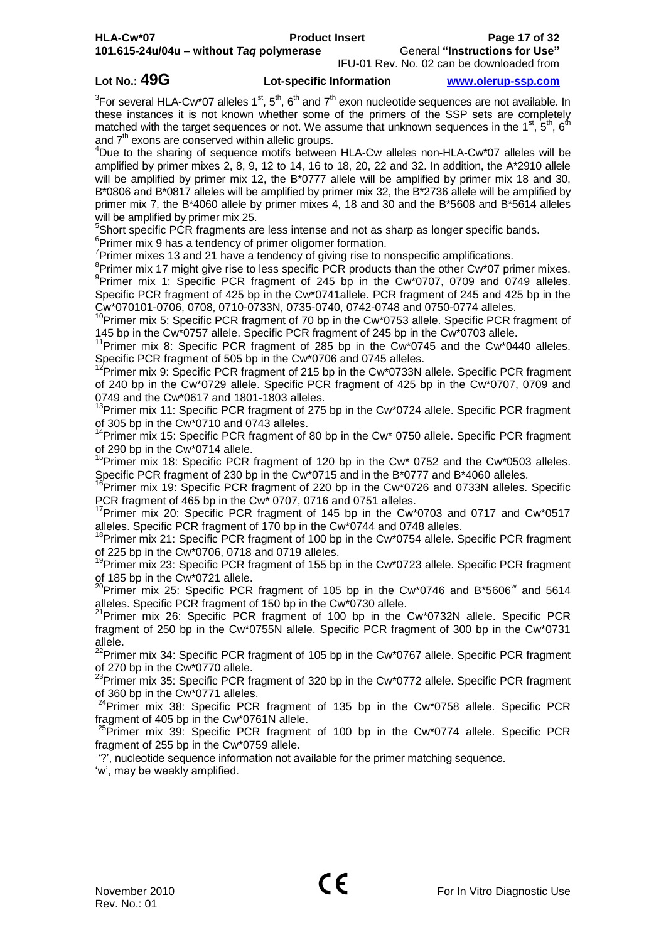#### **Lot No.: 49G Lot-specific Information www.olerup-ssp.com**

 ${}^{3}$ For several HLA-Cw\*07 alleles 1<sup>st</sup>, 5<sup>th</sup>, 6<sup>th</sup> and 7<sup>th</sup> exon nucleotide sequences are not available. In these instances it is not known whether some of the primers of the SSP sets are completely matched with the target sequences or not. We assume that unknown sequences in the 1<sup>st</sup>,  $5<sup>th</sup>$ ,  $6<sup>th</sup>$ and 7<sup>th</sup> exons are conserved within allelic groups.

 $4$ Due to the sharing of sequence motifs between HLA-Cw alleles non-HLA-Cw $*$ 07 alleles will be amplified by primer mixes 2, 8, 9, 12 to 14, 16 to 18, 20, 22 and 32. In addition, the A\*2910 allele will be amplified by primer mix 12, the B\*0777 allele will be amplified by primer mix 18 and 30. B\*0806 and B\*0817 alleles will be amplified by primer mix 32, the B\*2736 allele will be amplified by primer mix 7, the B\*4060 allele by primer mixes 4, 18 and 30 and the B\*5608 and B\*5614 alleles will be amplified by primer mix 25.

<sup>5</sup>Short specific PCR fragments are less intense and not as sharp as longer specific bands.

6 Primer mix 9 has a tendency of primer oligomer formation.

 $7$ Primer mixes 13 and 21 have a tendency of giving rise to nonspecific amplifications.

<sup>8</sup>Primer mix 17 might give rise to less specific PCR products than the other Cw\*07 primer mixes. 9 Primer mix 1: Specific PCR fragment of 245 bp in the Cw\*0707, 0709 and 0749 alleles. Specific PCR fragment of 425 bp in the Cw\*0741allele. PCR fragment of 245 and 425 bp in the Cw\*070101-0706, 0708, 0710-0733N, 0735-0740, 0742-0748 and 0750-0774 alleles.

<sup>10</sup>Primer mix 5: Specific PCR fragment of 70 bp in the Cw\*0753 allele. Specific PCR fragment of

145 bp in the Cw\*0757 allele. Specific PCR fragment of 245 bp in the Cw\*0703 allele.<br><sup>11</sup>Primer mix 8: Specific PCR fragment of 285 bp in the Cw\*0745 and the Cw\*0440 alleles.

Specific PCR fragment of 505 bp in the Cw\*0706 and 0745 alleles.<br><sup>12</sup>Primer mix 9: Specific PCR fragment of 215 bp in the Cw\*0733N allele. Specific PCR fragment of 240 bp in the Cw\*0729 allele. Specific PCR fragment of 425 bp in the Cw\*0707, 0709 and 0749 and the Cw\*0617 and 1801-1803 alleles.

<sup>13</sup> Primer mix 11: Specific PCR fragment of 275 bp in the Cw\*0724 allele. Specific PCR fragment of 305 bp in the Cw\*0710 and 0743 alleles.

<sup>14</sup>Primer mix 15: Specific PCR fragment of 80 bp in the Cw<sup>\*</sup> 0750 allele. Specific PCR fragment of 290 bp in the Cw\*0714 allele.

<sup>15</sup> Primer mix 18: Specific PCR fragment of 120 bp in the Cw<sup>\*</sup> 0752 and the Cw<sup>\*</sup>0503 alleles.

Specific PCR fragment of 230 bp in the Cw\*0715 and in the B\*0777 and B\*4060 alleles.<br><sup>16</sup>Primer mix 19: Specific PCR fragment of 220 bp in the Cw\*0726 and 0733N alleles. Specific PCR fragment of 465 bp in the Cw<sup>\*</sup> 0707, 0716 and 0751 alleles.

<sup>17</sup> Primer mix 20: Specific PCR fragment of 145 bp in the Cw<sup>\*</sup>0703 and 0717 and Cw<sup>\*</sup>0517 alleles. Specific PCR fragment of 170 bp in the Cw\*0744 and 0748 alleles.

<sup>18</sup> Primer mix 21: Specific PCR fragment of 100 bp in the Cw\*0754 allele. Specific PCR fragment

of 225 bp in the Cw\*0706, 0718 and 0719 alleles.<br><sup>19</sup>Primer mix 23: Specific PCR fragment of 155 bp in the Cw\*0723 allele. Specific PCR fragment of 185 bp in the Cw\*0721 allele.

<sup>20</sup>Primer mix 25: Specific PCR fragment of 105 bp in the Cw\*0746 and B\*5606<sup>w</sup> and 5614 alleles. Specific PCR fragment of 150 bp in the Cw\*0730 allele.

 $21$ Primer mix 26: Specific PCR fragment of 100 bp in the Cw\*0732N allele. Specific PCR fragment of 250 bp in the Cw\*0755N allele. Specific PCR fragment of 300 bp in the Cw\*0731 allele.

<sup>22</sup> Primer mix 34: Specific PCR fragment of 105 bp in the Cw\*0767 allele. Specific PCR fragment of 270 bp in the Cw\*0770 allele.

 $^{23}$ Primer mix 35: Specific PCR fragment of 320 bp in the Cw\*0772 allele. Specific PCR fragment of 360 bp in the Cw\*0771 alleles.

 $24$ Primer mix 38: Specific PCR fragment of 135 bp in the Cw\*0758 allele. Specific PCR fragment of 405 bp in the Cw\*0761N allele.

 $^{25}$ Primer mix 39: Specific PCR fragment of 100 bp in the Cw\*0774 allele. Specific PCR fragment of 255 bp in the Cw\*0759 allele.

'?', nucleotide sequence information not available for the primer matching sequence.

'w', may be weakly amplified.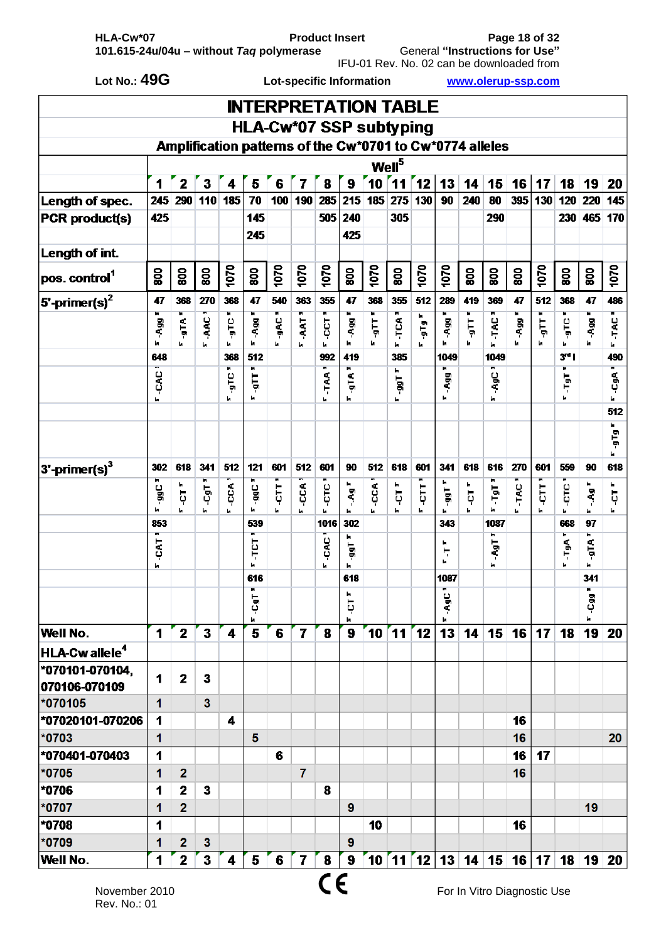| HLA-Cw*07                                | <b>Product Insert</b> | Page 18 of 32                             |
|------------------------------------------|-----------------------|-------------------------------------------|
| 101.615-24u/04u - without Tag polymerase |                       | General "Instructions for Use"            |
|                                          |                       | IFU-01 Rev. No. 02 can be downloaded from |

| <b>INTERPRETATION TABLE</b><br><b>HLA-Cw*07 SSP subtyping</b><br>Amplification patterns of the Cw*0701 to Cw*0774 alleles |               |                                      |                         |                         |               |                |                 |          |                           |                 |                                   |                                 |                         |                              |                  |      |                 |                 |                 |                         |
|---------------------------------------------------------------------------------------------------------------------------|---------------|--------------------------------------|-------------------------|-------------------------|---------------|----------------|-----------------|----------|---------------------------|-----------------|-----------------------------------|---------------------------------|-------------------------|------------------------------|------------------|------|-----------------|-----------------|-----------------|-------------------------|
|                                                                                                                           |               |                                      |                         |                         |               |                |                 |          |                           |                 |                                   |                                 |                         |                              |                  |      |                 |                 |                 |                         |
|                                                                                                                           | 1             | $\mathbf{2}$                         | $\mathbf{3}$            | $\overline{\mathbf{4}}$ | 5             | 6              | 7               | 8        | 9                         |                 | Well <sup>5</sup><br>$10$ 11 $12$ |                                 | 13                      | 14                           | 15               | 16   | 17              | 18              |                 |                         |
| Length of spec.                                                                                                           | 245           | 290                                  |                         | $110$ 185               | 70            | 100            | 190             | 285      | 215                       | 185             | 275                               | 130                             | 90                      | 240                          | 80               | 395  | 130             | 120 220 145     | 19 <sup>1</sup> | <b>20</b>               |
| PCR product(s)                                                                                                            | 425           |                                      |                         |                         | 145           |                |                 | 505      | 240                       |                 | 305                               |                                 |                         |                              | 290              |      |                 |                 | 230 465 170     |                         |
|                                                                                                                           |               |                                      |                         |                         | 245           |                |                 |          | 425                       |                 |                                   |                                 |                         |                              |                  |      |                 |                 |                 |                         |
| Length of int.                                                                                                            |               |                                      |                         |                         |               |                |                 |          |                           |                 |                                   |                                 |                         |                              |                  |      |                 |                 |                 |                         |
| pos. control <sup>1</sup>                                                                                                 | 800           | 800                                  | 800                     | 1070                    | 800           | 1070           | 1070            | 1070     | 800                       | 1070            | 800                               | 1070                            | 1070                    | 800                          | 800              | 800  | 1070            | 800             | 800             | 1070                    |
| $ 5$ '-primer(s) <sup>2</sup>                                                                                             | 47            | 368                                  | 270                     | 368                     | 47            | 540            | 363             | 355      | 47                        | 368             | 355                               | 512                             | 289                     | 419                          | 369              | 47   | 512             | 368             | 47              | 486                     |
|                                                                                                                           | ь<br>Ş        | $\mathfrak{g}^{\intercal\mathsf{A}}$ | <b>AAC</b>              | ь<br>ģΓC                | н<br>50       | gac            | п<br><b>AAT</b> | п<br>ECT | $-499$                    | $\frac{1}{2}$   | TCA                               | ь                               | ь<br>$-4$ gg $^{\circ}$ | $\frac{1}{2}$                | TAC <sup>:</sup> | -Agg | ь<br>ĻĎ         | ξ               | $-4$ gg $-$     | TAC                     |
|                                                                                                                           | h             | и                                    | ы                       | и                       | ы             | h,             | ы               | м        | ы                         | h.              | ы                                 | $\mathbf{q}^{\mathsf{T}}$<br>h, | ы                       | h.                           | h,               | h,   | ы               | ы               | la.             | h                       |
|                                                                                                                           | 648           |                                      |                         | 368                     | 512           |                |                 | 992      | 419                       |                 | 385                               |                                 | 1049                    |                              | 1049             |      |                 | 3 <sup>rd</sup> |                 | 490                     |
|                                                                                                                           | <b>CAC</b>    |                                      |                         | $\frac{1}{2}$           | $\frac{1}{2}$ |                |                 | TAA      | $\mathbf{e}^{\mathbf{I}}$ |                 | ь<br>166                          |                                 | Pov-                    |                              | AgC.             |      |                 | FgT.            |                 | CgA                     |
|                                                                                                                           |               |                                      |                         |                         | ь             |                |                 |          | ы                         |                 | h                                 |                                 | и                       |                              | h,               |      |                 | h,              |                 |                         |
|                                                                                                                           |               |                                      |                         |                         |               |                |                 |          |                           |                 |                                   |                                 |                         |                              |                  |      |                 |                 |                 | 512                     |
|                                                                                                                           |               |                                      |                         |                         |               |                |                 |          |                           |                 |                                   |                                 |                         |                              |                  |      |                 |                 |                 | h<br>$\bar{\mathbf{r}}$ |
|                                                                                                                           |               |                                      |                         |                         |               |                |                 |          |                           |                 |                                   |                                 |                         |                              |                  |      |                 |                 |                 | h                       |
| $3'$ -primer(s) <sup>3</sup>                                                                                              | 302           | 618                                  | 341                     | 512                     | 121           | 601            | 512             | 601      | 90                        | 512             | 618                               | 601                             | 341                     | 618                          | 616              | 270  | 601             | 559             | 90              | 618                     |
|                                                                                                                           | $\frac{1}{2}$ | h<br>Ģ                               | ٦ņ                      | -CCA                    | ិត<br>តំ      | Ę              | -CCA            | Ę        | $-49$                     | $F$ -CCA        | h<br>$\overline{\mathbf{C}}$      | $\frac{1}{2}$                   | ь<br>$-99$              | h<br>$\overline{\mathbf{c}}$ | FgT.             | TAC. | Ę               | ξC              | $-49$           | h                       |
|                                                                                                                           | ь             | ы                                    | h,                      | <b>L</b>                | ы             | ы              | ы               | и        | h,                        |                 | ь                                 | $\mathbf{b}$                    | м                       |                              | ы                | ы    | ы               | h,              | k,              | Ģ<br>и                  |
|                                                                                                                           | 853           |                                      |                         |                         | 539           |                |                 | 1016     | 302                       |                 |                                   |                                 | 343                     |                              | 1087             |      |                 | 668             | 97              |                         |
|                                                                                                                           | <b>CAT</b>    |                                      |                         |                         | ŢΩL           |                |                 | CAC      | Tóc.                      |                 |                                   |                                 | ь<br>H                  |                              | Toy.             |      |                 | Fig.R           | -gTA            |                         |
|                                                                                                                           |               |                                      |                         |                         |               |                |                 |          | ь                         |                 |                                   |                                 | ы                       |                              | h,               |      |                 | h               | ы               |                         |
|                                                                                                                           |               |                                      |                         |                         | 616<br>п      |                |                 |          | 618                       |                 |                                   |                                 | 1087                    |                              |                  |      |                 |                 | 341             |                         |
|                                                                                                                           |               |                                      |                         |                         | 真<br>Ģ        |                |                 |          | ь<br>ឆ្                   |                 |                                   |                                 | <b>AgC</b>              |                              |                  |      |                 |                 | 몱<br>۹          |                         |
|                                                                                                                           |               |                                      |                         |                         | и             |                |                 |          | h.                        |                 |                                   |                                 | h.                      |                              |                  |      |                 |                 | h.              |                         |
| <b>Well No.</b>                                                                                                           | 1             | $\overline{2}$                       | $\mathbf{3}$            | 4                       | 5             | 6              | $\overline{7}$  | 8        | $\mathbf{9}$              | 10 <sub>1</sub> | $11$ 12                           |                                 | 13                      |                              | $14$ 15 16       |      | 17 <sup>1</sup> | 18              | 19              | 20                      |
| $ $ HLA-Cw allele $^4\,$                                                                                                  |               |                                      |                         |                         |               |                |                 |          |                           |                 |                                   |                                 |                         |                              |                  |      |                 |                 |                 |                         |
| *070101-070104,                                                                                                           | 1             | $\mathbf{2}$                         | 3                       |                         |               |                |                 |          |                           |                 |                                   |                                 |                         |                              |                  |      |                 |                 |                 |                         |
| 070106-070109<br>*070105                                                                                                  | 1             |                                      | 3 <sup>2</sup>          |                         |               |                |                 |          |                           |                 |                                   |                                 |                         |                              |                  |      |                 |                 |                 |                         |
| *07020101-070206                                                                                                          | 1             |                                      |                         | 4                       |               |                |                 |          |                           |                 |                                   |                                 |                         |                              |                  | 16   |                 |                 |                 |                         |
| *0703                                                                                                                     | 1             |                                      |                         |                         | 5             |                |                 |          |                           |                 |                                   |                                 |                         |                              |                  | 16   |                 |                 |                 | 20                      |
| *070401-070403                                                                                                            | 1             |                                      |                         |                         |               | $6\phantom{1}$ |                 |          |                           |                 |                                   |                                 |                         |                              |                  | 16   | 17              |                 |                 |                         |
| *0705                                                                                                                     | 1             | $\overline{2}$                       |                         |                         |               |                | $\overline{7}$  |          |                           |                 |                                   |                                 |                         |                              |                  | 16   |                 |                 |                 |                         |
| *0706                                                                                                                     | 1             | $\mathbf{2}$                         | $\mathbf{3}$            |                         |               |                |                 | 8        |                           |                 |                                   |                                 |                         |                              |                  |      |                 |                 |                 |                         |
| *0707                                                                                                                     | 1             | $\overline{2}$                       |                         |                         |               |                |                 |          | 9                         |                 |                                   |                                 |                         |                              |                  |      |                 |                 | 19              |                         |
| *0708                                                                                                                     | 1             |                                      |                         |                         |               |                |                 |          |                           | 10              |                                   |                                 |                         |                              |                  | 16   |                 |                 |                 |                         |
| *0709                                                                                                                     | 1             | $\overline{2}$                       | 3                       |                         |               |                |                 |          | 9                         |                 |                                   |                                 |                         |                              |                  |      |                 |                 |                 |                         |
| <b>Well No.</b>                                                                                                           | 1             | $\mathbf{2}$                         | $\overline{\mathbf{3}}$ | 4                       | 5             | 6              | $\overline{7}$  | 8        | $\boldsymbol{9}$          | 10 <sub>1</sub> | $^{\prime}$ 11                    | $\boxed{12}$                    |                         | $13$ 14 15                   |                  | 16   | 17 <sup>1</sup> | 18              | 19 <sup>1</sup> | 20                      |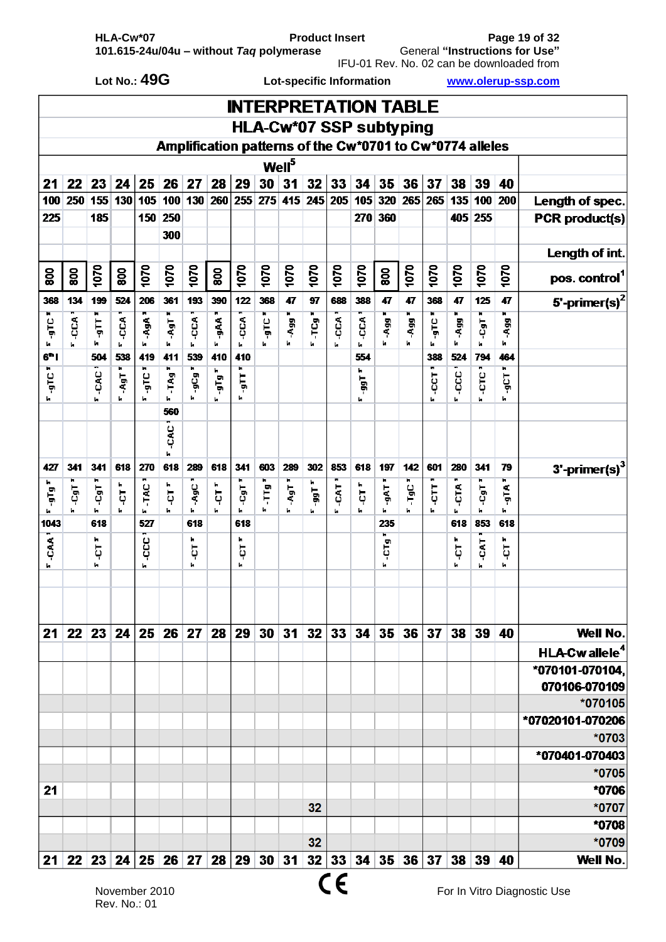| HLA-Cw*07                                | <b>Product Insert</b> | Page 19 of 32                             |
|------------------------------------------|-----------------------|-------------------------------------------|
| 101.615-24u/04u - without Tag polymerase |                       | General "Instructions for Use"            |
|                                          |                       | IFU-01 Rev. No. 02 can be downloaded from |

 $\mathbf{r}$ 

|                              |                                                                               |                     |                 |                 |           |               |               |                    |                  | <b>INTERPRETATION TABLE</b>    |                  |                     |                         |                |                       |                        |            |                  |      |                     |
|------------------------------|-------------------------------------------------------------------------------|---------------------|-----------------|-----------------|-----------|---------------|---------------|--------------------|------------------|--------------------------------|------------------|---------------------|-------------------------|----------------|-----------------------|------------------------|------------|------------------|------|---------------------|
|                              |                                                                               |                     |                 |                 |           |               |               |                    |                  | <b>HLA-Cw*07 SSP subtyping</b> |                  |                     |                         |                |                       |                        |            |                  |      |                     |
|                              | Amplification patterns of the Cw*0701 to Cw*0774 alleles<br>Well <sup>5</sup> |                     |                 |                 |           |               |               |                    |                  |                                |                  |                     |                         |                |                       |                        |            |                  |      |                     |
|                              |                                                                               |                     |                 |                 |           |               |               |                    |                  |                                |                  |                     |                         |                |                       |                        |            |                  |      |                     |
|                              |                                                                               | 38 39 40            |                 | 37              | 34 35 36  |               |               | 33                 | 32               | 31                             | 30 <sup>°</sup>  | 29                  | 28                      |                | 26 27                 | 25                     |            | 23 24            | 22   | 21                  |
| Length of spec.              |                                                                               | 265 265 135 100 200 |                 |                 |           | 320           | 105           |                    |                  | 255   275   415   245   205    |                  |                     |                         |                | 105 100 130 260       | 150 250                |            | 250 155 130      |      | 100                 |
| PCR product(s)               |                                                                               |                     | 405 255         |                 |           | 270 360       |               |                    |                  |                                |                  |                     |                         |                | 300                   |                        |            | 185              |      | 225                 |
| Length of int.               |                                                                               |                     |                 |                 |           |               |               |                    |                  |                                |                  |                     |                         |                |                       |                        |            |                  |      |                     |
| pos. control                 | 1070                                                                          | 1070                | 1070            | 1070            | 1070      | 800           | 1070          | 1070               | 1070             | 1070                           | 1070             | 1070                | 800                     | 1070           | 1070                  | 1070                   | 800        | 1070             | 800  | 800                 |
| $5$ -primer(s) <sup>2</sup>  | 47                                                                            | 125                 | 47              | 368             | 47        | 47            | 388           | 688                | 97               | 47                             | 368              | 122                 | 390                     | 193            | 361                   | 206                    | 524        | 199              | 134  | 368                 |
|                              | $-499$                                                                        | -CgT                | 499             | ά.              | $-4.99 -$ | $A$ gg $^*$   | -CCA          | $\ddot{\tilde{c}}$ | $TCg^*$          | $-4.99$ $^{*}$                 | $\frac{1}{2}$    | es.                 | AA                      | <b>CCA</b>     | Toy.                  | -AgA                   | <b>CCA</b> | $\frac{1}{2}$    | -CCA | Ĕ                   |
|                              | h.<br>464                                                                     | h,<br>794           | h.<br>524       | h,<br>388       | h.        | h.            | h.<br>554     | h.                 |                  | h.                             |                  | ы<br>410            | h.<br>410               | h.<br>539      | h.<br>411             | la.<br>419             | h.<br>538  | h,<br>504        |      | ы<br>6 <sup>m</sup> |
|                              |                                                                               |                     |                 |                 |           |               |               |                    |                  |                                |                  |                     |                         |                |                       |                        |            |                  |      |                     |
|                              | -gCT<br>ы                                                                     | cro<br>h.           | ecc             | Ģ<br>М          |           |               | Tór-<br>h.    |                    |                  |                                |                  | i.<br>Le            | -919 *<br>k.            | gŪg            | TAg <sup>1</sup><br>и | άé                     | Ę          | CAC<br>и         |      | ğ                   |
|                              |                                                                               |                     |                 |                 |           |               |               |                    |                  |                                |                  |                     |                         |                | 560                   |                        |            |                  |      |                     |
|                              |                                                                               |                     |                 |                 |           |               |               |                    |                  |                                |                  |                     |                         |                | CAC                   |                        |            |                  |      |                     |
| $3'$ -primer(s) <sup>3</sup> | 79                                                                            | 341                 | 280             | 601             | 142       | 197           | 618           | 853                | 302              | 289                            | 603              | 341                 | 618                     | 289            | h.<br>618             | 270                    | 618        | 341              | 341  | 427                 |
|                              | $\frac{1}{2}$                                                                 |                     | -CTA            |                 | iac.      | -pp-          | ь.            | CAT <sup>-</sup>   | ь                | <b>F</b> 16v                   | $\overline{119}$ | -CgT                | h.                      | AgC            | h                     | $-$ TAC $\overline{ }$ | h.         |                  |      | ь                   |
|                              | h.                                                                            | $E = CgT$           | ы               | $-CT$           | h.        | ы             | Ģ<br>h.       | h,                 | $-90^\circ$<br>м | k.                             |                  | и                   | $\overline{\mathbf{p}}$ | h.             | Ģ<br>м                | h,                     | Ģ          | <b>CgT</b><br>h, | ξī   | Ę<br>ы              |
|                              | 618                                                                           | 853                 | 618             |                 |           | 235           |               |                    |                  |                                |                  | 618                 |                         | 618            |                       | 527                    |            | 618              |      | 1043                |
|                              | Ģ                                                                             | CAT <sup>-</sup>    | h<br>Ģ          |                 |           | $\frac{5}{5}$ |               |                    |                  |                                |                  | h<br>$\overline{5}$ |                         | $\overline{5}$ |                       | ë                      |            | h<br>Ģ           |      | <b>CAA</b>          |
|                              | h.                                                                            | и                   | 'n              |                 |           | м             |               |                    |                  |                                |                  | и                   |                         | h.             |                       | h.                     |            | м                |      |                     |
|                              |                                                                               |                     |                 |                 |           |               |               |                    |                  |                                |                  |                     |                         |                |                       |                        |            |                  |      |                     |
| <b>Well No.</b>              |                                                                               | 38 39 40            |                 | 37 <sup>1</sup> |           |               | $33$ 34 35 36 |                    | 32               | 30 31                          |                  | 29                  | <b>28</b>               |                | 25 26 27              |                        |            | 22 23 24         |      | 21 <sup>1</sup>     |
| HLA-Cwallele <sup>4</sup>    |                                                                               |                     |                 |                 |           |               |               |                    |                  |                                |                  |                     |                         |                |                       |                        |            |                  |      |                     |
| *070101-070104,              |                                                                               |                     |                 |                 |           |               |               |                    |                  |                                |                  |                     |                         |                |                       |                        |            |                  |      |                     |
| 070106-070109                |                                                                               |                     |                 |                 |           |               |               |                    |                  |                                |                  |                     |                         |                |                       |                        |            |                  |      |                     |
| *070105                      |                                                                               |                     |                 |                 |           |               |               |                    |                  |                                |                  |                     |                         |                |                       |                        |            |                  |      |                     |
| *07020101-070206             |                                                                               |                     |                 |                 |           |               |               |                    |                  |                                |                  |                     |                         |                |                       |                        |            |                  |      |                     |
| *0703                        |                                                                               |                     |                 |                 |           |               |               |                    |                  |                                |                  |                     |                         |                |                       |                        |            |                  |      |                     |
| *070401-070403               |                                                                               |                     |                 |                 |           |               |               |                    |                  |                                |                  |                     |                         |                |                       |                        |            |                  |      |                     |
| *0705                        |                                                                               |                     |                 |                 |           |               |               |                    |                  |                                |                  |                     |                         |                |                       |                        |            |                  |      |                     |
| *0706                        |                                                                               |                     |                 |                 |           |               |               |                    |                  |                                |                  |                     |                         |                |                       |                        |            |                  |      | 21                  |
| *0707                        |                                                                               |                     |                 |                 |           |               |               |                    | 32               |                                |                  |                     |                         |                |                       |                        |            |                  |      |                     |
| *0708<br>*0709               |                                                                               |                     |                 |                 |           |               |               |                    | 32               |                                |                  |                     |                         |                |                       |                        |            |                  |      |                     |
| Well No.                     |                                                                               | 39 40               | 38 <sup>°</sup> | 37              | 36        | 35            | 34            | 33                 | 32               | 31                             | 30               | 29                  | 28                      | 27             | 26                    | 25                     | 24         | 23               | 22   | 21                  |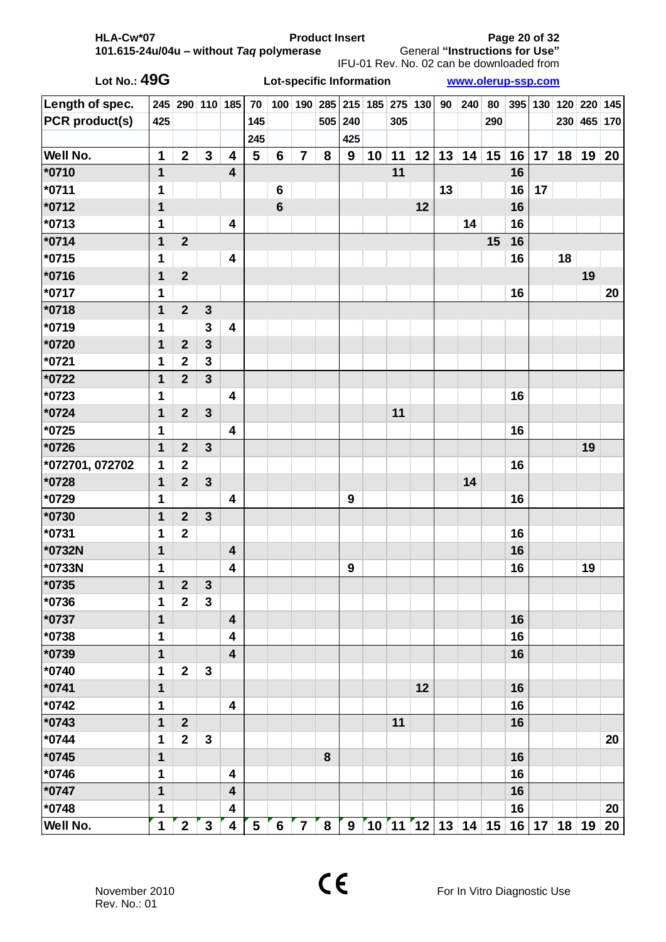| HLA-Cw*07                                | <b>Product Insert</b> | Page 20 of 32                             |
|------------------------------------------|-----------------------|-------------------------------------------|
| 101.615-24u/04u – without Tag polymerase |                       | General "Instructions for Use"            |
|                                          |                       | IFU-01 Rev. No. 02 can be downloaded from |

| Length of spec. |             |                         | 245 290 110 185 |                         | 70             |                |                |            | 100 190 285 215 185 275 130 |    |     |    | 90 | 240 | 80  | 395                                                   |    |    | 130 120 220 145 |    |
|-----------------|-------------|-------------------------|-----------------|-------------------------|----------------|----------------|----------------|------------|-----------------------------|----|-----|----|----|-----|-----|-------------------------------------------------------|----|----|-----------------|----|
| PCR product(s)  | 425         |                         |                 |                         | 145            |                |                |            | 505 240                     |    | 305 |    |    |     | 290 |                                                       |    |    | 230 465 170     |    |
|                 |             |                         |                 |                         | 245            |                |                |            | 425                         |    |     |    |    |     |     |                                                       |    |    |                 |    |
| Well No.        | $\mathbf 1$ | $\mathbf{2}$            | $\mathbf{3}$    | 4                       | 5              | $6\phantom{1}$ | $\overline{7}$ | 8          | 9                           | 10 | 11  | 12 | 13 | 14  | 15  | 16                                                    | 17 | 18 | 19              | 20 |
| *0710           | 1           |                         |                 | $\overline{\mathbf{4}}$ |                |                |                |            |                             |    | 11  |    |    |     |     | 16                                                    |    |    |                 |    |
| $*0711$         | 1           |                         |                 |                         |                | $6\phantom{1}$ |                |            |                             |    |     |    | 13 |     |     | 16                                                    | 17 |    |                 |    |
| $*0712$         | 1           |                         |                 |                         |                | $6\phantom{1}$ |                |            |                             |    |     | 12 |    |     |     | 16                                                    |    |    |                 |    |
| $*0713$         | 1           |                         |                 | 4                       |                |                |                |            |                             |    |     |    |    | 14  |     | 16                                                    |    |    |                 |    |
| $*0714$         | 1           | $\overline{2}$          |                 |                         |                |                |                |            |                             |    |     |    |    |     | 15  | 16                                                    |    |    |                 |    |
| $*0715$         | 1           |                         |                 | 4                       |                |                |                |            |                             |    |     |    |    |     |     | 16                                                    |    | 18 |                 |    |
| *0716           | 1           | $\overline{\mathbf{2}}$ |                 |                         |                |                |                |            |                             |    |     |    |    |     |     |                                                       |    |    | 19              |    |
| $*0717$         | 1           |                         |                 |                         |                |                |                |            |                             |    |     |    |    |     |     | 16                                                    |    |    |                 | 20 |
| *0718           | 1           | $\overline{2}$          | $\mathbf{3}$    |                         |                |                |                |            |                             |    |     |    |    |     |     |                                                       |    |    |                 |    |
| *0719           | 1           |                         | 3               | $\overline{\mathbf{4}}$ |                |                |                |            |                             |    |     |    |    |     |     |                                                       |    |    |                 |    |
| *0720           | 1           | $\mathbf{2}$            | $\mathbf{3}$    |                         |                |                |                |            |                             |    |     |    |    |     |     |                                                       |    |    |                 |    |
| *0721           | 1           | $\mathbf{2}$            | $\mathbf{3}$    |                         |                |                |                |            |                             |    |     |    |    |     |     |                                                       |    |    |                 |    |
| $*0722$         | 1           | 2 <sup>2</sup>          | $\mathbf{3}$    |                         |                |                |                |            |                             |    |     |    |    |     |     |                                                       |    |    |                 |    |
| $*0723$         | 1           |                         |                 | $\overline{\mathbf{4}}$ |                |                |                |            |                             |    |     |    |    |     |     | 16                                                    |    |    |                 |    |
| $*0724$         | 1           | $\mathbf{2}$            | $\mathbf{3}$    |                         |                |                |                |            |                             |    | 11  |    |    |     |     |                                                       |    |    |                 |    |
| $*0725$         | 1           |                         |                 | $\overline{\mathbf{4}}$ |                |                |                |            |                             |    |     |    |    |     |     | 16                                                    |    |    |                 |    |
| $*0726$         | 1           | $\boldsymbol{2}$        | $\mathbf{3}$    |                         |                |                |                |            |                             |    |     |    |    |     |     |                                                       |    |    | 19              |    |
| *072701, 072702 | 1           | $\overline{2}$          |                 |                         |                |                |                |            |                             |    |     |    |    |     |     | 16                                                    |    |    |                 |    |
| $*0728$         | 1           | $\overline{2}$          | $\mathbf{3}$    |                         |                |                |                |            |                             |    |     |    |    | 14  |     |                                                       |    |    |                 |    |
| *0729           | 1           |                         |                 | $\overline{\mathbf{4}}$ |                |                |                |            | $\boldsymbol{9}$            |    |     |    |    |     |     | 16                                                    |    |    |                 |    |
| *0730           | 1           | $\overline{2}$          | $\mathbf{3}$    |                         |                |                |                |            |                             |    |     |    |    |     |     |                                                       |    |    |                 |    |
| $*0731$         | 1           | $\mathbf{2}$            |                 |                         |                |                |                |            |                             |    |     |    |    |     |     | 16                                                    |    |    |                 |    |
| *0732N          | 1           |                         |                 | $\overline{\mathbf{4}}$ |                |                |                |            |                             |    |     |    |    |     |     | 16                                                    |    |    |                 |    |
| *0733N          | 1           |                         |                 | $\overline{\mathbf{4}}$ |                |                |                |            | $\boldsymbol{9}$            |    |     |    |    |     |     | 16                                                    |    |    | 19              |    |
| *0735           | 1           | $\mathbf{2}$            | $\mathbf{3}$    |                         |                |                |                |            |                             |    |     |    |    |     |     |                                                       |    |    |                 |    |
| $*0736$         | 1           | $\mathbf{2}$            | $\mathbf{3}$    |                         |                |                |                |            |                             |    |     |    |    |     |     |                                                       |    |    |                 |    |
| *0737           | 1           |                         |                 | $\overline{\mathbf{4}}$ |                |                |                |            |                             |    |     |    |    |     |     | 16                                                    |    |    |                 |    |
| *0738           | 1           |                         |                 | $\overline{\mathbf{4}}$ |                |                |                |            |                             |    |     |    |    |     |     | 16                                                    |    |    |                 |    |
| $*0739$         | 1           |                         |                 | $\overline{\mathbf{4}}$ |                |                |                |            |                             |    |     |    |    |     |     | 16                                                    |    |    |                 |    |
| $*0740$         | 1           | $\overline{2}$          | $\mathbf{3}$    |                         |                |                |                |            |                             |    |     |    |    |     |     |                                                       |    |    |                 |    |
| $*0741$         | 1           |                         |                 |                         |                |                |                |            |                             |    |     | 12 |    |     |     | 16                                                    |    |    |                 |    |
| $*0742$         | 1           |                         |                 | 4                       |                |                |                |            |                             |    |     |    |    |     |     | 16                                                    |    |    |                 |    |
| $*0743$         | 1           | $\overline{2}$          |                 |                         |                |                |                |            |                             |    | 11  |    |    |     |     | 16                                                    |    |    |                 |    |
| $*0744$         | 1           | $\overline{2}$          | $\mathbf{3}$    |                         |                |                |                |            |                             |    |     |    |    |     |     |                                                       |    |    |                 | 20 |
| $*0745$         | 1           |                         |                 |                         |                |                |                | 8          |                             |    |     |    |    |     |     | 16                                                    |    |    |                 |    |
| *0746           | 1           |                         |                 | 4                       |                |                |                |            |                             |    |     |    |    |     |     | 16                                                    |    |    |                 |    |
| $*0747$         | $\mathbf 1$ |                         |                 | $\overline{\mathbf{4}}$ |                |                |                |            |                             |    |     |    |    |     |     | 16                                                    |    |    |                 |    |
| $*0748$         | 1           |                         |                 | 4                       |                |                |                |            |                             |    |     |    |    |     |     | 16                                                    |    |    |                 | 20 |
| Well No.        | $\mathbf 1$ | $\overline{2}$          | $\mathbf{3}$    | $\overline{\mathbf{4}}$ | $5\phantom{1}$ | $6\phantom{1}$ | $\sqrt{7}$     | $\sqrt{8}$ |                             |    |     |    |    |     |     | $9   10   11   12   13   14   15   16   17   18   19$ |    |    |                 | 20 |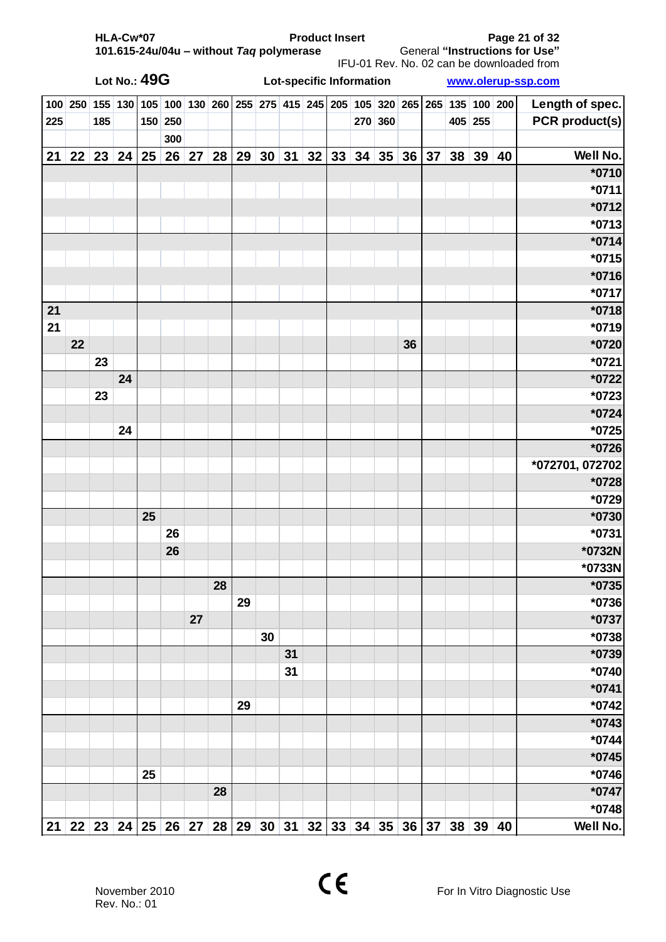|     |    |                                              | HLA-Cw*07<br><b>Product Insert</b><br>101.615-24u/04u - without Taq polymerase |                                                        |         |    |                                                                                 |    |               |    |    |    |          | Page 21 of 32<br><b>General "Instructions for Use"</b><br>IFU-01 Rev. No. 02 can be downloaded from |    |    |    |         |    |                    |
|-----|----|----------------------------------------------|--------------------------------------------------------------------------------|--------------------------------------------------------|---------|----|---------------------------------------------------------------------------------|----|---------------|----|----|----|----------|-----------------------------------------------------------------------------------------------------|----|----|----|---------|----|--------------------|
|     |    |                                              |                                                                                | <b>Lot No.: 49G</b><br><b>Lot-specific Information</b> |         |    |                                                                                 |    |               |    |    |    |          |                                                                                                     |    |    |    |         |    | www.olerup-ssp.com |
|     |    |                                              |                                                                                |                                                        |         |    | 100 250 155 130 105 100 130 260 255 275 415 245 205 105 320 265 265 135 100 200 |    |               |    |    |    |          |                                                                                                     |    |    |    |         |    | Length of spec.    |
| 225 |    | 185                                          |                                                                                |                                                        | 150 250 |    |                                                                                 |    |               |    |    |    |          | 270 360                                                                                             |    |    |    | 405 255 |    | PCR product(s)     |
|     |    |                                              |                                                                                |                                                        | 300     |    |                                                                                 |    |               |    |    |    |          |                                                                                                     |    |    |    |         |    |                    |
| 21  | 22 | 23                                           | 24                                                                             | 25                                                     | 26      | 27 | 28                                                                              | 29 | 30            | 31 | 32 | 33 | 34       | 35                                                                                                  | 36 | 37 | 38 | 39      | 40 | Well No.           |
|     |    |                                              |                                                                                |                                                        |         |    |                                                                                 |    |               |    |    |    |          |                                                                                                     |    |    |    |         |    | *0710              |
|     |    |                                              |                                                                                |                                                        |         |    |                                                                                 |    |               |    |    |    |          |                                                                                                     |    |    |    |         |    | $*0711$            |
|     |    |                                              |                                                                                |                                                        |         |    |                                                                                 |    |               |    |    |    |          |                                                                                                     |    |    |    |         |    | *0712              |
|     |    |                                              |                                                                                |                                                        |         |    |                                                                                 |    |               |    |    |    |          |                                                                                                     |    |    |    |         |    | $*0713$            |
|     |    |                                              |                                                                                |                                                        |         |    |                                                                                 |    |               |    |    |    |          |                                                                                                     |    |    |    |         |    | *0714              |
|     |    |                                              |                                                                                |                                                        |         |    |                                                                                 |    |               |    |    |    |          |                                                                                                     |    |    |    |         |    | *0715              |
|     |    |                                              |                                                                                |                                                        |         |    |                                                                                 |    |               |    |    |    |          |                                                                                                     |    |    |    |         |    | *0716              |
|     |    |                                              |                                                                                |                                                        |         |    |                                                                                 |    |               |    |    |    |          |                                                                                                     |    |    |    |         |    | *0717              |
| 21  |    |                                              |                                                                                |                                                        |         |    |                                                                                 |    |               |    |    |    |          |                                                                                                     |    |    |    |         |    | *0718              |
| 21  |    |                                              |                                                                                |                                                        |         |    |                                                                                 |    |               |    |    |    |          |                                                                                                     |    |    |    |         |    | *0719              |
|     | 22 |                                              |                                                                                |                                                        |         |    |                                                                                 |    |               |    |    |    |          |                                                                                                     | 36 |    |    |         |    | *0720              |
|     |    | 23                                           |                                                                                |                                                        |         |    |                                                                                 |    |               |    |    |    |          |                                                                                                     |    |    |    |         |    | $*0721$            |
|     |    |                                              | 24                                                                             |                                                        |         |    |                                                                                 |    |               |    |    |    |          |                                                                                                     |    |    |    |         |    | *0722              |
|     |    | 23                                           |                                                                                |                                                        |         |    |                                                                                 |    |               |    |    |    |          |                                                                                                     |    |    |    |         |    | *0723              |
|     |    |                                              |                                                                                |                                                        |         |    |                                                                                 |    |               |    |    |    |          |                                                                                                     |    |    |    |         |    | *0724              |
|     |    |                                              | 24                                                                             |                                                        |         |    |                                                                                 |    |               |    |    |    |          |                                                                                                     |    |    |    |         |    | *0725              |
|     |    |                                              |                                                                                |                                                        |         |    |                                                                                 |    |               |    |    |    |          |                                                                                                     |    |    |    |         |    | *0726              |
|     |    |                                              |                                                                                |                                                        |         |    |                                                                                 |    |               |    |    |    |          |                                                                                                     |    |    |    |         |    | *072701, 072702    |
|     |    |                                              |                                                                                |                                                        |         |    |                                                                                 |    |               |    |    |    |          |                                                                                                     |    |    |    |         |    | *0728              |
|     |    |                                              |                                                                                |                                                        |         |    |                                                                                 |    |               |    |    |    |          |                                                                                                     |    |    |    |         |    | *0729              |
|     |    |                                              |                                                                                | 25                                                     |         |    |                                                                                 |    |               |    |    |    |          |                                                                                                     |    |    |    |         |    | *0730              |
|     |    |                                              |                                                                                |                                                        | 26      |    |                                                                                 |    |               |    |    |    |          |                                                                                                     |    |    |    |         |    | $*0731$            |
|     |    |                                              |                                                                                |                                                        | 26      |    |                                                                                 |    |               |    |    |    |          |                                                                                                     |    |    |    |         |    | *0732N             |
|     |    |                                              |                                                                                |                                                        |         |    |                                                                                 |    |               |    |    |    |          |                                                                                                     |    |    |    |         |    | *0733N             |
|     |    |                                              |                                                                                |                                                        |         |    | 28                                                                              |    |               |    |    |    |          |                                                                                                     |    |    |    |         |    | *0735              |
|     |    |                                              |                                                                                |                                                        |         |    |                                                                                 | 29 |               |    |    |    |          |                                                                                                     |    |    |    |         |    | *0736              |
|     |    |                                              |                                                                                |                                                        |         | 27 |                                                                                 |    |               |    |    |    |          |                                                                                                     |    |    |    |         |    | $*0737$            |
|     |    |                                              |                                                                                |                                                        |         |    |                                                                                 |    | 30            |    |    |    |          |                                                                                                     |    |    |    |         |    | $*0738$            |
|     |    |                                              |                                                                                |                                                        |         |    |                                                                                 |    |               | 31 |    |    |          |                                                                                                     |    |    |    |         |    | $*0739$            |
|     |    |                                              |                                                                                |                                                        |         |    |                                                                                 |    |               | 31 |    |    |          |                                                                                                     |    |    |    |         |    | $*0740$            |
|     |    |                                              |                                                                                |                                                        |         |    |                                                                                 |    |               |    |    |    |          |                                                                                                     |    |    |    |         |    | $*0741$            |
|     |    |                                              |                                                                                |                                                        |         |    |                                                                                 | 29 |               |    |    |    |          |                                                                                                     |    |    |    |         |    | $*0742$            |
|     |    |                                              |                                                                                |                                                        |         |    |                                                                                 |    |               |    |    |    |          |                                                                                                     |    |    |    |         |    | $*0743$            |
|     |    |                                              |                                                                                |                                                        |         |    |                                                                                 |    |               |    |    |    |          |                                                                                                     |    |    |    |         |    | $*0744$            |
|     |    |                                              |                                                                                |                                                        |         |    |                                                                                 |    |               |    |    |    |          |                                                                                                     |    |    |    |         |    | $*0745$            |
|     |    |                                              |                                                                                | 25                                                     |         |    |                                                                                 |    |               |    |    |    |          |                                                                                                     |    |    |    |         |    | $*0746$            |
|     |    |                                              |                                                                                |                                                        |         |    | 28                                                                              |    |               |    |    |    |          |                                                                                                     |    |    |    |         |    | $*0747$            |
|     |    |                                              |                                                                                |                                                        |         |    |                                                                                 |    |               |    |    |    |          |                                                                                                     |    |    |    |         |    | *0748              |
| 21  |    | $22 \mid 23 \mid 24 \mid 25 \mid 26 \mid 27$ |                                                                                |                                                        |         |    | 28                                                                              | 29 | $30 \vert 31$ |    | 32 |    | 33 34 35 |                                                                                                     | 36 | 37 |    | 38 39   | 40 | Well No.           |
|     |    |                                              |                                                                                |                                                        |         |    |                                                                                 |    |               |    |    |    |          |                                                                                                     |    |    |    |         |    |                    |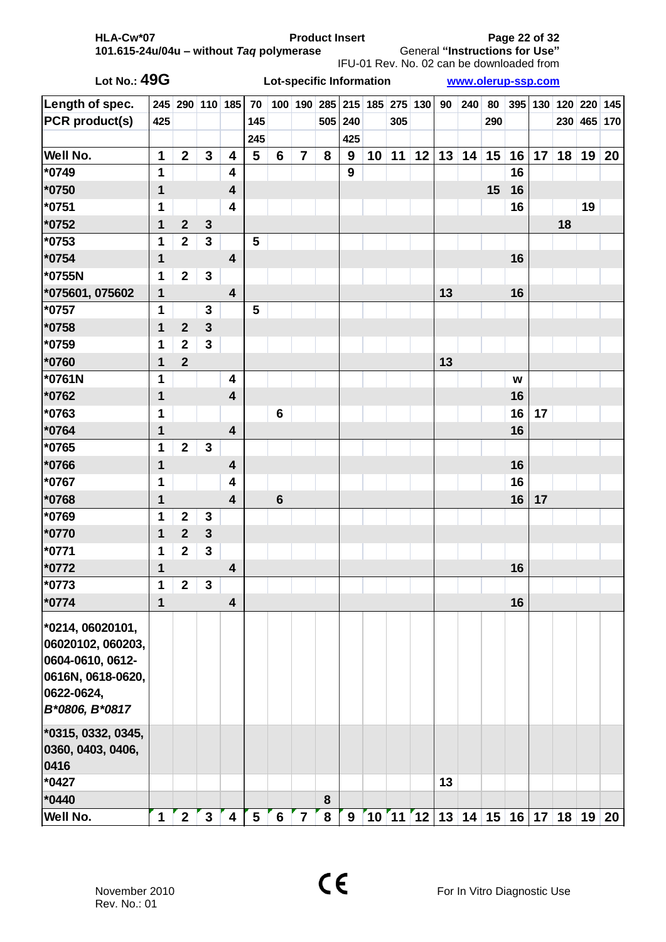| HLA-Cw*07<br><b>Product Insert</b><br>Page 22 of 32<br><b>General "Instructions for Use"</b><br>101.615-24u/04u - without Taq polymerase<br>IFU-01 Rev. No. 02 can be downloaded from<br><b>Lot No.: 49G</b><br><b>Lot-specific Information</b><br>www.olerup-ssp.com<br>Length of spec.<br>245 290 110 185<br>100 190 285 215 185 275 130<br>90<br>240 80<br>395 130 120 220 145<br>70<br>PCR product(s)<br>505 240<br>425<br>145<br>305<br>290<br>245<br>425<br>Well No.<br>$\overline{2}$<br>5<br>13<br>17<br>1<br>$\mathbf{3}$<br>$6\phantom{1}$<br>$\overline{7}$<br>8<br>9<br>10<br>11<br>12<br>14<br>15<br>16<br>18<br>$\overline{\mathbf{4}}$<br>*0749<br>1<br>9<br>16<br>4<br>15<br>*0750<br>16<br>1<br>$\overline{\mathbf{4}}$<br>*0751<br>1<br>16<br>4<br>18<br>*0752<br>$\mathbf{2}$ |             |
|--------------------------------------------------------------------------------------------------------------------------------------------------------------------------------------------------------------------------------------------------------------------------------------------------------------------------------------------------------------------------------------------------------------------------------------------------------------------------------------------------------------------------------------------------------------------------------------------------------------------------------------------------------------------------------------------------------------------------------------------------------------------------------------------------|-------------|
|                                                                                                                                                                                                                                                                                                                                                                                                                                                                                                                                                                                                                                                                                                                                                                                                  |             |
|                                                                                                                                                                                                                                                                                                                                                                                                                                                                                                                                                                                                                                                                                                                                                                                                  |             |
|                                                                                                                                                                                                                                                                                                                                                                                                                                                                                                                                                                                                                                                                                                                                                                                                  |             |
|                                                                                                                                                                                                                                                                                                                                                                                                                                                                                                                                                                                                                                                                                                                                                                                                  |             |
|                                                                                                                                                                                                                                                                                                                                                                                                                                                                                                                                                                                                                                                                                                                                                                                                  | 230 465 170 |
|                                                                                                                                                                                                                                                                                                                                                                                                                                                                                                                                                                                                                                                                                                                                                                                                  |             |
|                                                                                                                                                                                                                                                                                                                                                                                                                                                                                                                                                                                                                                                                                                                                                                                                  | 19<br>20    |
|                                                                                                                                                                                                                                                                                                                                                                                                                                                                                                                                                                                                                                                                                                                                                                                                  |             |
|                                                                                                                                                                                                                                                                                                                                                                                                                                                                                                                                                                                                                                                                                                                                                                                                  |             |
|                                                                                                                                                                                                                                                                                                                                                                                                                                                                                                                                                                                                                                                                                                                                                                                                  | 19          |
| 1<br>$\mathbf{3}$                                                                                                                                                                                                                                                                                                                                                                                                                                                                                                                                                                                                                                                                                                                                                                                |             |
| $\overline{2}$<br>$\overline{\mathbf{3}}$<br>5<br>*0753<br>1                                                                                                                                                                                                                                                                                                                                                                                                                                                                                                                                                                                                                                                                                                                                     |             |
| *0754<br>$\overline{\mathbf{4}}$<br>16<br>1                                                                                                                                                                                                                                                                                                                                                                                                                                                                                                                                                                                                                                                                                                                                                      |             |
| *0755N<br>$\overline{2}$<br>3<br>1                                                                                                                                                                                                                                                                                                                                                                                                                                                                                                                                                                                                                                                                                                                                                               |             |
| $\overline{\mathbf{4}}$<br>13<br>16<br>*075601, 075602<br>1                                                                                                                                                                                                                                                                                                                                                                                                                                                                                                                                                                                                                                                                                                                                      |             |
| 1<br>5<br>*0757<br>3                                                                                                                                                                                                                                                                                                                                                                                                                                                                                                                                                                                                                                                                                                                                                                             |             |
| $\mathbf{2}$<br>$\mathbf{3}$<br>*0758<br>1                                                                                                                                                                                                                                                                                                                                                                                                                                                                                                                                                                                                                                                                                                                                                       |             |
| *0759<br>$\overline{2}$<br>3<br>1                                                                                                                                                                                                                                                                                                                                                                                                                                                                                                                                                                                                                                                                                                                                                                |             |
| $\overline{2}$<br>13<br>*0760<br>1                                                                                                                                                                                                                                                                                                                                                                                                                                                                                                                                                                                                                                                                                                                                                               |             |
| *0761N<br>1<br>$\overline{\mathbf{4}}$<br>W                                                                                                                                                                                                                                                                                                                                                                                                                                                                                                                                                                                                                                                                                                                                                      |             |
| *0762<br>$\overline{\mathbf{4}}$<br>16<br>1                                                                                                                                                                                                                                                                                                                                                                                                                                                                                                                                                                                                                                                                                                                                                      |             |
| *0763<br>$6\phantom{1}$<br>16<br>17<br>1                                                                                                                                                                                                                                                                                                                                                                                                                                                                                                                                                                                                                                                                                                                                                         |             |
| 16<br>*0764<br>1<br>$\overline{\mathbf{4}}$                                                                                                                                                                                                                                                                                                                                                                                                                                                                                                                                                                                                                                                                                                                                                      |             |
| *0765<br>1<br>$\mathbf{2}$<br>3                                                                                                                                                                                                                                                                                                                                                                                                                                                                                                                                                                                                                                                                                                                                                                  |             |
| *0766<br>16<br>1<br>$\overline{\mathbf{4}}$                                                                                                                                                                                                                                                                                                                                                                                                                                                                                                                                                                                                                                                                                                                                                      |             |
| *0767<br>16<br>1<br>4                                                                                                                                                                                                                                                                                                                                                                                                                                                                                                                                                                                                                                                                                                                                                                            |             |
| 16<br>*0768<br>6<br>17<br>1<br>4                                                                                                                                                                                                                                                                                                                                                                                                                                                                                                                                                                                                                                                                                                                                                                 |             |

| *0766                                                                                                          | 1                    |                |              | 4                       |   |                |   |   |   |         |      |    |    |    | 16 |    |    |    |    |
|----------------------------------------------------------------------------------------------------------------|----------------------|----------------|--------------|-------------------------|---|----------------|---|---|---|---------|------|----|----|----|----|----|----|----|----|
| *0767                                                                                                          | 1                    |                |              | $\overline{\mathbf{4}}$ |   |                |   |   |   |         |      |    |    |    | 16 |    |    |    |    |
| *0768                                                                                                          | 1                    |                |              | $\overline{\mathbf{4}}$ |   | $6\phantom{1}$ |   |   |   |         |      |    |    |    | 16 | 17 |    |    |    |
| *0769                                                                                                          | 1                    | $\overline{2}$ | $\mathbf{3}$ |                         |   |                |   |   |   |         |      |    |    |    |    |    |    |    |    |
| *0770                                                                                                          | 1                    | $\overline{2}$ | $\mathbf{3}$ |                         |   |                |   |   |   |         |      |    |    |    |    |    |    |    |    |
| *0771                                                                                                          | 1                    | $\mathbf{2}$   | $\mathbf{3}$ |                         |   |                |   |   |   |         |      |    |    |    |    |    |    |    |    |
| *0772                                                                                                          | 1                    |                |              | 4                       |   |                |   |   |   |         |      |    |    |    | 16 |    |    |    |    |
| *0773                                                                                                          | 1                    | $\mathbf{2}$   | $\mathbf{3}$ |                         |   |                |   |   |   |         |      |    |    |    |    |    |    |    |    |
| *0774                                                                                                          | 1                    |                |              | $\overline{\mathbf{4}}$ |   |                |   |   |   |         |      |    |    |    | 16 |    |    |    |    |
| 10214, 06020101,<br>06020102, 060203,<br>0604-0610, 0612-<br>0616N, 0618-0620,<br>0622-0624,<br>B*0806, B*0817 |                      |                |              |                         |   |                |   |   |   |         |      |    |    |    |    |    |    |    |    |
| $*$ 0315, 0332, 0345,<br>0360, 0403, 0406,<br>0416                                                             |                      |                |              |                         |   |                |   |   |   |         |      |    |    |    |    |    |    |    |    |
| *0427                                                                                                          |                      |                |              |                         |   |                |   |   |   |         |      | 13 |    |    |    |    |    |    |    |
| $ *0440$                                                                                                       |                      |                |              |                         |   |                |   | 8 |   |         |      |    |    |    |    |    |    |    |    |
| <b>Well No.</b>                                                                                                | $\blacktriangleleft$ | $\overline{2}$ | 3            | $\overline{\mathbf{4}}$ | 5 | 6              | 7 | 8 | 9 | $10$ 11 | $12$ | 13 | 14 | 15 | 16 | 17 | 18 | 19 | 20 |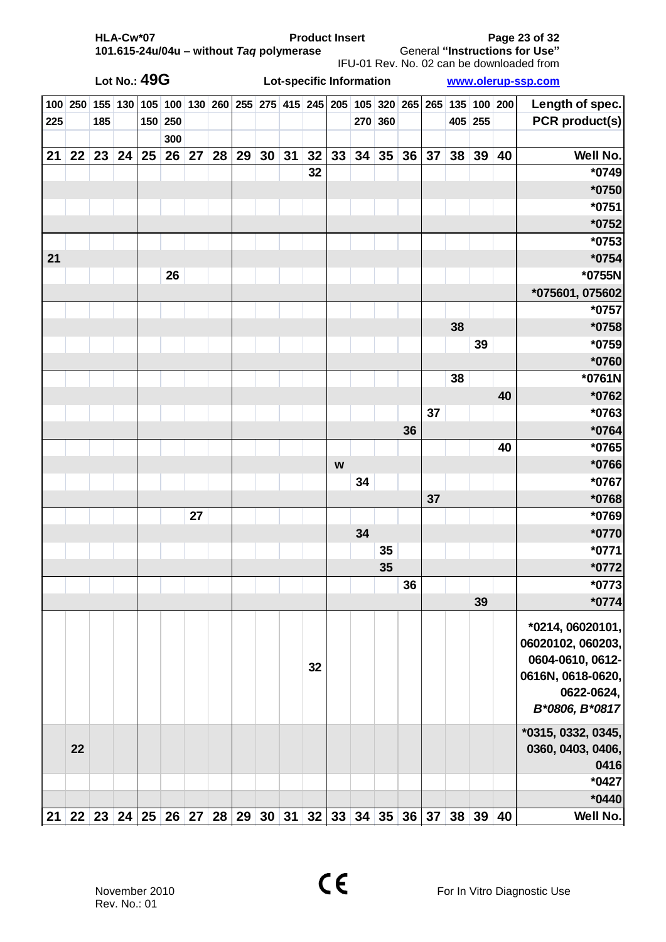|     |               |     |                     | 101.615-24u/04u - without Taq polymerase |                                                             |       |    |    |    |    |    |    |                                                                                 |         |    |    |    |         | <b>General "Instructions for Use"</b><br>IFU-01 Rev. No. 02 can be downloaded from |                    |
|-----|---------------|-----|---------------------|------------------------------------------|-------------------------------------------------------------|-------|----|----|----|----|----|----|---------------------------------------------------------------------------------|---------|----|----|----|---------|------------------------------------------------------------------------------------|--------------------|
|     |               |     | <b>Lot No.: 49G</b> |                                          |                                                             |       |    |    |    |    |    |    | <b>Lot-specific Information</b>                                                 |         |    |    |    |         |                                                                                    | www.olerup-ssp.com |
|     |               |     |                     |                                          |                                                             |       |    |    |    |    |    |    | 100 250 155 130 105 100 130 260 255 275 415 245 205 105 320 265 265 135 100 200 |         |    |    |    |         |                                                                                    | Length of spec.    |
| 225 |               | 185 |                     |                                          | 150 250                                                     |       |    |    |    |    |    |    |                                                                                 | 270 360 |    |    |    | 405 255 |                                                                                    | PCR product(s)     |
|     |               |     |                     |                                          | 300                                                         |       |    |    |    |    |    |    |                                                                                 |         |    |    |    |         |                                                                                    |                    |
|     | $21$ 22 23 24 |     |                     | 25                                       |                                                             | 26 27 | 28 | 29 | 30 | 31 | 32 | 33 | 34                                                                              | 35      | 36 | 37 | 38 | 39      | 40                                                                                 | Well No.           |
|     |               |     |                     |                                          |                                                             |       |    |    |    |    | 32 |    |                                                                                 |         |    |    |    |         |                                                                                    | *0749              |
|     |               |     |                     |                                          |                                                             |       |    |    |    |    |    |    |                                                                                 |         |    |    |    |         |                                                                                    | *0750              |
|     |               |     |                     |                                          |                                                             |       |    |    |    |    |    |    |                                                                                 |         |    |    |    |         |                                                                                    | *0751              |
|     |               |     |                     |                                          |                                                             |       |    |    |    |    |    |    |                                                                                 |         |    |    |    |         |                                                                                    | *0752              |
|     |               |     |                     |                                          |                                                             |       |    |    |    |    |    |    |                                                                                 |         |    |    |    |         |                                                                                    | *0753              |
| 21  |               |     |                     |                                          |                                                             |       |    |    |    |    |    |    |                                                                                 |         |    |    |    |         |                                                                                    | *0754              |
|     |               |     |                     |                                          | 26                                                          |       |    |    |    |    |    |    |                                                                                 |         |    |    |    |         |                                                                                    | *0755N             |
|     |               |     |                     |                                          |                                                             |       |    |    |    |    |    |    |                                                                                 |         |    |    |    |         |                                                                                    | *075601, 075602    |
|     |               |     |                     |                                          |                                                             |       |    |    |    |    |    |    |                                                                                 |         |    |    |    |         |                                                                                    | *0757              |
|     |               |     |                     |                                          |                                                             |       |    |    |    |    |    |    |                                                                                 |         |    |    | 38 |         |                                                                                    | *0758              |
|     |               |     |                     |                                          |                                                             |       |    |    |    |    |    |    |                                                                                 |         |    |    |    | 39      |                                                                                    | *0759              |
|     |               |     |                     |                                          |                                                             |       |    |    |    |    |    |    |                                                                                 |         |    |    |    |         |                                                                                    | *0760              |
|     |               |     |                     |                                          |                                                             |       |    |    |    |    |    |    |                                                                                 |         |    |    | 38 |         |                                                                                    | *0761N             |
|     |               |     |                     |                                          |                                                             |       |    |    |    |    |    |    |                                                                                 |         |    |    |    |         | 40                                                                                 | *0762              |
|     |               |     |                     |                                          |                                                             |       |    |    |    |    |    |    |                                                                                 |         |    | 37 |    |         |                                                                                    | *0763              |
|     |               |     |                     |                                          |                                                             |       |    |    |    |    |    |    |                                                                                 |         | 36 |    |    |         |                                                                                    | *0764              |
|     |               |     |                     |                                          |                                                             |       |    |    |    |    |    |    |                                                                                 |         |    |    |    |         | 40                                                                                 | *0765              |
|     |               |     |                     |                                          |                                                             |       |    |    |    |    |    | W  |                                                                                 |         |    |    |    |         |                                                                                    | *0766              |
|     |               |     |                     |                                          |                                                             |       |    |    |    |    |    |    | 34                                                                              |         |    |    |    |         |                                                                                    | *0767              |
|     |               |     |                     |                                          |                                                             |       |    |    |    |    |    |    |                                                                                 |         |    | 37 |    |         |                                                                                    | *0768              |
|     |               |     |                     |                                          |                                                             | 27    |    |    |    |    |    |    |                                                                                 |         |    |    |    |         |                                                                                    | *0769              |
|     |               |     |                     |                                          |                                                             |       |    |    |    |    |    |    | 34                                                                              |         |    |    |    |         |                                                                                    | *0770              |
|     |               |     |                     |                                          |                                                             |       |    |    |    |    |    |    |                                                                                 | 35      |    |    |    |         |                                                                                    | $*0771$            |
|     |               |     |                     |                                          |                                                             |       |    |    |    |    |    |    |                                                                                 | 35      |    |    |    |         |                                                                                    | *0772              |
|     |               |     |                     |                                          |                                                             |       |    |    |    |    |    |    |                                                                                 |         | 36 |    |    |         |                                                                                    | $*0773$            |
|     |               |     |                     |                                          |                                                             |       |    |    |    |    |    |    |                                                                                 |         |    |    |    | 39      |                                                                                    | $*0774$            |
|     |               |     |                     |                                          |                                                             |       |    |    |    |    |    |    |                                                                                 |         |    |    |    |         |                                                                                    | *0214, 06020101,   |
|     |               |     |                     |                                          |                                                             |       |    |    |    |    |    |    |                                                                                 |         |    |    |    |         |                                                                                    | 06020102, 060203,  |
|     |               |     |                     |                                          |                                                             |       |    |    |    |    | 32 |    |                                                                                 |         |    |    |    |         |                                                                                    | 0604-0610, 0612-   |
|     |               |     |                     |                                          |                                                             |       |    |    |    |    |    |    |                                                                                 |         |    |    |    |         |                                                                                    | 0616N, 0618-0620,  |
|     |               |     |                     |                                          |                                                             |       |    |    |    |    |    |    |                                                                                 |         |    |    |    |         |                                                                                    | 0622-0624,         |
|     |               |     |                     |                                          |                                                             |       |    |    |    |    |    |    |                                                                                 |         |    |    |    |         |                                                                                    | B*0806, B*0817     |
|     |               |     |                     |                                          |                                                             |       |    |    |    |    |    |    |                                                                                 |         |    |    |    |         |                                                                                    | *0315, 0332, 0345, |
|     | 22            |     |                     |                                          |                                                             |       |    |    |    |    |    |    |                                                                                 |         |    |    |    |         |                                                                                    | 0360, 0403, 0406,  |
|     |               |     |                     |                                          |                                                             |       |    |    |    |    |    |    |                                                                                 |         |    |    |    |         |                                                                                    | 0416               |
|     |               |     |                     |                                          |                                                             |       |    |    |    |    |    |    |                                                                                 |         |    |    |    |         |                                                                                    | *0427              |
|     |               |     |                     |                                          |                                                             |       |    |    |    |    |    |    |                                                                                 |         |    |    |    |         |                                                                                    | *0440              |
|     |               |     |                     |                                          | 21 22 23 24 25 26 27 28 29 30 31 32 33 34 35 36 37 38 39 40 |       |    |    |    |    |    |    |                                                                                 |         |    |    |    |         |                                                                                    | Well No.           |

**HLA-Cw\*07 Product Insert Page 23 of 32**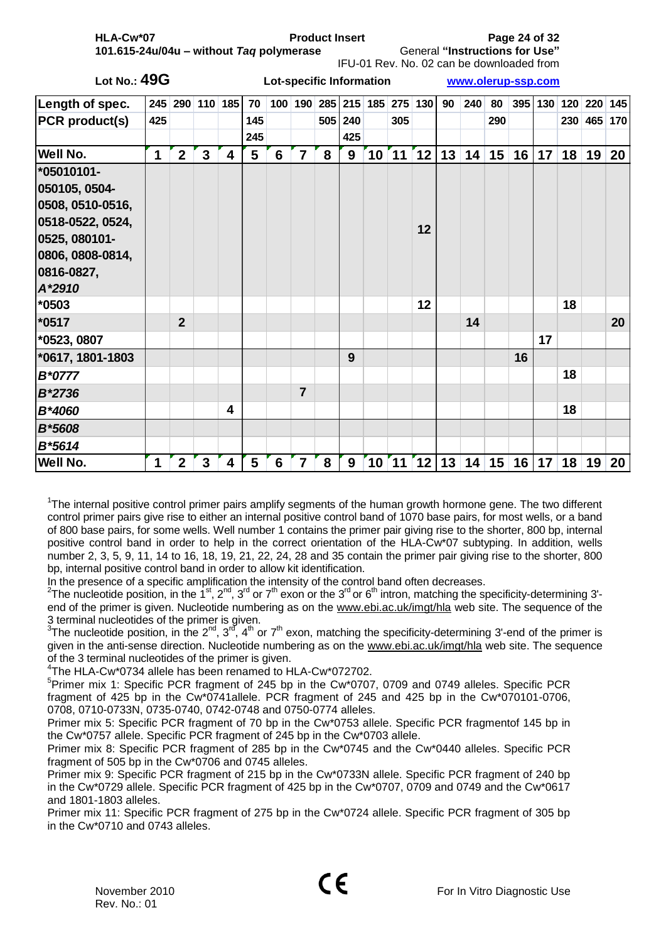| HLA-Cw*07                                | <b>Product Insert</b> | Page 24 of 32                         |
|------------------------------------------|-----------------------|---------------------------------------|
| 101.615-24u/04u – without Tag polymerase |                       | <b>General "Instructions for Use"</b> |

IFU-01 Rev. No. 02 can be downloaded from

| Length of spec.  |     |                |                | 245 290 110 185         | 70             |   |                |   | 100 190 285 215 185 275 130 |    |     |              | 90 | 240                           | 80  |    | 395 130 | 120 | 220                 | 145 |
|------------------|-----|----------------|----------------|-------------------------|----------------|---|----------------|---|-----------------------------|----|-----|--------------|----|-------------------------------|-----|----|---------|-----|---------------------|-----|
| PCR product(s)   | 425 |                |                |                         | 145            |   |                |   | 505 240                     |    | 305 |              |    |                               | 290 |    |         |     | 230 465 170         |     |
|                  |     |                |                |                         | 245            |   |                |   | 425                         |    |     |              |    |                               |     |    |         |     |                     |     |
| <b>Well No.</b>  | 1   | $\overline{2}$ | $\overline{3}$ | 4                       | $5\phantom{1}$ | 6 | $\overline{7}$ | 8 | 9                           | 10 | 11  | $\boxed{12}$ | 13 | 14                            | 15  | 16 | 17      | 18  | 19                  | 20  |
| *05010101-       |     |                |                |                         |                |   |                |   |                             |    |     |              |    |                               |     |    |         |     |                     |     |
| 050105, 0504-    |     |                |                |                         |                |   |                |   |                             |    |     |              |    |                               |     |    |         |     |                     |     |
| 0508, 0510-0516, |     |                |                |                         |                |   |                |   |                             |    |     |              |    |                               |     |    |         |     |                     |     |
| 0518-0522, 0524, |     |                |                |                         |                |   |                |   |                             |    |     | 12           |    |                               |     |    |         |     |                     |     |
| 0525, 080101-    |     |                |                |                         |                |   |                |   |                             |    |     |              |    |                               |     |    |         |     |                     |     |
| 0806, 0808-0814, |     |                |                |                         |                |   |                |   |                             |    |     |              |    |                               |     |    |         |     |                     |     |
| 0816-0827,       |     |                |                |                         |                |   |                |   |                             |    |     |              |    |                               |     |    |         |     |                     |     |
| A*2910           |     |                |                |                         |                |   |                |   |                             |    |     |              |    |                               |     |    |         |     |                     |     |
| $*0503$          |     |                |                |                         |                |   |                |   |                             |    |     | 12           |    |                               |     |    |         | 18  |                     |     |
| $*0517$          |     | $\overline{2}$ |                |                         |                |   |                |   |                             |    |     |              |    | 14                            |     |    |         |     |                     | 20  |
| *0523, 0807      |     |                |                |                         |                |   |                |   |                             |    |     |              |    |                               |     |    | 17      |     |                     |     |
| *0617, 1801-1803 |     |                |                |                         |                |   |                |   | 9                           |    |     |              |    |                               |     | 16 |         |     |                     |     |
| B*0777           |     |                |                |                         |                |   |                |   |                             |    |     |              |    |                               |     |    |         | 18  |                     |     |
| B*2736           |     |                |                |                         |                |   | $\overline{7}$ |   |                             |    |     |              |    |                               |     |    |         |     |                     |     |
| B*4060           |     |                |                | 4                       |                |   |                |   |                             |    |     |              |    |                               |     |    |         | 18  |                     |     |
| B*5608           |     |                |                |                         |                |   |                |   |                             |    |     |              |    |                               |     |    |         |     |                     |     |
| B*5614           |     |                |                |                         |                |   |                |   |                             |    |     |              |    |                               |     |    |         |     |                     |     |
| <b>Well No.</b>  | 1   | $\mathbf{2}$   | 3              | $\overline{\mathbf{4}}$ | 5              | 6 | $\overline{7}$ | 8 | 9                           |    |     |              |    | $10$ $11$ $12$ $13$ $14$ $15$ |     |    |         |     | $16$   17   18   19 | 20  |

<sup>1</sup>The internal positive control primer pairs amplify segments of the human growth hormone gene. The two different control primer pairs give rise to either an internal positive control band of 1070 base pairs, for most wells, or a band of 800 base pairs, for some wells. Well number 1 contains the primer pair giving rise to the shorter, 800 bp, internal positive control band in order to help in the correct orientation of the HLA-Cw\*07 subtyping. In addition, wells number 2, 3, 5, 9, 11, 14 to 16, 18, 19, 21, 22, 24, 28 and 35 contain the primer pair giving rise to the shorter, 800 bp, internal positive control band in order to allow kit identification.

In the presence of a specific amplification the intensity of the control band often decreases.<br><sup>2</sup>The nucleotide position, in the 1<sup>st</sup>, 2<sup>nd</sup>, 3<sup>rd</sup> or 7<sup>th</sup> exon or the 3<sup>rd</sup> or 6<sup>th</sup> intron, matching the specificity-det end of the primer is given. Nucleotide numbering as on the [www.ebi.ac.uk/imgt/hla](http://www.ebi.ac.uk/imgt/hla) web site. The sequence of the 3 terminal nucleotides of the primer is given.

<sup>3</sup>The nucleotide position, in the 2<sup>nd</sup>, 3<sup>rd</sup>, 4<sup>th</sup> or 7<sup>th</sup> exon, matching the specificity-determining 3'-end of the primer is given in the anti-sense direction. Nucleotide numbering as on the [www.ebi.ac.uk/imgt/hla](http://www.ebi.ac.uk/imgt/hla) web site. The sequence

of the 3 terminal nucleotides of the primer is given.<br><sup>4</sup>The HLA-Cw\*0734 allele has been renamed to HLA-Cw\*072702.

<sup>5</sup>Primer mix 1: Specific PCR fragment of 245 bp in the Cw\*0707, 0709 and 0749 alleles. Specific PCR fragment of 425 bp in the Cw\*0741allele. PCR fragment of 245 and 425 bp in the Cw\*070101-0706, 0708, 0710-0733N, 0735-0740, 0742-0748 and 0750-0774 alleles.

Primer mix 5: Specific PCR fragment of 70 bp in the Cw\*0753 allele. Specific PCR fragmentof 145 bp in the Cw\*0757 allele. Specific PCR fragment of 245 bp in the Cw\*0703 allele.

Primer mix 8: Specific PCR fragment of 285 bp in the Cw\*0745 and the Cw\*0440 alleles. Specific PCR fragment of 505 bp in the Cw\*0706 and 0745 alleles.

Primer mix 9: Specific PCR fragment of 215 bp in the Cw\*0733N allele. Specific PCR fragment of 240 bp in the Cw\*0729 allele. Specific PCR fragment of 425 bp in the Cw\*0707, 0709 and 0749 and the Cw\*0617 and 1801-1803 alleles.

Primer mix 11: Specific PCR fragment of 275 bp in the Cw\*0724 allele. Specific PCR fragment of 305 bp in the Cw\*0710 and 0743 alleles.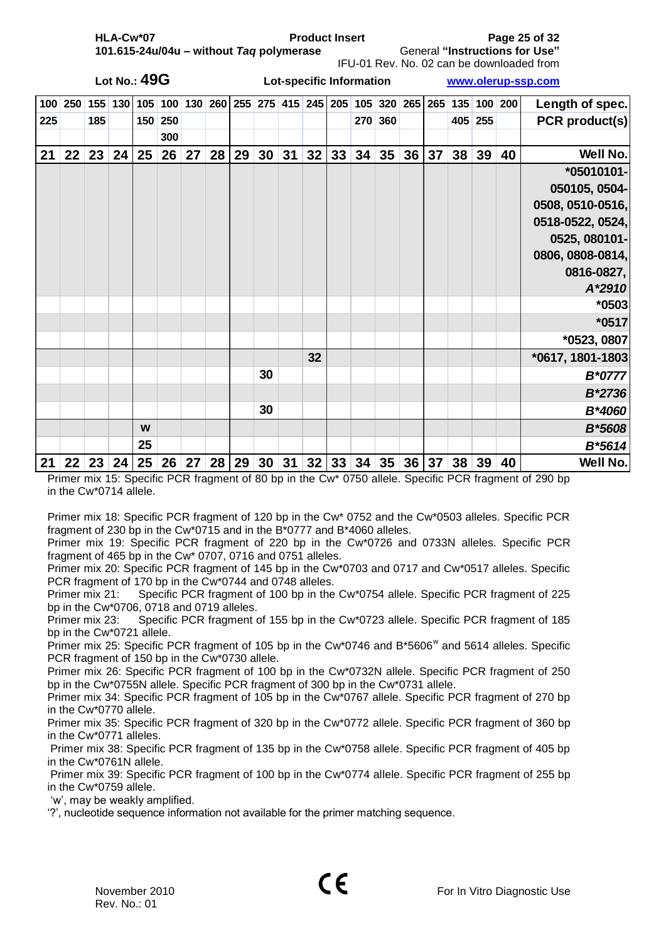|     | 101.615-24u/04u - without Taq polymerase |     |          |                |         |       |    |       |    |       |    |                                 |    |         |    | <b>General "Instructions for Use"</b><br>IFU-01 Rev. No. 02 can be downloaded from |    |                         |                                                                                 |                    |
|-----|------------------------------------------|-----|----------|----------------|---------|-------|----|-------|----|-------|----|---------------------------------|----|---------|----|------------------------------------------------------------------------------------|----|-------------------------|---------------------------------------------------------------------------------|--------------------|
|     |                                          |     |          | Lot No.: $49G$ |         |       |    |       |    |       |    | <b>Lot-specific Information</b> |    |         |    |                                                                                    |    |                         |                                                                                 | www.olerup-ssp.com |
|     |                                          |     |          |                |         |       |    |       |    |       |    |                                 |    |         |    |                                                                                    |    |                         | 100 250 155 130 105 100 130 260 255 275 415 245 205 105 320 265 265 135 100 200 | Length of spec.    |
| 225 |                                          | 185 |          |                | 150 250 |       |    |       |    |       |    |                                 |    | 270 360 |    |                                                                                    |    | 405 255                 |                                                                                 | PCR product(s)     |
|     |                                          |     |          |                | 300     |       |    |       |    |       |    |                                 |    |         |    |                                                                                    |    |                         |                                                                                 |                    |
| 21  | 22                                       | 23  | 24       | 25             | 26      | 27    | 28 | 29    | 30 | 31    | 32 | 33                              | 34 | 35      | 36 | 37                                                                                 | 38 | 39                      | 40                                                                              | Well No.           |
|     |                                          |     |          |                |         |       |    |       |    |       |    |                                 |    |         |    |                                                                                    |    |                         |                                                                                 | *05010101-         |
|     |                                          |     |          |                |         |       |    |       |    |       |    |                                 |    |         |    |                                                                                    |    |                         |                                                                                 | 050105, 0504-      |
|     |                                          |     |          |                |         |       |    |       |    |       |    |                                 |    |         |    |                                                                                    |    |                         |                                                                                 | 0508, 0510-0516,   |
|     |                                          |     |          |                |         |       |    |       |    |       |    |                                 |    |         |    |                                                                                    |    |                         |                                                                                 | 0518-0522, 0524,   |
|     |                                          |     |          |                |         |       |    |       |    |       |    |                                 |    |         |    |                                                                                    |    |                         |                                                                                 | 0525, 080101-      |
|     |                                          |     |          |                |         |       |    |       |    |       |    |                                 |    |         |    |                                                                                    |    |                         |                                                                                 | 0806, 0808-0814,   |
|     |                                          |     |          |                |         |       |    |       |    |       |    |                                 |    |         |    |                                                                                    |    |                         |                                                                                 | 0816-0827,         |
|     |                                          |     |          |                |         |       |    |       |    |       |    |                                 |    |         |    |                                                                                    |    |                         |                                                                                 | A*2910             |
|     |                                          |     |          |                |         |       |    |       |    |       |    |                                 |    |         |    |                                                                                    |    |                         |                                                                                 | *0503              |
|     |                                          |     |          |                |         |       |    |       |    |       |    |                                 |    |         |    |                                                                                    |    |                         |                                                                                 | $*0517$            |
|     |                                          |     |          |                |         |       |    |       |    |       |    |                                 |    |         |    |                                                                                    |    |                         |                                                                                 | *0523, 0807        |
|     |                                          |     |          |                |         |       |    |       |    |       | 32 |                                 |    |         |    |                                                                                    |    |                         |                                                                                 | *0617, 1801-1803   |
|     |                                          |     |          |                |         |       |    |       | 30 |       |    |                                 |    |         |    |                                                                                    |    |                         |                                                                                 | B*0777             |
|     |                                          |     |          |                |         |       |    |       |    |       |    |                                 |    |         |    |                                                                                    |    |                         |                                                                                 | B*2736             |
|     |                                          |     |          |                |         |       |    |       | 30 |       |    |                                 |    |         |    |                                                                                    |    |                         |                                                                                 | B*4060             |
|     |                                          |     |          | W              |         |       |    |       |    |       |    |                                 |    |         |    |                                                                                    |    |                         |                                                                                 | <b>B*5608</b>      |
|     |                                          |     |          | 25             |         |       |    |       |    |       |    |                                 |    |         |    |                                                                                    |    |                         |                                                                                 | B*5614             |
| 21  | 22                                       |     | 23 24 25 |                |         | 26 27 |    | 28 29 |    | 30 31 | 32 |                                 |    |         |    |                                                                                    |    | 33 34 35 36 37 38 39 40 |                                                                                 | Well No.           |

**HLA-Cw\*07 Product Insert Page 25 of 32**

Primer mix 15: Specific PCR fragment of 80 bp in the Cw<sup>\*</sup> 0750 allele. Specific PCR fragment of 290 bp in the Cw\*0714 allele.

Primer mix 18: Specific PCR fragment of 120 bp in the Cw\* 0752 and the Cw\*0503 alleles. Specific PCR fragment of 230 bp in the Cw\*0715 and in the B\*0777 and B\*4060 alleles.

Primer mix 19: Specific PCR fragment of 220 bp in the Cw\*0726 and 0733N alleles. Specific PCR fragment of 465 bp in the Cw\* 0707, 0716 and 0751 alleles.

Primer mix 20: Specific PCR fragment of 145 bp in the Cw\*0703 and 0717 and Cw\*0517 alleles. Specific PCR fragment of 170 bp in the Cw\*0744 and 0748 alleles.

Primer mix 21: Specific PCR fragment of 100 bp in the Cw\*0754 allele. Specific PCR fragment of 225 bp in the Cw\*0706, 0718 and 0719 alleles.

Primer mix 23: Specific PCR fragment of 155 bp in the Cw\*0723 allele. Specific PCR fragment of 185 bp in the Cw\*0721 allele.

Primer mix 25: Specific PCR fragment of 105 bp in the Cw\*0746 and B\*5606<sup>w</sup> and 5614 alleles. Specific PCR fragment of 150 bp in the Cw\*0730 allele.

Primer mix 26: Specific PCR fragment of 100 bp in the Cw\*0732N allele. Specific PCR fragment of 250 bp in the Cw\*0755N allele. Specific PCR fragment of 300 bp in the Cw\*0731 allele.

Primer mix 34: Specific PCR fragment of 105 bp in the Cw\*0767 allele. Specific PCR fragment of 270 bp in the Cw\*0770 allele.

Primer mix 35: Specific PCR fragment of 320 bp in the Cw\*0772 allele. Specific PCR fragment of 360 bp in the Cw\*0771 alleles.

Primer mix 38: Specific PCR fragment of 135 bp in the Cw\*0758 allele. Specific PCR fragment of 405 bp in the Cw\*0761N allele.

Primer mix 39: Specific PCR fragment of 100 bp in the Cw\*0774 allele. Specific PCR fragment of 255 bp in the Cw\*0759 allele.

'w', may be weakly amplified.

'?', nucleotide sequence information not available for the primer matching sequence.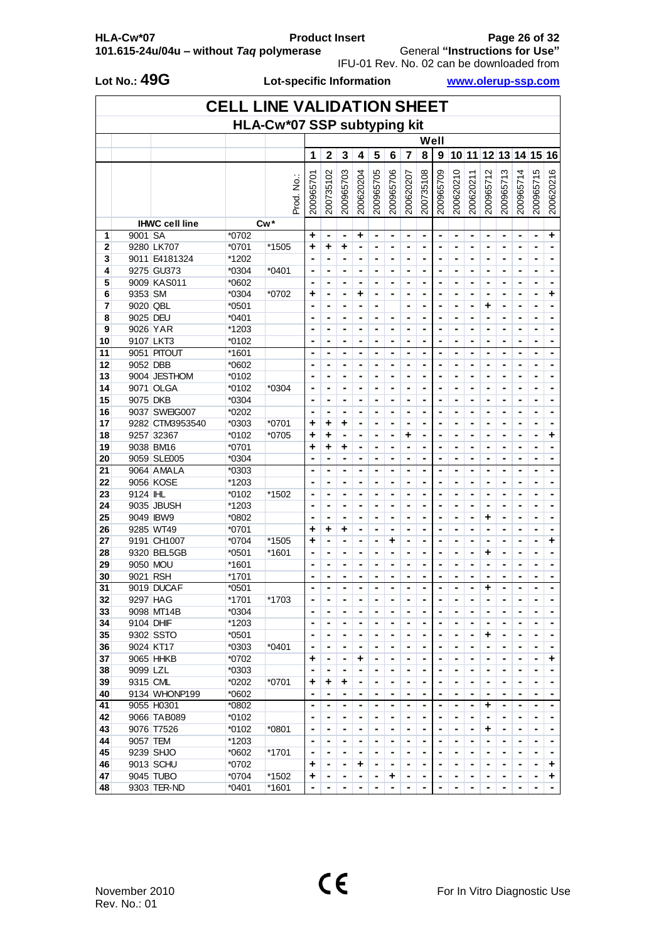$\mathbf{r}$ 

**Lot No.: 49G Lot-specific Information www.olerup-ssp.com**

÷

| HLA-Cw*07 SSP subtyping kit<br>Well<br>$\mathbf{2}$<br>8<br>10 11<br>$12$ 13<br>14<br>15 16<br>3<br>5<br>9<br>1<br>4<br>6<br>7<br>200620216<br>200965715<br>200965703<br>200965705<br>200965706<br>200735108<br>200965709<br>200620210<br>200965712<br>200965713<br>200965714<br>200735102<br>200620204<br>200620207<br>200620211<br>200965701<br>Prod. No.<br><b>IHWC cell line</b><br>Cw*<br>9001 SA<br>*0702<br>1<br>٠<br>÷<br>٠<br>٠<br>٠<br>٠<br>۰<br>۰<br>٠<br>٠<br>٠<br>۰<br>$\overline{2}$<br>9280 LK707<br>*0701<br>$*1505$<br>٠<br>٠<br>٠<br>۰<br>$\blacksquare$<br>۰<br>٠<br>٠<br>٠<br>٠<br>$\blacksquare$<br>٠<br>٠<br>٠<br>٠<br>٠<br>*1202<br>3<br>9011 E4181324<br>٠<br>۰<br>٠<br>٠<br>٠<br>٠<br>-<br>$\blacksquare$<br>۰<br>٠<br>٠<br>٠<br>۰<br>٠<br>9275 GU373<br>4<br>*0304<br>*0401<br>۰<br>٠<br>٠<br>۰<br>$\blacksquare$<br>٠<br>۰<br>٠<br>٠<br>٠<br>٠<br>٠<br>٠<br>٠<br>۰<br>۰<br>9009 KAS011<br>5<br>*0602<br>-<br>۰<br>٠<br>٠<br>٠<br>٠<br>٠<br>۰<br>۰<br>٠<br>٠<br>9353 SM<br>*0304<br>*0702<br>6<br>٠<br>٠<br>+<br>٠<br>٠<br>٠<br>$\blacksquare$<br>٠<br>$\blacksquare$<br>۰<br>٠<br>٠<br>$\blacksquare$<br>$\blacksquare$<br>$\overline{\phantom{a}}$<br>9020 QBL<br>7<br>$*0501$<br>٠<br>٠<br>٠<br>٠<br>۰<br>٠<br>٠<br>۰<br>٠<br>٠<br>٠<br>٠<br>٠<br>9025 DEU<br>8<br>*0401<br>۰<br>٠<br>٠<br>۰<br>$\blacksquare$<br>۰<br>٠<br>$\blacksquare$<br>$\blacksquare$<br>۰<br>$\blacksquare$<br>$\blacksquare$<br>٠<br>٠<br>٠<br>$\overline{\phantom{a}}$<br>9026 YAR<br>*1203<br>9<br>٠<br>٠<br>٠<br>٠<br>٠<br>٠<br>٠<br>٠<br>٠<br>٠<br>٠<br>٠<br>۰<br>٠<br>٠<br>9107 LKT3<br>10<br>*0102<br>۰<br>٠<br>$\blacksquare$<br>$\blacksquare$<br>$\blacksquare$<br>$\blacksquare$<br>$\blacksquare$<br>$\blacksquare$<br>$\blacksquare$<br>۰<br>٠<br>٠<br>٠<br>٠<br>$\blacksquare$<br>$\overline{\phantom{a}}$<br>11<br>9051 PITOUT<br>*1601<br>۰<br>٠<br>$\blacksquare$<br>٠<br>$\blacksquare$<br>٠<br>$\blacksquare$<br>۰<br>٠<br>٠<br>٠<br>٠<br>$\blacksquare$<br>٠<br>٠<br>9052 DBB<br>12<br>*0602<br>٠<br>٠<br>٠<br>۰<br>$\blacksquare$<br>۰<br>٠<br>$\blacksquare$<br>$\blacksquare$<br>۰<br>$\blacksquare$<br>٠<br>٠<br>٠<br>٠<br>$\blacksquare$<br>9004 JESTHOM<br>13<br>*0102<br>٠<br>٠<br>٠<br>٠<br>٠<br>٠<br>٠<br>٠<br>٠<br>٠<br>٠<br>٠<br>٠<br>٠<br>٠<br>9071 OLGA<br>*0102<br>$*0304$<br>14<br>٠<br>$\blacksquare$<br>$\blacksquare$<br>٠<br>$\blacksquare$<br>$\blacksquare$<br>۰<br>٠<br>٠<br>٠<br>٠<br>$\overline{\phantom{a}}$<br>٠<br>٠<br>9075 DKB<br>15<br>*0304<br>٠<br>$\blacksquare$<br>$\blacksquare$<br>۰<br>$\blacksquare$<br>$\blacksquare$<br>٠<br>٠<br>٠<br>٠<br>٠<br>٠<br>٠<br>۰<br>٠<br>9037 SWEIG007<br>*0202<br>16<br>٠<br>٠<br>٠<br>۰<br>$\blacksquare$<br>۰<br>$\blacksquare$<br>$\blacksquare$<br>$\blacksquare$<br>۰<br>$\blacksquare$<br>$\blacksquare$<br>٠<br>٠<br>٠<br>$\blacksquare$<br>9282 CTM3953540<br>*0303<br>*0701<br>17<br>٠<br>٠<br>٠<br>٠<br>٠<br>٠<br>٠<br>٠<br>٠<br>٠<br>٠<br>٠<br>٠<br>٠<br>٠<br>٠<br>9257 32367<br>*0102<br>*0705<br>18<br>٠<br>٠<br>٠<br>٠<br>٠<br>$\blacksquare$<br>٠<br>$\blacksquare$<br>$\blacksquare$<br>۰<br>٠<br>٠<br>٠<br>٠<br>$\blacksquare$<br>$\blacksquare$<br>9038 BM16<br>19<br>*0701<br>٠<br>٠<br>÷<br>$\blacksquare$<br>٠<br>٠<br>$\blacksquare$<br>۰<br>$\blacksquare$<br>٠<br>٠<br>٠<br>٠<br>۰<br>٠<br>9059 SLE005<br>*0304<br>20<br>٠<br>-<br>٠<br>٠<br>$\blacksquare$<br>٠<br>$\blacksquare$<br>$\blacksquare$<br>$\blacksquare$<br>٠<br>$\blacksquare$<br>$\blacksquare$<br>٠<br>٠<br>٠<br>$\overline{\phantom{a}}$<br>21<br>9064 AMALA<br>*0303<br>۰<br>٠<br>٠<br>٠<br>٠<br>٠<br>٠<br>٠<br>٠<br>٠<br>٠<br>٠<br>٠<br>٠<br>٠<br>9056 KOSE<br>*1203<br>22<br>٠<br>٠<br>$\blacksquare$<br>٠<br>$\blacksquare$<br>$\blacksquare$<br>$\blacksquare$<br>۰<br>٠<br>٠<br>٠<br>٠<br>$\overline{\phantom{a}}$<br>٠<br>9124 IHL<br>$*1502$<br>23<br>*0102<br>٠<br>$\blacksquare$<br>$\blacksquare$<br>٠<br>$\blacksquare$<br>$\blacksquare$<br>٠<br>٠<br>٠<br>٠<br>٠<br>٠<br>٠<br>۰<br>٠<br>24<br>9035 JBUSH<br>*1203<br>٠<br>٠<br>٠<br>۰<br>$\blacksquare$<br>۰<br>$\blacksquare$<br>$\blacksquare$<br>$\blacksquare$<br>۰<br>$\blacksquare$<br>$\blacksquare$<br>$\blacksquare$<br>٠<br>٠<br>$\blacksquare$<br>25<br>9049 <b>IBW9</b><br>*0802<br>٠<br>٠<br>٠<br>٠<br>٠<br>٠<br>٠<br>٠<br>٠<br>٠<br>٠<br>٠<br>٠<br>٠<br>9285 WT49<br>26<br>*0701<br>٠<br>٠<br>٠<br>$\blacksquare$<br>٠<br>٠<br>$\blacksquare$<br>$\blacksquare$<br>۰<br>٠<br>٠<br>٠<br>٠<br>$\blacksquare$<br>$\overline{\phantom{a}}$<br>٠<br>$*1505$<br>27<br>9191 CH1007<br>*0704<br>٠<br>٠<br>+<br>٠<br>$\blacksquare$<br>$\blacksquare$<br>$\blacksquare$<br>$\blacksquare$<br>۰<br>$\blacksquare$<br>٠<br>٠<br>٠<br>٠<br>٠<br>٠<br>9320 BEL5GB<br>*1601<br>28<br>*0501<br>٠<br>٠<br>٠<br>۰<br>$\blacksquare$<br>۰<br>$\blacksquare$<br>$\blacksquare$<br>$\blacksquare$<br>۰<br>$\blacksquare$<br>$\blacksquare$<br>$\blacksquare$<br>٠<br>$\blacksquare$<br>٠<br>9050 MOU<br>*1601<br>29<br>٠<br>٠<br>٠<br>٠<br>٠<br>٠<br>٠<br>٠<br>٠<br>٠<br>٠<br>٠<br>٠<br>٠<br>9021 RSH<br>$*1701$<br>30<br>٠<br>-<br>٠<br>$\blacksquare$<br>٠<br>٠<br>$\blacksquare$<br>٠<br>۰<br>٠<br>٠<br>٠<br>$\overline{\phantom{a}}$<br>٠<br>٠<br>٠<br>31<br>9019 DUCAF<br>*0501<br>٠<br>٠<br>٠<br>-<br>٠<br>٠<br>$\blacksquare$<br>$\blacksquare$<br>٠<br>٠<br>٠<br>٠<br>٠<br>٠<br>٠<br>32<br>9297 HAG<br>*1703<br>*1701<br>$\blacksquare$<br>۰<br>$\blacksquare$<br>-<br>-<br>÷<br>۰<br>۰<br>۰<br>٠<br>٠<br>-<br>33<br>9098 MT14B<br>*0304<br>٠<br>٠<br>٠<br>٠<br>٠<br>٠<br>٠<br>٠<br>٠<br>٠<br>٠<br>٠<br>٠<br>٠<br>٠<br>9104 DHIF<br>*1203<br>34<br>٠<br>-<br>۰<br>$\blacksquare$<br>۰<br>$\blacksquare$<br>$\blacksquare$<br>$\blacksquare$<br>۰<br>$\blacksquare$<br>$\blacksquare$<br>$\blacksquare$<br>$\blacksquare$<br>$\blacksquare$<br>-<br>٠<br>35<br>9302 SSTO<br>$*0501$<br>٠<br>٠<br>-<br>٠<br>$\blacksquare$<br>٠<br>-<br>٠<br>٠<br>٠<br>٠<br>٠<br>٠<br>٠<br>٠<br>٠<br>$*0401$<br>36<br>9024 KT17<br>*0303<br>٠<br>٠<br>٠<br>٠<br>$\qquad \qquad \blacksquare$<br>٠<br>٠<br>٠<br>-<br>$\blacksquare$<br>٠<br>$\blacksquare$<br>$\blacksquare$<br>$\blacksquare$<br>٠<br>٠<br>9065 HHKB<br>37<br>*0702<br>٠<br>٠<br>٠<br>٠<br>٠<br>٠<br>٠<br>٠<br>٠<br>٠<br>٠<br>٠<br>٠<br>٠<br>٠<br>٠<br>9099 LZL<br>38<br>*0303<br>٠<br>٠<br>٠<br>$\blacksquare$<br>$\blacksquare$<br>$\blacksquare$<br>$\blacksquare$<br>۰<br>$\blacksquare$<br>٠<br>٠<br>$\blacksquare$<br>$\blacksquare$<br>٠<br>٠<br>٠<br>39<br>9315 CML<br>*0202<br>*0701<br>٠<br>٠<br>٠<br>$\blacksquare$<br>$\blacksquare$<br>٠<br>٠<br>$\blacksquare$<br>$\blacksquare$<br>٠<br>٠<br>٠<br>٠<br>٠<br>40<br>9134 WHONP199<br>*0602<br>٠<br>٠<br>٠<br>$\blacksquare$<br>$\blacksquare$<br>$\blacksquare$<br>٠<br>٠<br>$\blacksquare$<br>٠<br>٠<br>٠<br>$\blacksquare$<br>$\blacksquare$<br>٠<br>٠<br>41<br>9055 H0301<br>*0802<br>٠<br>٠<br>-<br>٠<br>$\blacksquare$<br>$\blacksquare$<br>٠<br>٠<br>$\blacksquare$<br>$\blacksquare$<br>٠<br>Ξ<br>Ξ<br>٠<br>٠<br>٠<br>9066 TAB089<br>42<br>*0102<br>٠<br>٠<br>$\blacksquare$<br>۰<br>$\blacksquare$<br>$\blacksquare$<br>$\blacksquare$<br>-<br>$\blacksquare$<br>$\blacksquare$<br>$\blacksquare$<br>$\blacksquare$<br>٠<br>۰<br>٠<br>٠<br>43<br>9076 T7526<br>*0801<br>$*0102$<br>٠<br>٠<br>٠<br>٠<br>٠<br>Ξ<br>٠<br>٠<br>۰<br>٠<br>٠<br>٠<br>٠<br>٠<br>٠<br>44<br>9057 TEM<br>*1203<br>۰<br>۰<br>۰<br>-<br>$\blacksquare$<br>۰<br>$\qquad \qquad \blacksquare$<br>$\qquad \qquad \blacksquare$<br>$\blacksquare$<br>-<br>$\blacksquare$<br>$\blacksquare$<br>-<br>-<br>٠<br>9239 SHJO<br>45<br>*0602<br>*1701<br>-<br>-<br>۰<br>$\blacksquare$<br>٠<br>٠<br>-<br>$\blacksquare$<br>-<br>9013 SCHU<br>46<br>*0702<br>٠<br>٠<br>٠<br>-<br>۰<br>٠<br>-<br>$\blacksquare$<br>$\blacksquare$<br>٠<br>47<br>9045 TUBO<br>*0704<br>$*1502$<br>٠<br>٠<br>٠<br>-<br>۰<br>٠<br>-<br>$\blacksquare$<br>٠<br>9303 TER-ND<br>۰<br>-<br>-<br>۰<br>۰<br>۰ |    |  | <b>CELL LINE VALIDATION SHEET</b> |       |   |   |   |   |  |   |  |   |  |   |  |
|-------------------------------------------------------------------------------------------------------------------------------------------------------------------------------------------------------------------------------------------------------------------------------------------------------------------------------------------------------------------------------------------------------------------------------------------------------------------------------------------------------------------------------------------------------------------------------------------------------------------------------------------------------------------------------------------------------------------------------------------------------------------------------------------------------------------------------------------------------------------------------------------------------------------------------------------------------------------------------------------------------------------------------------------------------------------------------------------------------------------------------------------------------------------------------------------------------------------------------------------------------------------------------------------------------------------------------------------------------------------------------------------------------------------------------------------------------------------------------------------------------------------------------------------------------------------------------------------------------------------------------------------------------------------------------------------------------------------------------------------------------------------------------------------------------------------------------------------------------------------------------------------------------------------------------------------------------------------------------------------------------------------------------------------------------------------------------------------------------------------------------------------------------------------------------------------------------------------------------------------------------------------------------------------------------------------------------------------------------------------------------------------------------------------------------------------------------------------------------------------------------------------------------------------------------------------------------------------------------------------------------------------------------------------------------------------------------------------------------------------------------------------------------------------------------------------------------------------------------------------------------------------------------------------------------------------------------------------------------------------------------------------------------------------------------------------------------------------------------------------------------------------------------------------------------------------------------------------------------------------------------------------------------------------------------------------------------------------------------------------------------------------------------------------------------------------------------------------------------------------------------------------------------------------------------------------------------------------------------------------------------------------------------------------------------------------------------------------------------------------------------------------------------------------------------------------------------------------------------------------------------------------------------------------------------------------------------------------------------------------------------------------------------------------------------------------------------------------------------------------------------------------------------------------------------------------------------------------------------------------------------------------------------------------------------------------------------------------------------------------------------------------------------------------------------------------------------------------------------------------------------------------------------------------------------------------------------------------------------------------------------------------------------------------------------------------------------------------------------------------------------------------------------------------------------------------------------------------------------------------------------------------------------------------------------------------------------------------------------------------------------------------------------------------------------------------------------------------------------------------------------------------------------------------------------------------------------------------------------------------------------------------------------------------------------------------------------------------------------------------------------------------------------------------------------------------------------------------------------------------------------------------------------------------------------------------------------------------------------------------------------------------------------------------------------------------------------------------------------------------------------------------------------------------------------------------------------------------------------------------------------------------------------------------------------------------------------------------------------------------------------------------------------------------------------------------------------------------------------------------------------------------------------------------------------------------------------------------------------------------------------------------------------------------------------------------------------------------------------------------------------------------------------------------------------------------------------------------------------------------------------------------------------------------------------------------------------------------------------------------------------------------------------------------------------------------------------------------------------------------------------------------------------------------------------------------------------------------------------------------------------------------------------------------------------------------------------------------------------------------------------------------------------------------------------------------------------------------------------------------------------------------------------------------------------------------------------------------------------------------------------------------------------------------------------------------------------------------------------------------------------------------------------------------------------------------------------------------------------------------------------------------------------------------------------------------------------------------------------------------------------------------------------------------------------------------------------------------------------------------------------------------------------------------------------------------------------------------------------------------------------------------------------------------------|----|--|-----------------------------------|-------|---|---|---|---|--|---|--|---|--|---|--|
|                                                                                                                                                                                                                                                                                                                                                                                                                                                                                                                                                                                                                                                                                                                                                                                                                                                                                                                                                                                                                                                                                                                                                                                                                                                                                                                                                                                                                                                                                                                                                                                                                                                                                                                                                                                                                                                                                                                                                                                                                                                                                                                                                                                                                                                                                                                                                                                                                                                                                                                                                                                                                                                                                                                                                                                                                                                                                                                                                                                                                                                                                                                                                                                                                                                                                                                                                                                                                                                                                                                                                                                                                                                                                                                                                                                                                                                                                                                                                                                                                                                                                                                                                                                                                                                                                                                                                                                                                                                                                                                                                                                                                                                                                                                                                                                                                                                                                                                                                                                                                                                                                                                                                                                                                                                                                                                                                                                                                                                                                                                                                                                                                                                                                                                                                                                                                                                                                                                                                                                                                                                                                                                                                                                                                                                                                                                                                                                                                                                                                                                                                                                                                                                                                                                                                                                                                                                                                                                                                                                                                                                                                                                                                                                                                                                                                                                                                                                                                                                                                                                                                                                                                                                                                                                                                                                                                                                                                                                         |    |  |                                   |       |   |   |   |   |  |   |  |   |  |   |  |
|                                                                                                                                                                                                                                                                                                                                                                                                                                                                                                                                                                                                                                                                                                                                                                                                                                                                                                                                                                                                                                                                                                                                                                                                                                                                                                                                                                                                                                                                                                                                                                                                                                                                                                                                                                                                                                                                                                                                                                                                                                                                                                                                                                                                                                                                                                                                                                                                                                                                                                                                                                                                                                                                                                                                                                                                                                                                                                                                                                                                                                                                                                                                                                                                                                                                                                                                                                                                                                                                                                                                                                                                                                                                                                                                                                                                                                                                                                                                                                                                                                                                                                                                                                                                                                                                                                                                                                                                                                                                                                                                                                                                                                                                                                                                                                                                                                                                                                                                                                                                                                                                                                                                                                                                                                                                                                                                                                                                                                                                                                                                                                                                                                                                                                                                                                                                                                                                                                                                                                                                                                                                                                                                                                                                                                                                                                                                                                                                                                                                                                                                                                                                                                                                                                                                                                                                                                                                                                                                                                                                                                                                                                                                                                                                                                                                                                                                                                                                                                                                                                                                                                                                                                                                                                                                                                                                                                                                                                                         |    |  |                                   |       |   |   |   |   |  |   |  |   |  |   |  |
|                                                                                                                                                                                                                                                                                                                                                                                                                                                                                                                                                                                                                                                                                                                                                                                                                                                                                                                                                                                                                                                                                                                                                                                                                                                                                                                                                                                                                                                                                                                                                                                                                                                                                                                                                                                                                                                                                                                                                                                                                                                                                                                                                                                                                                                                                                                                                                                                                                                                                                                                                                                                                                                                                                                                                                                                                                                                                                                                                                                                                                                                                                                                                                                                                                                                                                                                                                                                                                                                                                                                                                                                                                                                                                                                                                                                                                                                                                                                                                                                                                                                                                                                                                                                                                                                                                                                                                                                                                                                                                                                                                                                                                                                                                                                                                                                                                                                                                                                                                                                                                                                                                                                                                                                                                                                                                                                                                                                                                                                                                                                                                                                                                                                                                                                                                                                                                                                                                                                                                                                                                                                                                                                                                                                                                                                                                                                                                                                                                                                                                                                                                                                                                                                                                                                                                                                                                                                                                                                                                                                                                                                                                                                                                                                                                                                                                                                                                                                                                                                                                                                                                                                                                                                                                                                                                                                                                                                                                                         |    |  |                                   |       |   |   |   |   |  |   |  |   |  |   |  |
|                                                                                                                                                                                                                                                                                                                                                                                                                                                                                                                                                                                                                                                                                                                                                                                                                                                                                                                                                                                                                                                                                                                                                                                                                                                                                                                                                                                                                                                                                                                                                                                                                                                                                                                                                                                                                                                                                                                                                                                                                                                                                                                                                                                                                                                                                                                                                                                                                                                                                                                                                                                                                                                                                                                                                                                                                                                                                                                                                                                                                                                                                                                                                                                                                                                                                                                                                                                                                                                                                                                                                                                                                                                                                                                                                                                                                                                                                                                                                                                                                                                                                                                                                                                                                                                                                                                                                                                                                                                                                                                                                                                                                                                                                                                                                                                                                                                                                                                                                                                                                                                                                                                                                                                                                                                                                                                                                                                                                                                                                                                                                                                                                                                                                                                                                                                                                                                                                                                                                                                                                                                                                                                                                                                                                                                                                                                                                                                                                                                                                                                                                                                                                                                                                                                                                                                                                                                                                                                                                                                                                                                                                                                                                                                                                                                                                                                                                                                                                                                                                                                                                                                                                                                                                                                                                                                                                                                                                                                         |    |  |                                   |       |   |   |   |   |  |   |  |   |  |   |  |
|                                                                                                                                                                                                                                                                                                                                                                                                                                                                                                                                                                                                                                                                                                                                                                                                                                                                                                                                                                                                                                                                                                                                                                                                                                                                                                                                                                                                                                                                                                                                                                                                                                                                                                                                                                                                                                                                                                                                                                                                                                                                                                                                                                                                                                                                                                                                                                                                                                                                                                                                                                                                                                                                                                                                                                                                                                                                                                                                                                                                                                                                                                                                                                                                                                                                                                                                                                                                                                                                                                                                                                                                                                                                                                                                                                                                                                                                                                                                                                                                                                                                                                                                                                                                                                                                                                                                                                                                                                                                                                                                                                                                                                                                                                                                                                                                                                                                                                                                                                                                                                                                                                                                                                                                                                                                                                                                                                                                                                                                                                                                                                                                                                                                                                                                                                                                                                                                                                                                                                                                                                                                                                                                                                                                                                                                                                                                                                                                                                                                                                                                                                                                                                                                                                                                                                                                                                                                                                                                                                                                                                                                                                                                                                                                                                                                                                                                                                                                                                                                                                                                                                                                                                                                                                                                                                                                                                                                                                                         |    |  |                                   |       |   |   |   |   |  |   |  |   |  |   |  |
|                                                                                                                                                                                                                                                                                                                                                                                                                                                                                                                                                                                                                                                                                                                                                                                                                                                                                                                                                                                                                                                                                                                                                                                                                                                                                                                                                                                                                                                                                                                                                                                                                                                                                                                                                                                                                                                                                                                                                                                                                                                                                                                                                                                                                                                                                                                                                                                                                                                                                                                                                                                                                                                                                                                                                                                                                                                                                                                                                                                                                                                                                                                                                                                                                                                                                                                                                                                                                                                                                                                                                                                                                                                                                                                                                                                                                                                                                                                                                                                                                                                                                                                                                                                                                                                                                                                                                                                                                                                                                                                                                                                                                                                                                                                                                                                                                                                                                                                                                                                                                                                                                                                                                                                                                                                                                                                                                                                                                                                                                                                                                                                                                                                                                                                                                                                                                                                                                                                                                                                                                                                                                                                                                                                                                                                                                                                                                                                                                                                                                                                                                                                                                                                                                                                                                                                                                                                                                                                                                                                                                                                                                                                                                                                                                                                                                                                                                                                                                                                                                                                                                                                                                                                                                                                                                                                                                                                                                                                         |    |  |                                   |       |   |   |   |   |  |   |  |   |  |   |  |
|                                                                                                                                                                                                                                                                                                                                                                                                                                                                                                                                                                                                                                                                                                                                                                                                                                                                                                                                                                                                                                                                                                                                                                                                                                                                                                                                                                                                                                                                                                                                                                                                                                                                                                                                                                                                                                                                                                                                                                                                                                                                                                                                                                                                                                                                                                                                                                                                                                                                                                                                                                                                                                                                                                                                                                                                                                                                                                                                                                                                                                                                                                                                                                                                                                                                                                                                                                                                                                                                                                                                                                                                                                                                                                                                                                                                                                                                                                                                                                                                                                                                                                                                                                                                                                                                                                                                                                                                                                                                                                                                                                                                                                                                                                                                                                                                                                                                                                                                                                                                                                                                                                                                                                                                                                                                                                                                                                                                                                                                                                                                                                                                                                                                                                                                                                                                                                                                                                                                                                                                                                                                                                                                                                                                                                                                                                                                                                                                                                                                                                                                                                                                                                                                                                                                                                                                                                                                                                                                                                                                                                                                                                                                                                                                                                                                                                                                                                                                                                                                                                                                                                                                                                                                                                                                                                                                                                                                                                                         |    |  |                                   |       |   |   |   |   |  |   |  |   |  |   |  |
|                                                                                                                                                                                                                                                                                                                                                                                                                                                                                                                                                                                                                                                                                                                                                                                                                                                                                                                                                                                                                                                                                                                                                                                                                                                                                                                                                                                                                                                                                                                                                                                                                                                                                                                                                                                                                                                                                                                                                                                                                                                                                                                                                                                                                                                                                                                                                                                                                                                                                                                                                                                                                                                                                                                                                                                                                                                                                                                                                                                                                                                                                                                                                                                                                                                                                                                                                                                                                                                                                                                                                                                                                                                                                                                                                                                                                                                                                                                                                                                                                                                                                                                                                                                                                                                                                                                                                                                                                                                                                                                                                                                                                                                                                                                                                                                                                                                                                                                                                                                                                                                                                                                                                                                                                                                                                                                                                                                                                                                                                                                                                                                                                                                                                                                                                                                                                                                                                                                                                                                                                                                                                                                                                                                                                                                                                                                                                                                                                                                                                                                                                                                                                                                                                                                                                                                                                                                                                                                                                                                                                                                                                                                                                                                                                                                                                                                                                                                                                                                                                                                                                                                                                                                                                                                                                                                                                                                                                                                         |    |  |                                   |       |   |   |   |   |  |   |  |   |  |   |  |
|                                                                                                                                                                                                                                                                                                                                                                                                                                                                                                                                                                                                                                                                                                                                                                                                                                                                                                                                                                                                                                                                                                                                                                                                                                                                                                                                                                                                                                                                                                                                                                                                                                                                                                                                                                                                                                                                                                                                                                                                                                                                                                                                                                                                                                                                                                                                                                                                                                                                                                                                                                                                                                                                                                                                                                                                                                                                                                                                                                                                                                                                                                                                                                                                                                                                                                                                                                                                                                                                                                                                                                                                                                                                                                                                                                                                                                                                                                                                                                                                                                                                                                                                                                                                                                                                                                                                                                                                                                                                                                                                                                                                                                                                                                                                                                                                                                                                                                                                                                                                                                                                                                                                                                                                                                                                                                                                                                                                                                                                                                                                                                                                                                                                                                                                                                                                                                                                                                                                                                                                                                                                                                                                                                                                                                                                                                                                                                                                                                                                                                                                                                                                                                                                                                                                                                                                                                                                                                                                                                                                                                                                                                                                                                                                                                                                                                                                                                                                                                                                                                                                                                                                                                                                                                                                                                                                                                                                                                                         |    |  |                                   |       |   |   |   |   |  |   |  |   |  |   |  |
|                                                                                                                                                                                                                                                                                                                                                                                                                                                                                                                                                                                                                                                                                                                                                                                                                                                                                                                                                                                                                                                                                                                                                                                                                                                                                                                                                                                                                                                                                                                                                                                                                                                                                                                                                                                                                                                                                                                                                                                                                                                                                                                                                                                                                                                                                                                                                                                                                                                                                                                                                                                                                                                                                                                                                                                                                                                                                                                                                                                                                                                                                                                                                                                                                                                                                                                                                                                                                                                                                                                                                                                                                                                                                                                                                                                                                                                                                                                                                                                                                                                                                                                                                                                                                                                                                                                                                                                                                                                                                                                                                                                                                                                                                                                                                                                                                                                                                                                                                                                                                                                                                                                                                                                                                                                                                                                                                                                                                                                                                                                                                                                                                                                                                                                                                                                                                                                                                                                                                                                                                                                                                                                                                                                                                                                                                                                                                                                                                                                                                                                                                                                                                                                                                                                                                                                                                                                                                                                                                                                                                                                                                                                                                                                                                                                                                                                                                                                                                                                                                                                                                                                                                                                                                                                                                                                                                                                                                                                         |    |  |                                   |       |   |   |   |   |  |   |  |   |  |   |  |
|                                                                                                                                                                                                                                                                                                                                                                                                                                                                                                                                                                                                                                                                                                                                                                                                                                                                                                                                                                                                                                                                                                                                                                                                                                                                                                                                                                                                                                                                                                                                                                                                                                                                                                                                                                                                                                                                                                                                                                                                                                                                                                                                                                                                                                                                                                                                                                                                                                                                                                                                                                                                                                                                                                                                                                                                                                                                                                                                                                                                                                                                                                                                                                                                                                                                                                                                                                                                                                                                                                                                                                                                                                                                                                                                                                                                                                                                                                                                                                                                                                                                                                                                                                                                                                                                                                                                                                                                                                                                                                                                                                                                                                                                                                                                                                                                                                                                                                                                                                                                                                                                                                                                                                                                                                                                                                                                                                                                                                                                                                                                                                                                                                                                                                                                                                                                                                                                                                                                                                                                                                                                                                                                                                                                                                                                                                                                                                                                                                                                                                                                                                                                                                                                                                                                                                                                                                                                                                                                                                                                                                                                                                                                                                                                                                                                                                                                                                                                                                                                                                                                                                                                                                                                                                                                                                                                                                                                                                                         |    |  |                                   |       |   |   |   |   |  |   |  |   |  |   |  |
|                                                                                                                                                                                                                                                                                                                                                                                                                                                                                                                                                                                                                                                                                                                                                                                                                                                                                                                                                                                                                                                                                                                                                                                                                                                                                                                                                                                                                                                                                                                                                                                                                                                                                                                                                                                                                                                                                                                                                                                                                                                                                                                                                                                                                                                                                                                                                                                                                                                                                                                                                                                                                                                                                                                                                                                                                                                                                                                                                                                                                                                                                                                                                                                                                                                                                                                                                                                                                                                                                                                                                                                                                                                                                                                                                                                                                                                                                                                                                                                                                                                                                                                                                                                                                                                                                                                                                                                                                                                                                                                                                                                                                                                                                                                                                                                                                                                                                                                                                                                                                                                                                                                                                                                                                                                                                                                                                                                                                                                                                                                                                                                                                                                                                                                                                                                                                                                                                                                                                                                                                                                                                                                                                                                                                                                                                                                                                                                                                                                                                                                                                                                                                                                                                                                                                                                                                                                                                                                                                                                                                                                                                                                                                                                                                                                                                                                                                                                                                                                                                                                                                                                                                                                                                                                                                                                                                                                                                                                         |    |  |                                   |       |   |   |   |   |  |   |  |   |  |   |  |
|                                                                                                                                                                                                                                                                                                                                                                                                                                                                                                                                                                                                                                                                                                                                                                                                                                                                                                                                                                                                                                                                                                                                                                                                                                                                                                                                                                                                                                                                                                                                                                                                                                                                                                                                                                                                                                                                                                                                                                                                                                                                                                                                                                                                                                                                                                                                                                                                                                                                                                                                                                                                                                                                                                                                                                                                                                                                                                                                                                                                                                                                                                                                                                                                                                                                                                                                                                                                                                                                                                                                                                                                                                                                                                                                                                                                                                                                                                                                                                                                                                                                                                                                                                                                                                                                                                                                                                                                                                                                                                                                                                                                                                                                                                                                                                                                                                                                                                                                                                                                                                                                                                                                                                                                                                                                                                                                                                                                                                                                                                                                                                                                                                                                                                                                                                                                                                                                                                                                                                                                                                                                                                                                                                                                                                                                                                                                                                                                                                                                                                                                                                                                                                                                                                                                                                                                                                                                                                                                                                                                                                                                                                                                                                                                                                                                                                                                                                                                                                                                                                                                                                                                                                                                                                                                                                                                                                                                                                                         |    |  |                                   |       |   |   |   |   |  |   |  |   |  |   |  |
|                                                                                                                                                                                                                                                                                                                                                                                                                                                                                                                                                                                                                                                                                                                                                                                                                                                                                                                                                                                                                                                                                                                                                                                                                                                                                                                                                                                                                                                                                                                                                                                                                                                                                                                                                                                                                                                                                                                                                                                                                                                                                                                                                                                                                                                                                                                                                                                                                                                                                                                                                                                                                                                                                                                                                                                                                                                                                                                                                                                                                                                                                                                                                                                                                                                                                                                                                                                                                                                                                                                                                                                                                                                                                                                                                                                                                                                                                                                                                                                                                                                                                                                                                                                                                                                                                                                                                                                                                                                                                                                                                                                                                                                                                                                                                                                                                                                                                                                                                                                                                                                                                                                                                                                                                                                                                                                                                                                                                                                                                                                                                                                                                                                                                                                                                                                                                                                                                                                                                                                                                                                                                                                                                                                                                                                                                                                                                                                                                                                                                                                                                                                                                                                                                                                                                                                                                                                                                                                                                                                                                                                                                                                                                                                                                                                                                                                                                                                                                                                                                                                                                                                                                                                                                                                                                                                                                                                                                                                         |    |  |                                   |       |   |   |   |   |  |   |  |   |  |   |  |
|                                                                                                                                                                                                                                                                                                                                                                                                                                                                                                                                                                                                                                                                                                                                                                                                                                                                                                                                                                                                                                                                                                                                                                                                                                                                                                                                                                                                                                                                                                                                                                                                                                                                                                                                                                                                                                                                                                                                                                                                                                                                                                                                                                                                                                                                                                                                                                                                                                                                                                                                                                                                                                                                                                                                                                                                                                                                                                                                                                                                                                                                                                                                                                                                                                                                                                                                                                                                                                                                                                                                                                                                                                                                                                                                                                                                                                                                                                                                                                                                                                                                                                                                                                                                                                                                                                                                                                                                                                                                                                                                                                                                                                                                                                                                                                                                                                                                                                                                                                                                                                                                                                                                                                                                                                                                                                                                                                                                                                                                                                                                                                                                                                                                                                                                                                                                                                                                                                                                                                                                                                                                                                                                                                                                                                                                                                                                                                                                                                                                                                                                                                                                                                                                                                                                                                                                                                                                                                                                                                                                                                                                                                                                                                                                                                                                                                                                                                                                                                                                                                                                                                                                                                                                                                                                                                                                                                                                                                                         |    |  |                                   |       |   |   |   |   |  |   |  |   |  |   |  |
|                                                                                                                                                                                                                                                                                                                                                                                                                                                                                                                                                                                                                                                                                                                                                                                                                                                                                                                                                                                                                                                                                                                                                                                                                                                                                                                                                                                                                                                                                                                                                                                                                                                                                                                                                                                                                                                                                                                                                                                                                                                                                                                                                                                                                                                                                                                                                                                                                                                                                                                                                                                                                                                                                                                                                                                                                                                                                                                                                                                                                                                                                                                                                                                                                                                                                                                                                                                                                                                                                                                                                                                                                                                                                                                                                                                                                                                                                                                                                                                                                                                                                                                                                                                                                                                                                                                                                                                                                                                                                                                                                                                                                                                                                                                                                                                                                                                                                                                                                                                                                                                                                                                                                                                                                                                                                                                                                                                                                                                                                                                                                                                                                                                                                                                                                                                                                                                                                                                                                                                                                                                                                                                                                                                                                                                                                                                                                                                                                                                                                                                                                                                                                                                                                                                                                                                                                                                                                                                                                                                                                                                                                                                                                                                                                                                                                                                                                                                                                                                                                                                                                                                                                                                                                                                                                                                                                                                                                                                         |    |  |                                   |       |   |   |   |   |  |   |  |   |  |   |  |
|                                                                                                                                                                                                                                                                                                                                                                                                                                                                                                                                                                                                                                                                                                                                                                                                                                                                                                                                                                                                                                                                                                                                                                                                                                                                                                                                                                                                                                                                                                                                                                                                                                                                                                                                                                                                                                                                                                                                                                                                                                                                                                                                                                                                                                                                                                                                                                                                                                                                                                                                                                                                                                                                                                                                                                                                                                                                                                                                                                                                                                                                                                                                                                                                                                                                                                                                                                                                                                                                                                                                                                                                                                                                                                                                                                                                                                                                                                                                                                                                                                                                                                                                                                                                                                                                                                                                                                                                                                                                                                                                                                                                                                                                                                                                                                                                                                                                                                                                                                                                                                                                                                                                                                                                                                                                                                                                                                                                                                                                                                                                                                                                                                                                                                                                                                                                                                                                                                                                                                                                                                                                                                                                                                                                                                                                                                                                                                                                                                                                                                                                                                                                                                                                                                                                                                                                                                                                                                                                                                                                                                                                                                                                                                                                                                                                                                                                                                                                                                                                                                                                                                                                                                                                                                                                                                                                                                                                                                                         |    |  |                                   |       |   |   |   |   |  |   |  |   |  |   |  |
|                                                                                                                                                                                                                                                                                                                                                                                                                                                                                                                                                                                                                                                                                                                                                                                                                                                                                                                                                                                                                                                                                                                                                                                                                                                                                                                                                                                                                                                                                                                                                                                                                                                                                                                                                                                                                                                                                                                                                                                                                                                                                                                                                                                                                                                                                                                                                                                                                                                                                                                                                                                                                                                                                                                                                                                                                                                                                                                                                                                                                                                                                                                                                                                                                                                                                                                                                                                                                                                                                                                                                                                                                                                                                                                                                                                                                                                                                                                                                                                                                                                                                                                                                                                                                                                                                                                                                                                                                                                                                                                                                                                                                                                                                                                                                                                                                                                                                                                                                                                                                                                                                                                                                                                                                                                                                                                                                                                                                                                                                                                                                                                                                                                                                                                                                                                                                                                                                                                                                                                                                                                                                                                                                                                                                                                                                                                                                                                                                                                                                                                                                                                                                                                                                                                                                                                                                                                                                                                                                                                                                                                                                                                                                                                                                                                                                                                                                                                                                                                                                                                                                                                                                                                                                                                                                                                                                                                                                                                         |    |  |                                   |       |   |   |   |   |  |   |  |   |  |   |  |
|                                                                                                                                                                                                                                                                                                                                                                                                                                                                                                                                                                                                                                                                                                                                                                                                                                                                                                                                                                                                                                                                                                                                                                                                                                                                                                                                                                                                                                                                                                                                                                                                                                                                                                                                                                                                                                                                                                                                                                                                                                                                                                                                                                                                                                                                                                                                                                                                                                                                                                                                                                                                                                                                                                                                                                                                                                                                                                                                                                                                                                                                                                                                                                                                                                                                                                                                                                                                                                                                                                                                                                                                                                                                                                                                                                                                                                                                                                                                                                                                                                                                                                                                                                                                                                                                                                                                                                                                                                                                                                                                                                                                                                                                                                                                                                                                                                                                                                                                                                                                                                                                                                                                                                                                                                                                                                                                                                                                                                                                                                                                                                                                                                                                                                                                                                                                                                                                                                                                                                                                                                                                                                                                                                                                                                                                                                                                                                                                                                                                                                                                                                                                                                                                                                                                                                                                                                                                                                                                                                                                                                                                                                                                                                                                                                                                                                                                                                                                                                                                                                                                                                                                                                                                                                                                                                                                                                                                                                                         |    |  |                                   |       |   |   |   |   |  |   |  |   |  |   |  |
|                                                                                                                                                                                                                                                                                                                                                                                                                                                                                                                                                                                                                                                                                                                                                                                                                                                                                                                                                                                                                                                                                                                                                                                                                                                                                                                                                                                                                                                                                                                                                                                                                                                                                                                                                                                                                                                                                                                                                                                                                                                                                                                                                                                                                                                                                                                                                                                                                                                                                                                                                                                                                                                                                                                                                                                                                                                                                                                                                                                                                                                                                                                                                                                                                                                                                                                                                                                                                                                                                                                                                                                                                                                                                                                                                                                                                                                                                                                                                                                                                                                                                                                                                                                                                                                                                                                                                                                                                                                                                                                                                                                                                                                                                                                                                                                                                                                                                                                                                                                                                                                                                                                                                                                                                                                                                                                                                                                                                                                                                                                                                                                                                                                                                                                                                                                                                                                                                                                                                                                                                                                                                                                                                                                                                                                                                                                                                                                                                                                                                                                                                                                                                                                                                                                                                                                                                                                                                                                                                                                                                                                                                                                                                                                                                                                                                                                                                                                                                                                                                                                                                                                                                                                                                                                                                                                                                                                                                                                         |    |  |                                   |       |   |   |   |   |  |   |  |   |  |   |  |
|                                                                                                                                                                                                                                                                                                                                                                                                                                                                                                                                                                                                                                                                                                                                                                                                                                                                                                                                                                                                                                                                                                                                                                                                                                                                                                                                                                                                                                                                                                                                                                                                                                                                                                                                                                                                                                                                                                                                                                                                                                                                                                                                                                                                                                                                                                                                                                                                                                                                                                                                                                                                                                                                                                                                                                                                                                                                                                                                                                                                                                                                                                                                                                                                                                                                                                                                                                                                                                                                                                                                                                                                                                                                                                                                                                                                                                                                                                                                                                                                                                                                                                                                                                                                                                                                                                                                                                                                                                                                                                                                                                                                                                                                                                                                                                                                                                                                                                                                                                                                                                                                                                                                                                                                                                                                                                                                                                                                                                                                                                                                                                                                                                                                                                                                                                                                                                                                                                                                                                                                                                                                                                                                                                                                                                                                                                                                                                                                                                                                                                                                                                                                                                                                                                                                                                                                                                                                                                                                                                                                                                                                                                                                                                                                                                                                                                                                                                                                                                                                                                                                                                                                                                                                                                                                                                                                                                                                                                                         |    |  |                                   |       |   |   |   |   |  |   |  |   |  |   |  |
|                                                                                                                                                                                                                                                                                                                                                                                                                                                                                                                                                                                                                                                                                                                                                                                                                                                                                                                                                                                                                                                                                                                                                                                                                                                                                                                                                                                                                                                                                                                                                                                                                                                                                                                                                                                                                                                                                                                                                                                                                                                                                                                                                                                                                                                                                                                                                                                                                                                                                                                                                                                                                                                                                                                                                                                                                                                                                                                                                                                                                                                                                                                                                                                                                                                                                                                                                                                                                                                                                                                                                                                                                                                                                                                                                                                                                                                                                                                                                                                                                                                                                                                                                                                                                                                                                                                                                                                                                                                                                                                                                                                                                                                                                                                                                                                                                                                                                                                                                                                                                                                                                                                                                                                                                                                                                                                                                                                                                                                                                                                                                                                                                                                                                                                                                                                                                                                                                                                                                                                                                                                                                                                                                                                                                                                                                                                                                                                                                                                                                                                                                                                                                                                                                                                                                                                                                                                                                                                                                                                                                                                                                                                                                                                                                                                                                                                                                                                                                                                                                                                                                                                                                                                                                                                                                                                                                                                                                                                         |    |  |                                   |       |   |   |   |   |  |   |  |   |  |   |  |
|                                                                                                                                                                                                                                                                                                                                                                                                                                                                                                                                                                                                                                                                                                                                                                                                                                                                                                                                                                                                                                                                                                                                                                                                                                                                                                                                                                                                                                                                                                                                                                                                                                                                                                                                                                                                                                                                                                                                                                                                                                                                                                                                                                                                                                                                                                                                                                                                                                                                                                                                                                                                                                                                                                                                                                                                                                                                                                                                                                                                                                                                                                                                                                                                                                                                                                                                                                                                                                                                                                                                                                                                                                                                                                                                                                                                                                                                                                                                                                                                                                                                                                                                                                                                                                                                                                                                                                                                                                                                                                                                                                                                                                                                                                                                                                                                                                                                                                                                                                                                                                                                                                                                                                                                                                                                                                                                                                                                                                                                                                                                                                                                                                                                                                                                                                                                                                                                                                                                                                                                                                                                                                                                                                                                                                                                                                                                                                                                                                                                                                                                                                                                                                                                                                                                                                                                                                                                                                                                                                                                                                                                                                                                                                                                                                                                                                                                                                                                                                                                                                                                                                                                                                                                                                                                                                                                                                                                                                                         |    |  |                                   |       |   |   |   |   |  |   |  |   |  |   |  |
|                                                                                                                                                                                                                                                                                                                                                                                                                                                                                                                                                                                                                                                                                                                                                                                                                                                                                                                                                                                                                                                                                                                                                                                                                                                                                                                                                                                                                                                                                                                                                                                                                                                                                                                                                                                                                                                                                                                                                                                                                                                                                                                                                                                                                                                                                                                                                                                                                                                                                                                                                                                                                                                                                                                                                                                                                                                                                                                                                                                                                                                                                                                                                                                                                                                                                                                                                                                                                                                                                                                                                                                                                                                                                                                                                                                                                                                                                                                                                                                                                                                                                                                                                                                                                                                                                                                                                                                                                                                                                                                                                                                                                                                                                                                                                                                                                                                                                                                                                                                                                                                                                                                                                                                                                                                                                                                                                                                                                                                                                                                                                                                                                                                                                                                                                                                                                                                                                                                                                                                                                                                                                                                                                                                                                                                                                                                                                                                                                                                                                                                                                                                                                                                                                                                                                                                                                                                                                                                                                                                                                                                                                                                                                                                                                                                                                                                                                                                                                                                                                                                                                                                                                                                                                                                                                                                                                                                                                                                         |    |  |                                   |       |   |   |   |   |  |   |  |   |  |   |  |
|                                                                                                                                                                                                                                                                                                                                                                                                                                                                                                                                                                                                                                                                                                                                                                                                                                                                                                                                                                                                                                                                                                                                                                                                                                                                                                                                                                                                                                                                                                                                                                                                                                                                                                                                                                                                                                                                                                                                                                                                                                                                                                                                                                                                                                                                                                                                                                                                                                                                                                                                                                                                                                                                                                                                                                                                                                                                                                                                                                                                                                                                                                                                                                                                                                                                                                                                                                                                                                                                                                                                                                                                                                                                                                                                                                                                                                                                                                                                                                                                                                                                                                                                                                                                                                                                                                                                                                                                                                                                                                                                                                                                                                                                                                                                                                                                                                                                                                                                                                                                                                                                                                                                                                                                                                                                                                                                                                                                                                                                                                                                                                                                                                                                                                                                                                                                                                                                                                                                                                                                                                                                                                                                                                                                                                                                                                                                                                                                                                                                                                                                                                                                                                                                                                                                                                                                                                                                                                                                                                                                                                                                                                                                                                                                                                                                                                                                                                                                                                                                                                                                                                                                                                                                                                                                                                                                                                                                                                                         |    |  |                                   |       |   |   |   |   |  |   |  |   |  |   |  |
|                                                                                                                                                                                                                                                                                                                                                                                                                                                                                                                                                                                                                                                                                                                                                                                                                                                                                                                                                                                                                                                                                                                                                                                                                                                                                                                                                                                                                                                                                                                                                                                                                                                                                                                                                                                                                                                                                                                                                                                                                                                                                                                                                                                                                                                                                                                                                                                                                                                                                                                                                                                                                                                                                                                                                                                                                                                                                                                                                                                                                                                                                                                                                                                                                                                                                                                                                                                                                                                                                                                                                                                                                                                                                                                                                                                                                                                                                                                                                                                                                                                                                                                                                                                                                                                                                                                                                                                                                                                                                                                                                                                                                                                                                                                                                                                                                                                                                                                                                                                                                                                                                                                                                                                                                                                                                                                                                                                                                                                                                                                                                                                                                                                                                                                                                                                                                                                                                                                                                                                                                                                                                                                                                                                                                                                                                                                                                                                                                                                                                                                                                                                                                                                                                                                                                                                                                                                                                                                                                                                                                                                                                                                                                                                                                                                                                                                                                                                                                                                                                                                                                                                                                                                                                                                                                                                                                                                                                                                         |    |  |                                   |       |   |   |   |   |  |   |  |   |  |   |  |
|                                                                                                                                                                                                                                                                                                                                                                                                                                                                                                                                                                                                                                                                                                                                                                                                                                                                                                                                                                                                                                                                                                                                                                                                                                                                                                                                                                                                                                                                                                                                                                                                                                                                                                                                                                                                                                                                                                                                                                                                                                                                                                                                                                                                                                                                                                                                                                                                                                                                                                                                                                                                                                                                                                                                                                                                                                                                                                                                                                                                                                                                                                                                                                                                                                                                                                                                                                                                                                                                                                                                                                                                                                                                                                                                                                                                                                                                                                                                                                                                                                                                                                                                                                                                                                                                                                                                                                                                                                                                                                                                                                                                                                                                                                                                                                                                                                                                                                                                                                                                                                                                                                                                                                                                                                                                                                                                                                                                                                                                                                                                                                                                                                                                                                                                                                                                                                                                                                                                                                                                                                                                                                                                                                                                                                                                                                                                                                                                                                                                                                                                                                                                                                                                                                                                                                                                                                                                                                                                                                                                                                                                                                                                                                                                                                                                                                                                                                                                                                                                                                                                                                                                                                                                                                                                                                                                                                                                                                                         |    |  |                                   |       |   |   |   |   |  |   |  |   |  |   |  |
|                                                                                                                                                                                                                                                                                                                                                                                                                                                                                                                                                                                                                                                                                                                                                                                                                                                                                                                                                                                                                                                                                                                                                                                                                                                                                                                                                                                                                                                                                                                                                                                                                                                                                                                                                                                                                                                                                                                                                                                                                                                                                                                                                                                                                                                                                                                                                                                                                                                                                                                                                                                                                                                                                                                                                                                                                                                                                                                                                                                                                                                                                                                                                                                                                                                                                                                                                                                                                                                                                                                                                                                                                                                                                                                                                                                                                                                                                                                                                                                                                                                                                                                                                                                                                                                                                                                                                                                                                                                                                                                                                                                                                                                                                                                                                                                                                                                                                                                                                                                                                                                                                                                                                                                                                                                                                                                                                                                                                                                                                                                                                                                                                                                                                                                                                                                                                                                                                                                                                                                                                                                                                                                                                                                                                                                                                                                                                                                                                                                                                                                                                                                                                                                                                                                                                                                                                                                                                                                                                                                                                                                                                                                                                                                                                                                                                                                                                                                                                                                                                                                                                                                                                                                                                                                                                                                                                                                                                                                         |    |  |                                   |       |   |   |   |   |  |   |  |   |  |   |  |
|                                                                                                                                                                                                                                                                                                                                                                                                                                                                                                                                                                                                                                                                                                                                                                                                                                                                                                                                                                                                                                                                                                                                                                                                                                                                                                                                                                                                                                                                                                                                                                                                                                                                                                                                                                                                                                                                                                                                                                                                                                                                                                                                                                                                                                                                                                                                                                                                                                                                                                                                                                                                                                                                                                                                                                                                                                                                                                                                                                                                                                                                                                                                                                                                                                                                                                                                                                                                                                                                                                                                                                                                                                                                                                                                                                                                                                                                                                                                                                                                                                                                                                                                                                                                                                                                                                                                                                                                                                                                                                                                                                                                                                                                                                                                                                                                                                                                                                                                                                                                                                                                                                                                                                                                                                                                                                                                                                                                                                                                                                                                                                                                                                                                                                                                                                                                                                                                                                                                                                                                                                                                                                                                                                                                                                                                                                                                                                                                                                                                                                                                                                                                                                                                                                                                                                                                                                                                                                                                                                                                                                                                                                                                                                                                                                                                                                                                                                                                                                                                                                                                                                                                                                                                                                                                                                                                                                                                                                                         |    |  |                                   |       |   |   |   |   |  |   |  |   |  |   |  |
|                                                                                                                                                                                                                                                                                                                                                                                                                                                                                                                                                                                                                                                                                                                                                                                                                                                                                                                                                                                                                                                                                                                                                                                                                                                                                                                                                                                                                                                                                                                                                                                                                                                                                                                                                                                                                                                                                                                                                                                                                                                                                                                                                                                                                                                                                                                                                                                                                                                                                                                                                                                                                                                                                                                                                                                                                                                                                                                                                                                                                                                                                                                                                                                                                                                                                                                                                                                                                                                                                                                                                                                                                                                                                                                                                                                                                                                                                                                                                                                                                                                                                                                                                                                                                                                                                                                                                                                                                                                                                                                                                                                                                                                                                                                                                                                                                                                                                                                                                                                                                                                                                                                                                                                                                                                                                                                                                                                                                                                                                                                                                                                                                                                                                                                                                                                                                                                                                                                                                                                                                                                                                                                                                                                                                                                                                                                                                                                                                                                                                                                                                                                                                                                                                                                                                                                                                                                                                                                                                                                                                                                                                                                                                                                                                                                                                                                                                                                                                                                                                                                                                                                                                                                                                                                                                                                                                                                                                                                         |    |  |                                   |       |   |   |   |   |  |   |  |   |  |   |  |
|                                                                                                                                                                                                                                                                                                                                                                                                                                                                                                                                                                                                                                                                                                                                                                                                                                                                                                                                                                                                                                                                                                                                                                                                                                                                                                                                                                                                                                                                                                                                                                                                                                                                                                                                                                                                                                                                                                                                                                                                                                                                                                                                                                                                                                                                                                                                                                                                                                                                                                                                                                                                                                                                                                                                                                                                                                                                                                                                                                                                                                                                                                                                                                                                                                                                                                                                                                                                                                                                                                                                                                                                                                                                                                                                                                                                                                                                                                                                                                                                                                                                                                                                                                                                                                                                                                                                                                                                                                                                                                                                                                                                                                                                                                                                                                                                                                                                                                                                                                                                                                                                                                                                                                                                                                                                                                                                                                                                                                                                                                                                                                                                                                                                                                                                                                                                                                                                                                                                                                                                                                                                                                                                                                                                                                                                                                                                                                                                                                                                                                                                                                                                                                                                                                                                                                                                                                                                                                                                                                                                                                                                                                                                                                                                                                                                                                                                                                                                                                                                                                                                                                                                                                                                                                                                                                                                                                                                                                                         |    |  |                                   |       |   |   |   |   |  |   |  |   |  |   |  |
|                                                                                                                                                                                                                                                                                                                                                                                                                                                                                                                                                                                                                                                                                                                                                                                                                                                                                                                                                                                                                                                                                                                                                                                                                                                                                                                                                                                                                                                                                                                                                                                                                                                                                                                                                                                                                                                                                                                                                                                                                                                                                                                                                                                                                                                                                                                                                                                                                                                                                                                                                                                                                                                                                                                                                                                                                                                                                                                                                                                                                                                                                                                                                                                                                                                                                                                                                                                                                                                                                                                                                                                                                                                                                                                                                                                                                                                                                                                                                                                                                                                                                                                                                                                                                                                                                                                                                                                                                                                                                                                                                                                                                                                                                                                                                                                                                                                                                                                                                                                                                                                                                                                                                                                                                                                                                                                                                                                                                                                                                                                                                                                                                                                                                                                                                                                                                                                                                                                                                                                                                                                                                                                                                                                                                                                                                                                                                                                                                                                                                                                                                                                                                                                                                                                                                                                                                                                                                                                                                                                                                                                                                                                                                                                                                                                                                                                                                                                                                                                                                                                                                                                                                                                                                                                                                                                                                                                                                                                         |    |  |                                   |       |   |   |   |   |  |   |  |   |  |   |  |
|                                                                                                                                                                                                                                                                                                                                                                                                                                                                                                                                                                                                                                                                                                                                                                                                                                                                                                                                                                                                                                                                                                                                                                                                                                                                                                                                                                                                                                                                                                                                                                                                                                                                                                                                                                                                                                                                                                                                                                                                                                                                                                                                                                                                                                                                                                                                                                                                                                                                                                                                                                                                                                                                                                                                                                                                                                                                                                                                                                                                                                                                                                                                                                                                                                                                                                                                                                                                                                                                                                                                                                                                                                                                                                                                                                                                                                                                                                                                                                                                                                                                                                                                                                                                                                                                                                                                                                                                                                                                                                                                                                                                                                                                                                                                                                                                                                                                                                                                                                                                                                                                                                                                                                                                                                                                                                                                                                                                                                                                                                                                                                                                                                                                                                                                                                                                                                                                                                                                                                                                                                                                                                                                                                                                                                                                                                                                                                                                                                                                                                                                                                                                                                                                                                                                                                                                                                                                                                                                                                                                                                                                                                                                                                                                                                                                                                                                                                                                                                                                                                                                                                                                                                                                                                                                                                                                                                                                                                                         |    |  |                                   |       |   |   |   |   |  |   |  |   |  |   |  |
|                                                                                                                                                                                                                                                                                                                                                                                                                                                                                                                                                                                                                                                                                                                                                                                                                                                                                                                                                                                                                                                                                                                                                                                                                                                                                                                                                                                                                                                                                                                                                                                                                                                                                                                                                                                                                                                                                                                                                                                                                                                                                                                                                                                                                                                                                                                                                                                                                                                                                                                                                                                                                                                                                                                                                                                                                                                                                                                                                                                                                                                                                                                                                                                                                                                                                                                                                                                                                                                                                                                                                                                                                                                                                                                                                                                                                                                                                                                                                                                                                                                                                                                                                                                                                                                                                                                                                                                                                                                                                                                                                                                                                                                                                                                                                                                                                                                                                                                                                                                                                                                                                                                                                                                                                                                                                                                                                                                                                                                                                                                                                                                                                                                                                                                                                                                                                                                                                                                                                                                                                                                                                                                                                                                                                                                                                                                                                                                                                                                                                                                                                                                                                                                                                                                                                                                                                                                                                                                                                                                                                                                                                                                                                                                                                                                                                                                                                                                                                                                                                                                                                                                                                                                                                                                                                                                                                                                                                                                         |    |  |                                   |       |   |   |   |   |  |   |  |   |  |   |  |
|                                                                                                                                                                                                                                                                                                                                                                                                                                                                                                                                                                                                                                                                                                                                                                                                                                                                                                                                                                                                                                                                                                                                                                                                                                                                                                                                                                                                                                                                                                                                                                                                                                                                                                                                                                                                                                                                                                                                                                                                                                                                                                                                                                                                                                                                                                                                                                                                                                                                                                                                                                                                                                                                                                                                                                                                                                                                                                                                                                                                                                                                                                                                                                                                                                                                                                                                                                                                                                                                                                                                                                                                                                                                                                                                                                                                                                                                                                                                                                                                                                                                                                                                                                                                                                                                                                                                                                                                                                                                                                                                                                                                                                                                                                                                                                                                                                                                                                                                                                                                                                                                                                                                                                                                                                                                                                                                                                                                                                                                                                                                                                                                                                                                                                                                                                                                                                                                                                                                                                                                                                                                                                                                                                                                                                                                                                                                                                                                                                                                                                                                                                                                                                                                                                                                                                                                                                                                                                                                                                                                                                                                                                                                                                                                                                                                                                                                                                                                                                                                                                                                                                                                                                                                                                                                                                                                                                                                                                                         |    |  |                                   |       |   |   |   |   |  |   |  |   |  |   |  |
|                                                                                                                                                                                                                                                                                                                                                                                                                                                                                                                                                                                                                                                                                                                                                                                                                                                                                                                                                                                                                                                                                                                                                                                                                                                                                                                                                                                                                                                                                                                                                                                                                                                                                                                                                                                                                                                                                                                                                                                                                                                                                                                                                                                                                                                                                                                                                                                                                                                                                                                                                                                                                                                                                                                                                                                                                                                                                                                                                                                                                                                                                                                                                                                                                                                                                                                                                                                                                                                                                                                                                                                                                                                                                                                                                                                                                                                                                                                                                                                                                                                                                                                                                                                                                                                                                                                                                                                                                                                                                                                                                                                                                                                                                                                                                                                                                                                                                                                                                                                                                                                                                                                                                                                                                                                                                                                                                                                                                                                                                                                                                                                                                                                                                                                                                                                                                                                                                                                                                                                                                                                                                                                                                                                                                                                                                                                                                                                                                                                                                                                                                                                                                                                                                                                                                                                                                                                                                                                                                                                                                                                                                                                                                                                                                                                                                                                                                                                                                                                                                                                                                                                                                                                                                                                                                                                                                                                                                                                         |    |  |                                   |       |   |   |   |   |  |   |  |   |  |   |  |
|                                                                                                                                                                                                                                                                                                                                                                                                                                                                                                                                                                                                                                                                                                                                                                                                                                                                                                                                                                                                                                                                                                                                                                                                                                                                                                                                                                                                                                                                                                                                                                                                                                                                                                                                                                                                                                                                                                                                                                                                                                                                                                                                                                                                                                                                                                                                                                                                                                                                                                                                                                                                                                                                                                                                                                                                                                                                                                                                                                                                                                                                                                                                                                                                                                                                                                                                                                                                                                                                                                                                                                                                                                                                                                                                                                                                                                                                                                                                                                                                                                                                                                                                                                                                                                                                                                                                                                                                                                                                                                                                                                                                                                                                                                                                                                                                                                                                                                                                                                                                                                                                                                                                                                                                                                                                                                                                                                                                                                                                                                                                                                                                                                                                                                                                                                                                                                                                                                                                                                                                                                                                                                                                                                                                                                                                                                                                                                                                                                                                                                                                                                                                                                                                                                                                                                                                                                                                                                                                                                                                                                                                                                                                                                                                                                                                                                                                                                                                                                                                                                                                                                                                                                                                                                                                                                                                                                                                                                                         |    |  |                                   |       |   |   |   |   |  |   |  |   |  |   |  |
|                                                                                                                                                                                                                                                                                                                                                                                                                                                                                                                                                                                                                                                                                                                                                                                                                                                                                                                                                                                                                                                                                                                                                                                                                                                                                                                                                                                                                                                                                                                                                                                                                                                                                                                                                                                                                                                                                                                                                                                                                                                                                                                                                                                                                                                                                                                                                                                                                                                                                                                                                                                                                                                                                                                                                                                                                                                                                                                                                                                                                                                                                                                                                                                                                                                                                                                                                                                                                                                                                                                                                                                                                                                                                                                                                                                                                                                                                                                                                                                                                                                                                                                                                                                                                                                                                                                                                                                                                                                                                                                                                                                                                                                                                                                                                                                                                                                                                                                                                                                                                                                                                                                                                                                                                                                                                                                                                                                                                                                                                                                                                                                                                                                                                                                                                                                                                                                                                                                                                                                                                                                                                                                                                                                                                                                                                                                                                                                                                                                                                                                                                                                                                                                                                                                                                                                                                                                                                                                                                                                                                                                                                                                                                                                                                                                                                                                                                                                                                                                                                                                                                                                                                                                                                                                                                                                                                                                                                                                         |    |  |                                   |       |   |   |   |   |  |   |  |   |  |   |  |
|                                                                                                                                                                                                                                                                                                                                                                                                                                                                                                                                                                                                                                                                                                                                                                                                                                                                                                                                                                                                                                                                                                                                                                                                                                                                                                                                                                                                                                                                                                                                                                                                                                                                                                                                                                                                                                                                                                                                                                                                                                                                                                                                                                                                                                                                                                                                                                                                                                                                                                                                                                                                                                                                                                                                                                                                                                                                                                                                                                                                                                                                                                                                                                                                                                                                                                                                                                                                                                                                                                                                                                                                                                                                                                                                                                                                                                                                                                                                                                                                                                                                                                                                                                                                                                                                                                                                                                                                                                                                                                                                                                                                                                                                                                                                                                                                                                                                                                                                                                                                                                                                                                                                                                                                                                                                                                                                                                                                                                                                                                                                                                                                                                                                                                                                                                                                                                                                                                                                                                                                                                                                                                                                                                                                                                                                                                                                                                                                                                                                                                                                                                                                                                                                                                                                                                                                                                                                                                                                                                                                                                                                                                                                                                                                                                                                                                                                                                                                                                                                                                                                                                                                                                                                                                                                                                                                                                                                                                                         |    |  |                                   |       |   |   |   |   |  |   |  |   |  |   |  |
|                                                                                                                                                                                                                                                                                                                                                                                                                                                                                                                                                                                                                                                                                                                                                                                                                                                                                                                                                                                                                                                                                                                                                                                                                                                                                                                                                                                                                                                                                                                                                                                                                                                                                                                                                                                                                                                                                                                                                                                                                                                                                                                                                                                                                                                                                                                                                                                                                                                                                                                                                                                                                                                                                                                                                                                                                                                                                                                                                                                                                                                                                                                                                                                                                                                                                                                                                                                                                                                                                                                                                                                                                                                                                                                                                                                                                                                                                                                                                                                                                                                                                                                                                                                                                                                                                                                                                                                                                                                                                                                                                                                                                                                                                                                                                                                                                                                                                                                                                                                                                                                                                                                                                                                                                                                                                                                                                                                                                                                                                                                                                                                                                                                                                                                                                                                                                                                                                                                                                                                                                                                                                                                                                                                                                                                                                                                                                                                                                                                                                                                                                                                                                                                                                                                                                                                                                                                                                                                                                                                                                                                                                                                                                                                                                                                                                                                                                                                                                                                                                                                                                                                                                                                                                                                                                                                                                                                                                                                         |    |  |                                   |       |   |   |   |   |  |   |  |   |  |   |  |
|                                                                                                                                                                                                                                                                                                                                                                                                                                                                                                                                                                                                                                                                                                                                                                                                                                                                                                                                                                                                                                                                                                                                                                                                                                                                                                                                                                                                                                                                                                                                                                                                                                                                                                                                                                                                                                                                                                                                                                                                                                                                                                                                                                                                                                                                                                                                                                                                                                                                                                                                                                                                                                                                                                                                                                                                                                                                                                                                                                                                                                                                                                                                                                                                                                                                                                                                                                                                                                                                                                                                                                                                                                                                                                                                                                                                                                                                                                                                                                                                                                                                                                                                                                                                                                                                                                                                                                                                                                                                                                                                                                                                                                                                                                                                                                                                                                                                                                                                                                                                                                                                                                                                                                                                                                                                                                                                                                                                                                                                                                                                                                                                                                                                                                                                                                                                                                                                                                                                                                                                                                                                                                                                                                                                                                                                                                                                                                                                                                                                                                                                                                                                                                                                                                                                                                                                                                                                                                                                                                                                                                                                                                                                                                                                                                                                                                                                                                                                                                                                                                                                                                                                                                                                                                                                                                                                                                                                                                                         |    |  |                                   |       |   |   |   |   |  |   |  |   |  |   |  |
|                                                                                                                                                                                                                                                                                                                                                                                                                                                                                                                                                                                                                                                                                                                                                                                                                                                                                                                                                                                                                                                                                                                                                                                                                                                                                                                                                                                                                                                                                                                                                                                                                                                                                                                                                                                                                                                                                                                                                                                                                                                                                                                                                                                                                                                                                                                                                                                                                                                                                                                                                                                                                                                                                                                                                                                                                                                                                                                                                                                                                                                                                                                                                                                                                                                                                                                                                                                                                                                                                                                                                                                                                                                                                                                                                                                                                                                                                                                                                                                                                                                                                                                                                                                                                                                                                                                                                                                                                                                                                                                                                                                                                                                                                                                                                                                                                                                                                                                                                                                                                                                                                                                                                                                                                                                                                                                                                                                                                                                                                                                                                                                                                                                                                                                                                                                                                                                                                                                                                                                                                                                                                                                                                                                                                                                                                                                                                                                                                                                                                                                                                                                                                                                                                                                                                                                                                                                                                                                                                                                                                                                                                                                                                                                                                                                                                                                                                                                                                                                                                                                                                                                                                                                                                                                                                                                                                                                                                                                         |    |  |                                   |       |   |   |   |   |  |   |  |   |  |   |  |
|                                                                                                                                                                                                                                                                                                                                                                                                                                                                                                                                                                                                                                                                                                                                                                                                                                                                                                                                                                                                                                                                                                                                                                                                                                                                                                                                                                                                                                                                                                                                                                                                                                                                                                                                                                                                                                                                                                                                                                                                                                                                                                                                                                                                                                                                                                                                                                                                                                                                                                                                                                                                                                                                                                                                                                                                                                                                                                                                                                                                                                                                                                                                                                                                                                                                                                                                                                                                                                                                                                                                                                                                                                                                                                                                                                                                                                                                                                                                                                                                                                                                                                                                                                                                                                                                                                                                                                                                                                                                                                                                                                                                                                                                                                                                                                                                                                                                                                                                                                                                                                                                                                                                                                                                                                                                                                                                                                                                                                                                                                                                                                                                                                                                                                                                                                                                                                                                                                                                                                                                                                                                                                                                                                                                                                                                                                                                                                                                                                                                                                                                                                                                                                                                                                                                                                                                                                                                                                                                                                                                                                                                                                                                                                                                                                                                                                                                                                                                                                                                                                                                                                                                                                                                                                                                                                                                                                                                                                                         |    |  |                                   |       |   |   |   |   |  |   |  |   |  |   |  |
|                                                                                                                                                                                                                                                                                                                                                                                                                                                                                                                                                                                                                                                                                                                                                                                                                                                                                                                                                                                                                                                                                                                                                                                                                                                                                                                                                                                                                                                                                                                                                                                                                                                                                                                                                                                                                                                                                                                                                                                                                                                                                                                                                                                                                                                                                                                                                                                                                                                                                                                                                                                                                                                                                                                                                                                                                                                                                                                                                                                                                                                                                                                                                                                                                                                                                                                                                                                                                                                                                                                                                                                                                                                                                                                                                                                                                                                                                                                                                                                                                                                                                                                                                                                                                                                                                                                                                                                                                                                                                                                                                                                                                                                                                                                                                                                                                                                                                                                                                                                                                                                                                                                                                                                                                                                                                                                                                                                                                                                                                                                                                                                                                                                                                                                                                                                                                                                                                                                                                                                                                                                                                                                                                                                                                                                                                                                                                                                                                                                                                                                                                                                                                                                                                                                                                                                                                                                                                                                                                                                                                                                                                                                                                                                                                                                                                                                                                                                                                                                                                                                                                                                                                                                                                                                                                                                                                                                                                                                         |    |  |                                   |       |   |   |   |   |  |   |  |   |  |   |  |
|                                                                                                                                                                                                                                                                                                                                                                                                                                                                                                                                                                                                                                                                                                                                                                                                                                                                                                                                                                                                                                                                                                                                                                                                                                                                                                                                                                                                                                                                                                                                                                                                                                                                                                                                                                                                                                                                                                                                                                                                                                                                                                                                                                                                                                                                                                                                                                                                                                                                                                                                                                                                                                                                                                                                                                                                                                                                                                                                                                                                                                                                                                                                                                                                                                                                                                                                                                                                                                                                                                                                                                                                                                                                                                                                                                                                                                                                                                                                                                                                                                                                                                                                                                                                                                                                                                                                                                                                                                                                                                                                                                                                                                                                                                                                                                                                                                                                                                                                                                                                                                                                                                                                                                                                                                                                                                                                                                                                                                                                                                                                                                                                                                                                                                                                                                                                                                                                                                                                                                                                                                                                                                                                                                                                                                                                                                                                                                                                                                                                                                                                                                                                                                                                                                                                                                                                                                                                                                                                                                                                                                                                                                                                                                                                                                                                                                                                                                                                                                                                                                                                                                                                                                                                                                                                                                                                                                                                                                                         |    |  |                                   |       |   |   |   |   |  |   |  |   |  |   |  |
|                                                                                                                                                                                                                                                                                                                                                                                                                                                                                                                                                                                                                                                                                                                                                                                                                                                                                                                                                                                                                                                                                                                                                                                                                                                                                                                                                                                                                                                                                                                                                                                                                                                                                                                                                                                                                                                                                                                                                                                                                                                                                                                                                                                                                                                                                                                                                                                                                                                                                                                                                                                                                                                                                                                                                                                                                                                                                                                                                                                                                                                                                                                                                                                                                                                                                                                                                                                                                                                                                                                                                                                                                                                                                                                                                                                                                                                                                                                                                                                                                                                                                                                                                                                                                                                                                                                                                                                                                                                                                                                                                                                                                                                                                                                                                                                                                                                                                                                                                                                                                                                                                                                                                                                                                                                                                                                                                                                                                                                                                                                                                                                                                                                                                                                                                                                                                                                                                                                                                                                                                                                                                                                                                                                                                                                                                                                                                                                                                                                                                                                                                                                                                                                                                                                                                                                                                                                                                                                                                                                                                                                                                                                                                                                                                                                                                                                                                                                                                                                                                                                                                                                                                                                                                                                                                                                                                                                                                                                         |    |  |                                   |       |   |   |   |   |  |   |  |   |  |   |  |
|                                                                                                                                                                                                                                                                                                                                                                                                                                                                                                                                                                                                                                                                                                                                                                                                                                                                                                                                                                                                                                                                                                                                                                                                                                                                                                                                                                                                                                                                                                                                                                                                                                                                                                                                                                                                                                                                                                                                                                                                                                                                                                                                                                                                                                                                                                                                                                                                                                                                                                                                                                                                                                                                                                                                                                                                                                                                                                                                                                                                                                                                                                                                                                                                                                                                                                                                                                                                                                                                                                                                                                                                                                                                                                                                                                                                                                                                                                                                                                                                                                                                                                                                                                                                                                                                                                                                                                                                                                                                                                                                                                                                                                                                                                                                                                                                                                                                                                                                                                                                                                                                                                                                                                                                                                                                                                                                                                                                                                                                                                                                                                                                                                                                                                                                                                                                                                                                                                                                                                                                                                                                                                                                                                                                                                                                                                                                                                                                                                                                                                                                                                                                                                                                                                                                                                                                                                                                                                                                                                                                                                                                                                                                                                                                                                                                                                                                                                                                                                                                                                                                                                                                                                                                                                                                                                                                                                                                                                                         |    |  |                                   |       |   |   |   |   |  |   |  |   |  |   |  |
|                                                                                                                                                                                                                                                                                                                                                                                                                                                                                                                                                                                                                                                                                                                                                                                                                                                                                                                                                                                                                                                                                                                                                                                                                                                                                                                                                                                                                                                                                                                                                                                                                                                                                                                                                                                                                                                                                                                                                                                                                                                                                                                                                                                                                                                                                                                                                                                                                                                                                                                                                                                                                                                                                                                                                                                                                                                                                                                                                                                                                                                                                                                                                                                                                                                                                                                                                                                                                                                                                                                                                                                                                                                                                                                                                                                                                                                                                                                                                                                                                                                                                                                                                                                                                                                                                                                                                                                                                                                                                                                                                                                                                                                                                                                                                                                                                                                                                                                                                                                                                                                                                                                                                                                                                                                                                                                                                                                                                                                                                                                                                                                                                                                                                                                                                                                                                                                                                                                                                                                                                                                                                                                                                                                                                                                                                                                                                                                                                                                                                                                                                                                                                                                                                                                                                                                                                                                                                                                                                                                                                                                                                                                                                                                                                                                                                                                                                                                                                                                                                                                                                                                                                                                                                                                                                                                                                                                                                                                         |    |  |                                   |       |   |   |   |   |  |   |  |   |  |   |  |
|                                                                                                                                                                                                                                                                                                                                                                                                                                                                                                                                                                                                                                                                                                                                                                                                                                                                                                                                                                                                                                                                                                                                                                                                                                                                                                                                                                                                                                                                                                                                                                                                                                                                                                                                                                                                                                                                                                                                                                                                                                                                                                                                                                                                                                                                                                                                                                                                                                                                                                                                                                                                                                                                                                                                                                                                                                                                                                                                                                                                                                                                                                                                                                                                                                                                                                                                                                                                                                                                                                                                                                                                                                                                                                                                                                                                                                                                                                                                                                                                                                                                                                                                                                                                                                                                                                                                                                                                                                                                                                                                                                                                                                                                                                                                                                                                                                                                                                                                                                                                                                                                                                                                                                                                                                                                                                                                                                                                                                                                                                                                                                                                                                                                                                                                                                                                                                                                                                                                                                                                                                                                                                                                                                                                                                                                                                                                                                                                                                                                                                                                                                                                                                                                                                                                                                                                                                                                                                                                                                                                                                                                                                                                                                                                                                                                                                                                                                                                                                                                                                                                                                                                                                                                                                                                                                                                                                                                                                                         |    |  |                                   |       |   |   |   |   |  |   |  |   |  |   |  |
|                                                                                                                                                                                                                                                                                                                                                                                                                                                                                                                                                                                                                                                                                                                                                                                                                                                                                                                                                                                                                                                                                                                                                                                                                                                                                                                                                                                                                                                                                                                                                                                                                                                                                                                                                                                                                                                                                                                                                                                                                                                                                                                                                                                                                                                                                                                                                                                                                                                                                                                                                                                                                                                                                                                                                                                                                                                                                                                                                                                                                                                                                                                                                                                                                                                                                                                                                                                                                                                                                                                                                                                                                                                                                                                                                                                                                                                                                                                                                                                                                                                                                                                                                                                                                                                                                                                                                                                                                                                                                                                                                                                                                                                                                                                                                                                                                                                                                                                                                                                                                                                                                                                                                                                                                                                                                                                                                                                                                                                                                                                                                                                                                                                                                                                                                                                                                                                                                                                                                                                                                                                                                                                                                                                                                                                                                                                                                                                                                                                                                                                                                                                                                                                                                                                                                                                                                                                                                                                                                                                                                                                                                                                                                                                                                                                                                                                                                                                                                                                                                                                                                                                                                                                                                                                                                                                                                                                                                                                         |    |  |                                   |       |   |   |   |   |  |   |  |   |  |   |  |
|                                                                                                                                                                                                                                                                                                                                                                                                                                                                                                                                                                                                                                                                                                                                                                                                                                                                                                                                                                                                                                                                                                                                                                                                                                                                                                                                                                                                                                                                                                                                                                                                                                                                                                                                                                                                                                                                                                                                                                                                                                                                                                                                                                                                                                                                                                                                                                                                                                                                                                                                                                                                                                                                                                                                                                                                                                                                                                                                                                                                                                                                                                                                                                                                                                                                                                                                                                                                                                                                                                                                                                                                                                                                                                                                                                                                                                                                                                                                                                                                                                                                                                                                                                                                                                                                                                                                                                                                                                                                                                                                                                                                                                                                                                                                                                                                                                                                                                                                                                                                                                                                                                                                                                                                                                                                                                                                                                                                                                                                                                                                                                                                                                                                                                                                                                                                                                                                                                                                                                                                                                                                                                                                                                                                                                                                                                                                                                                                                                                                                                                                                                                                                                                                                                                                                                                                                                                                                                                                                                                                                                                                                                                                                                                                                                                                                                                                                                                                                                                                                                                                                                                                                                                                                                                                                                                                                                                                                                                         | 48 |  | $*0401$                           | *1601 | ۰ | ۰ | ۰ | ٠ |  | ۰ |  | ۰ |  | ۰ |  |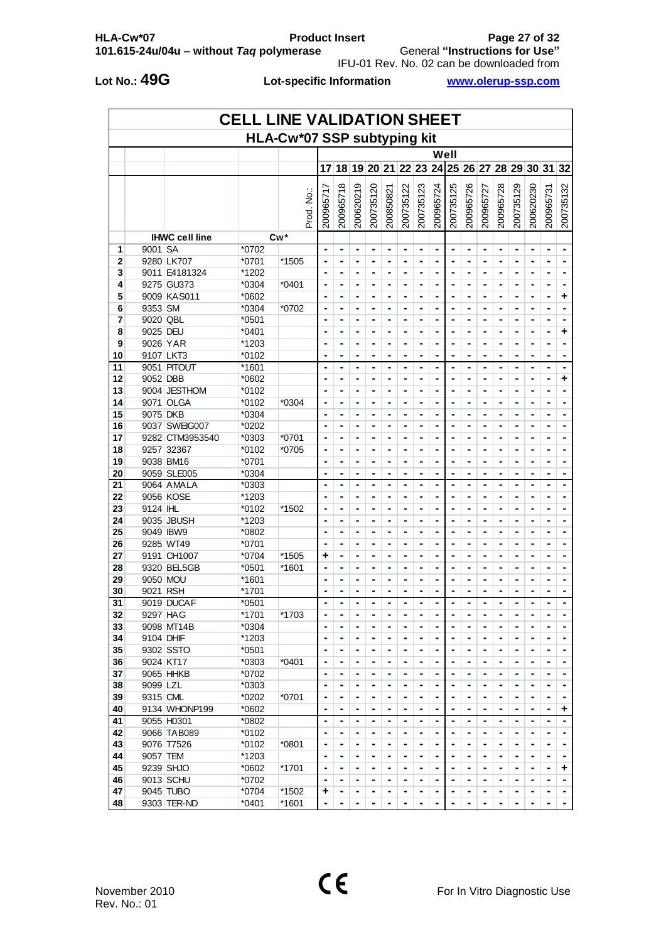|                |                  |                       |                  | <b>CELL LINE VALIDATION SHEET</b> |                |                     |                |                     |                |                |                     |           |                |                |                     |                |                     |                |                     |                              |
|----------------|------------------|-----------------------|------------------|-----------------------------------|----------------|---------------------|----------------|---------------------|----------------|----------------|---------------------|-----------|----------------|----------------|---------------------|----------------|---------------------|----------------|---------------------|------------------------------|
|                |                  |                       |                  | HLA-Cw*07 SSP subtyping kit       |                |                     |                |                     |                |                |                     |           |                |                |                     |                |                     |                |                     |                              |
|                |                  |                       |                  |                                   |                |                     |                |                     |                |                |                     | Well      |                |                |                     |                |                     |                |                     |                              |
|                |                  |                       |                  |                                   | 17             |                     | 18 19 20 21    |                     |                |                | 22 23               |           | 24 25 26 27    |                |                     |                |                     | 28 29 30 31    |                     | 32                           |
|                |                  |                       |                  |                                   |                |                     |                |                     |                |                |                     |           |                |                |                     |                |                     |                |                     |                              |
|                |                  |                       |                  |                                   | 200965717      | 200965718           | 200620219      | 200735120           | 200850821      | 200735122      | 200735123           | 200965724 | 200735125      | 200965726      | 200965727           | 200965728      | 200735129           | 200620230      | 200965731           | 200735132                    |
|                |                  |                       |                  |                                   |                |                     |                |                     |                |                |                     |           |                |                |                     |                |                     |                |                     |                              |
|                |                  |                       |                  | Prod. No.                         |                |                     |                |                     |                |                |                     |           |                |                |                     |                |                     |                |                     |                              |
|                |                  | <b>IHWC cell line</b> |                  | Cw*                               |                |                     |                |                     |                |                |                     |           |                |                |                     |                |                     |                |                     |                              |
| 1              | 9001 SA          |                       | *0702            |                                   | $\blacksquare$ | $\blacksquare$      | $\blacksquare$ | ٠                   | $\blacksquare$ | $\blacksquare$ | ٠                   | ۰         | $\blacksquare$ | ٠              | $\blacksquare$      | ٠              | ۰                   | $\blacksquare$ | $\blacksquare$      | $\qquad \qquad \blacksquare$ |
| $\overline{2}$ |                  | 9280 LK707            | $*0701$          | *1505                             |                | ٠                   | $\blacksquare$ | ٠                   | ٠              | ٠              | ٠                   | ٠         | ٠              | ٠              | ٠                   | ٠              | ٠                   |                | ٠                   | ٠                            |
| 3              |                  | 9011 E4181324         | *1202            |                                   | $\blacksquare$ | $\blacksquare$      | ٠              | ٠                   | ٠              | $\blacksquare$ | ٠                   | ٠         | ٠              | ٠              | $\blacksquare$      | ٠              | ٠                   | ٠              | $\blacksquare$      | $\blacksquare$               |
| 4              |                  | 9275 GU373            | $*0304$          | *0401                             | ٠              | ٠                   | ٠              | ٠                   | ٠              | ٠              | ٠                   | ٠         | ٠              | ٠              | ۰                   | ٠              | ٠                   |                | ٠                   |                              |
| 5              |                  | 9009 KAS011           | *0602            |                                   | $\blacksquare$ | $\blacksquare$      | $\blacksquare$ | $\blacksquare$      | $\blacksquare$ | ٠              | ٠                   | ٠         | ٠              | ٠              | ٠                   | ٠              | ۰                   | ٠              | $\blacksquare$      | ÷                            |
| 6              | 9353 SM          |                       | $*0304$          | *0702                             | ٠              | ٠                   | ٠              | ٠                   | ٠              | ٠              | ٠                   | ٠         | ٠              | ٠              | ٠                   | ٠              | ٠                   | ۰              | ٠                   | ٠                            |
| 7              | 9020 QBL         |                       | $*0501$          |                                   | $\blacksquare$ | ٠                   | ٠              | ٠                   | ٠              | $\blacksquare$ | ٠                   | ٠         | ٠              | ٠              | ٠                   | ٠              | ٠                   | ٠              | ٠                   | $\blacksquare$               |
| 8              | 9025 DEU         |                       | $*0401$          |                                   | ٠              | ٠                   | ٠              | ٠                   | ٠              | ٠              | ٠                   |           | ٠              |                | ٠                   |                | ٠                   |                | ٠                   | ٠                            |
| 9              | 9026 YAR         |                       | *1203            |                                   | ٠              | ٠                   | ٠              | ٠                   | ٠              | $\blacksquare$ | ٠                   | ٠         | ٠              | ٠              | $\blacksquare$      | ٠              | $\blacksquare$      | ٠              | $\blacksquare$      | $\blacksquare$               |
| 10             | 9107 LKT3        |                       | *0102            |                                   |                | ٠                   | ٠              | ٠                   | ٠              | ٠              | ٠                   | ٠         | ٠              |                | ٠                   |                | ٠                   |                | $\blacksquare$      | $\blacksquare$               |
| 11             |                  | 9051 PITOUT           | *1601            |                                   | $\blacksquare$ | $\blacksquare$      | ۰              | ٠                   | ۰              | ٠              | ۰                   | ٠         | ۰              | ۰              |                     | ۰              | $\blacksquare$      | $\blacksquare$ | $\blacksquare$      | $\blacksquare$               |
| 12             | 9052 DBB         |                       | *0602            |                                   |                |                     |                |                     |                |                |                     |           |                |                | ٠                   |                |                     |                |                     | ٠                            |
| 13             |                  | 9004 JESTHOM          | *0102            |                                   |                | ٠                   | ٠              | -                   | ٠              | ٠              | -                   | -         |                |                | ۰                   |                | ٠                   |                | ٠                   |                              |
| 14             |                  | 9071 OLGA             | *0102            | $*0304$                           |                |                     |                |                     |                |                | ۰                   | ٠         |                |                | ٠                   |                | ٠                   |                | ٠                   |                              |
| 15<br>16       | 9075 DKB         | 9037 SWEIG007         | $*0304$<br>*0202 |                                   | $\blacksquare$ | ۰                   |                | -                   | ۰              | ٠              | -                   | ٠         | ٠              | ٠              |                     | ۰              | $\blacksquare$      | ٠              |                     | $\blacksquare$               |
| 17             |                  | 9282 CTM3953540       | *0303            | *0701                             |                | ٠                   | ٠              | -                   | ٠              | ٠              | -<br>-              | ۰<br>-    |                |                | ٠<br>٠              |                | ۰                   |                | ٠<br>۰              |                              |
| 18             |                  | 9257 32367            | *0102            | *0705                             |                |                     |                |                     |                |                | -                   |           |                |                | ٠                   |                | ۰                   |                | ۰                   | ۰                            |
| 19             |                  | 9038 BM16             | *0701            |                                   | $\blacksquare$ | ٠                   | ۰              | ٠                   | ۰              | ۰              | ۰                   | ۰         | ۰              | ٠              |                     | ۰              | $\blacksquare$      | ٠              | $\blacksquare$      | $\blacksquare$               |
| 20             |                  | 9059 SLE005           | $*0304$          |                                   | ٠              | $\blacksquare$      | -              | -                   | ٠              | $\blacksquare$ | -                   | ٠         | -              | ٠              | -                   | ٠              | $\blacksquare$      | ٠              | $\blacksquare$      | $\blacksquare$               |
| 21             |                  | 9064 AMALA            | *0303            |                                   |                | ٠                   | ۰              | ٠                   | $\blacksquare$ | ٠              | ۰                   | ٠         | ۰              | ٠              | ÷                   | ٠              | $\blacksquare$      | ٠              | $\blacksquare$      | $\blacksquare$               |
| 22             |                  | 9056 KOSE             | *1203            |                                   |                | ٠                   | ٠              | ٠                   | ٠              | $\blacksquare$ | ٠                   | ٠         | ٠              | ٠              | ۰                   | ٠              | ۰                   | ٠              | ۰                   | ۰                            |
| 23             | 9124 IHL         |                       | $*0102$          | *1502                             | ٠              | $\blacksquare$      | ۰              | ٠                   | $\blacksquare$ | ٠              | ۰                   | ٠         | ۰              | ٠              | ÷                   | ٠              | $\blacksquare$      | ٠              | $\blacksquare$      | $\blacksquare$               |
| 24             |                  | 9035 JBUSH            | *1203            |                                   | ٠              | ٠                   | ٠              | ۰                   | ٠              | ٠              | -                   | ٠         | ٠              | ٠              | ۰                   | ٠              | ۰                   | ٠              | $\blacksquare$      | $\blacksquare$               |
| 25             | 9049 <b>IBW9</b> |                       | *0802            |                                   |                | ٠                   | ٠              | ٠                   | ٠              | ٠              | ٠                   | ٠         | ٠              | ٠              | ٠                   |                | ٠                   |                | ٠                   | ٠                            |
| 26             |                  | 9285 WT49             | *0701            |                                   |                | ٠                   | ٠              | ٠                   | ٠              | ٠              | ۰                   | ٠         | ٠              | ٠              | ۰                   | ٠              | ۰                   | ٠              | ۰                   | ۰                            |
| 27             |                  | 9191 CH1007           | *0704            | *1505                             | ٠              | $\blacksquare$      | ٠              | ٠                   | ٠              | $\blacksquare$ | ٠                   | ٠         | ٠              | ٠              | ۰                   | ٠              | ٠                   | ٠              | ٠                   | $\blacksquare$               |
| 28             |                  | 9320 BEL5GB           | *0501            | *1601                             | ٠              | $\blacksquare$      | -              | ۰                   | $\blacksquare$ | ٠              | $\blacksquare$      | ٠         | -              | ٠              | $\blacksquare$      | ٠              | $\blacksquare$      | ٠              | $\blacksquare$      | $\blacksquare$               |
| 29             | 9050 MOU         |                       | *1601            |                                   | ۰              | ۰                   | ٠              | ٠                   | ۰              | ٠              | ٠                   | -         | ٠              | ٠              | ٠                   | ٠              | ٠                   |                | ٠                   | ٠                            |
| 30             | 9021 RSH         |                       | *1701            |                                   | ٠              | ۰                   | ٠              | ٠                   | ٠              | ۰              | -                   | -         | ٠              | ٠              | ۰                   | ٠              | $\blacksquare$      | ٠              | $\blacksquare$      | ٠                            |
| 31             |                  | 9019 DUCAF            | *0501            |                                   | $\blacksquare$ | ٠                   | ۰              | ٠                   | ۰              | ٠              | ۰                   | ٠         | ۰              | ٠              | ۰                   | ۰              | $\blacksquare$      | ۰              | $\blacksquare$      | ۰                            |
| 32             | 9297 HAG         |                       | *1701            | *1703                             | ٠              | ٠                   | ٠              | ٠                   | ٠              | ٠              | ٠                   | ٠         | ٠              | ٠              | ٠                   |                | ٠                   | ٠              | ٠                   |                              |
| 33             |                  | 9098 MT14B            | *0304            |                                   | ٠              | ٠                   | ٠              | ٠                   | ٠              | ٠              |                     | -         |                |                | ٠                   |                | ٠                   |                | ۰                   |                              |
| 34             | 9104 DHIF        | 9302 SSTO             | *1203            |                                   | ٠              | ٠                   | ٠              | ۰                   | ٠              | ٠              | ۰                   | ٠         | ۰              | ۰              | -                   | ۰              | ۰                   | ٠              | ۰                   | ۰                            |
| 35<br>36       |                  | 9024 KT17             | $*0501$<br>*0303 | *0401                             | ٠<br>۰         | ٠<br>$\blacksquare$ | ٠<br>٠         | $\blacksquare$<br>٠ | ٠<br>٠         | ٠<br>٠         | ٠<br>$\blacksquare$ | ٠<br>٠    | ٠<br>-         | ٠<br>٠         | -<br>$\blacksquare$ | ٠<br>٠         | ۰<br>$\blacksquare$ | ٠<br>٠         | ۰<br>$\blacksquare$ | $\blacksquare$<br>٠          |
| 37             |                  | 9065 HHKB             | *0702            |                                   | ٠              | ٠                   | ٠              | ٠                   | ٠              | ٠              | ٠                   | ٠         | ۰              | ٠              | ٠                   | ٠              | ٠                   |                | ٠                   | ۰                            |
| 38             | 9099 LZL         |                       | *0303            |                                   | $\blacksquare$ | $\blacksquare$      | ٠              | ٠                   | ٠              | ٠              | ٠                   | ٠         | ٠              | ٠              | ۰                   | ۰              | ۰                   | ٠              | ۰                   | ۰                            |
| 39             | 9315 CML         |                       | *0202            | *0701                             | ٠              | $\blacksquare$      | ٠              | ٠                   | $\blacksquare$ | $\blacksquare$ | ٠                   | ٠         | -              | ٠              | ۰                   | ٠              | ۰                   | ٠              | $\blacksquare$      | $\blacksquare$               |
| 40             |                  | 9134 WHONP199         | *0602            |                                   | ٠              | $\blacksquare$      | $\blacksquare$ | $\blacksquare$      | $\blacksquare$ | $\blacksquare$ | $\blacksquare$      | ٠         | $\blacksquare$ | ٠              | $\blacksquare$      | $\blacksquare$ | $\blacksquare$      | $\blacksquare$ | $\blacksquare$      | ٠                            |
| 41             |                  | 9055 H0301            | *0802            |                                   | $\blacksquare$ | $\blacksquare$      | ٠              | ٠                   | $\blacksquare$ | $\blacksquare$ | $\blacksquare$      | ٠         | ٠              | ٠              | $\blacksquare$      | ٠              | $\blacksquare$      | ٠              | $\blacksquare$      | $\blacksquare$               |
| 42             |                  | 9066 TAB089           | $*0102$          |                                   | $\blacksquare$ | $\blacksquare$      | ٠              | $\blacksquare$      | ٠              | $\blacksquare$ | ٠                   | ٠         | ٠              | ٠              | $\blacksquare$      | ٠              | ۰                   | ٠              | $\blacksquare$      | ٠                            |
| 43             |                  | 9076 T7526            | *0102            | *0801                             | ٠              | $\blacksquare$      | ٠              | ٠                   | ٠              | ٠              | ٠                   | ٠         | ٠              | ٠              | ۰                   | ٠              | $\blacksquare$      |                | $\blacksquare$      | $\blacksquare$               |
| 44             | 9057 TEM         |                       | *1203            |                                   | ۰              | $\blacksquare$      | $\blacksquare$ | $\blacksquare$      | $\blacksquare$ | $\blacksquare$ | $\blacksquare$      | ٠         | $\blacksquare$ | $\blacksquare$ | $\blacksquare$      | $\blacksquare$ | $\blacksquare$      | $\blacksquare$ | $\blacksquare$      | ٠                            |
| 45             |                  | 9239 SHJO             | *0602            | *1701                             | $\blacksquare$ | ٠                   | ٠              | ٠                   | ٠              | ٠              | ٠                   | ٠         | ٠              |                | ٠                   | ٠              | ٠                   |                | ٠                   | ٠                            |
| 46             |                  | 9013 SCHU             | *0702            |                                   | ٠              | $\blacksquare$      | ٠              | ٠                   | ٠              | $\blacksquare$ | ٠                   | ٠         | ٠              | ٠              | $\blacksquare$      | ۰              | ۰                   | ٠              | $\blacksquare$      | ٠                            |
| 47             |                  | 9045 TUBO             | *0704            | *1502                             | ٠              | -                   | -              |                     |                |                | -                   |           |                |                | ٠                   |                | ۰                   |                | ۰                   | ۰                            |
| 48             |                  | 9303 TER-ND           | $*0401$          | *1601                             | ۰              | ۰                   | ۰              | -                   | ۰              | -              | ۰                   | -         | ۰              | -              |                     | ۰              | $\blacksquare$      | $\blacksquare$ | $\blacksquare$      | ۰                            |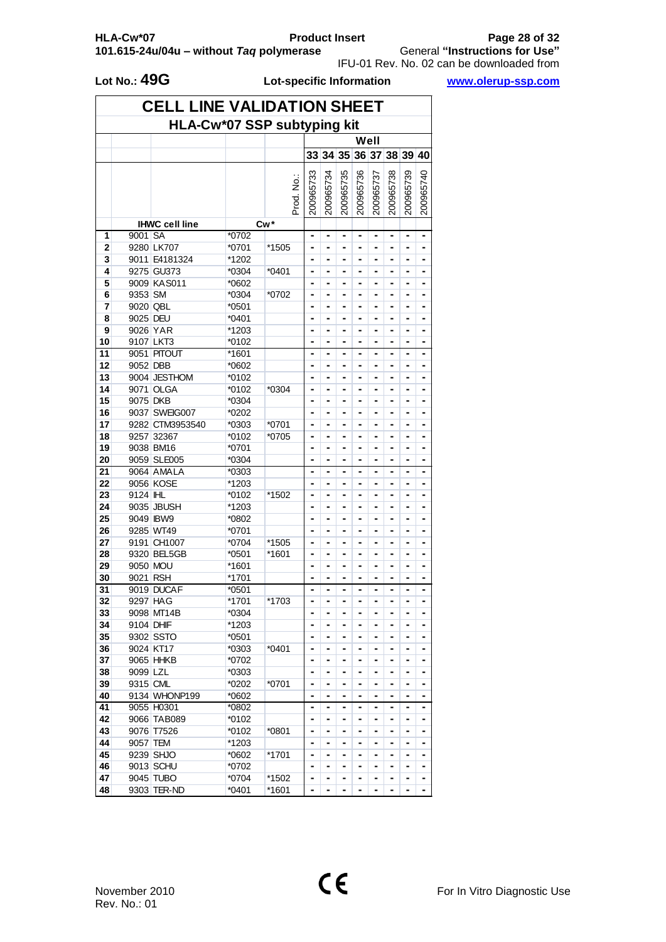|             | <b>CELL LINE VALIDATION SHEET</b> |                             |         |            |           |           |           |           |           |           |           |           |
|-------------|-----------------------------------|-----------------------------|---------|------------|-----------|-----------|-----------|-----------|-----------|-----------|-----------|-----------|
|             |                                   | HLA-Cw*07 SSP subtyping kit |         |            |           |           |           |           |           |           |           |           |
|             |                                   |                             |         |            |           |           |           |           | Well      |           |           |           |
|             |                                   |                             |         |            | 33        |           | 34 35     |           | 36 37     | 38        | 39        | 40        |
|             |                                   |                             |         | Prod. No.: | 200965733 | 200965734 | 200965735 | 200965736 | 200965737 | 200965738 | 200965739 | 200965740 |
|             |                                   | <b>IHWC cell line</b>       |         | Cw*        |           |           |           |           |           |           |           |           |
| 1           | 9001                              | <b>SA</b>                   | *0702   |            |           | ٠         |           | ٠         |           |           |           |           |
| $\mathbf 2$ |                                   | 9280 LK707                  | *0701   | *1505      |           |           |           |           |           |           |           |           |
| 3           |                                   | 9011 E4181324               | *1202   |            |           |           |           |           |           |           |           |           |
| 4           |                                   | 9275 GU373                  | *0304   | *0401      |           |           |           |           |           |           |           | -         |
| 5           |                                   | 9009 KAS011                 | *0602   |            |           |           |           |           |           |           |           |           |
| 6           | 9353 SM                           |                             | *0304   | *0702      |           |           |           |           |           |           |           |           |
| 7           | 9020 QBL                          |                             | $*0501$ |            |           |           |           |           |           |           |           |           |
| 8           | 9025 DEU                          |                             | $*0401$ |            |           |           |           | -         |           |           |           | -         |
| 9           |                                   | 9026 YAR                    | $*1203$ |            |           |           |           |           |           |           |           |           |
| 10          |                                   | 9107 LKT3                   | *0102   |            |           |           |           |           |           |           |           |           |
| 11          |                                   | 9051 PITOUT                 | $*1601$ |            |           |           |           |           |           |           |           |           |
| 12          | 9052 DBB                          |                             | *0602   |            |           |           |           | -         |           |           |           | ۰         |
| 13          |                                   | 9004 JESTHOM                | $*0102$ |            |           |           |           |           |           |           |           | -         |
| 14          |                                   | 9071 OLGA                   | *0102   | $*0304$    |           |           |           |           |           |           |           | -         |
| 15          | 9075 DKB                          |                             | *0304   |            |           |           |           |           |           |           |           | -         |
| 16          |                                   | 9037 SWEIG007               | *0202   |            |           |           |           |           |           |           |           | ۰         |
| 17          |                                   | 9282 CTM3953540             | *0303   | *0701      | ٠         |           |           |           |           |           |           | -         |
| 18          |                                   | 9257 32367                  | *0102   | *0705      |           |           |           |           |           |           |           | -         |
| 19          |                                   | 9038 BM16                   | *0701   |            |           |           |           |           |           |           |           | -         |
| 20          |                                   | 9059 SLE005                 | *0304   |            |           |           |           |           |           |           |           | -         |
| 21          |                                   | 9064 AMALA                  | *0303   |            |           |           |           |           |           |           |           | -         |
| 22          |                                   | 9056 KOSE                   | *1203   |            |           |           |           |           |           |           |           | -         |
| 23          | 9124 IHL                          |                             | *0102   | *1502      |           |           |           |           |           |           |           |           |
| 24          |                                   | 9035 JBUSH                  | *1203   |            |           |           |           |           |           |           |           |           |
| 25          |                                   | 9049 IBW9                   | *0802   |            |           |           |           |           |           |           |           | -         |
| 26          |                                   | 9285 WT49                   | *0701   |            |           |           |           |           |           |           |           | -         |
| 27          |                                   | 9191 CH1007                 | $*0704$ | *1505      |           |           |           |           |           |           |           | -         |
| 28          |                                   | 9320 BEL5GB                 | $*0501$ | *1601      |           |           |           | -         |           |           |           |           |
| 29          | 9050 MOU                          |                             | *1601   |            |           |           |           | ٠         |           |           |           | ٠         |
| 30          | 9021 RSH                          |                             | *1701   |            |           |           |           |           |           |           |           |           |
| 31          |                                   | 9019 DUCAF                  | $*0501$ |            |           |           |           |           |           |           |           |           |
| 32          | 9297 HAG                          |                             | *1701   | *1703      |           |           |           |           |           |           |           |           |
| 33          |                                   | 9098 MT14B                  | *0304   |            | ٠         |           |           | ٠         |           |           |           | ٠         |
| 34          | 9104 DHIF                         |                             | *1203   |            |           |           |           |           |           |           |           |           |
| 35          |                                   | 9302 SSTO                   | $*0501$ |            |           |           |           |           |           |           |           |           |
| 36          |                                   | 9024 KT17                   | *0303   | $*0401$    |           |           |           |           |           |           |           |           |
| 37          |                                   | 9065 HHKB                   | *0702   |            | -         | ٠         | ٠         | -         | ۰         | ٠         | ٠         | ٠         |
| 38          | 9099 LZL                          |                             | *0303   |            |           |           |           |           |           |           |           |           |
| 39          | 9315 CML                          |                             | *0202   | *0701      |           |           |           |           |           |           |           |           |
| 40          |                                   | 9134 WHONP199               | *0602   |            |           |           |           |           |           |           |           |           |
| 41          |                                   | 9055 H0301                  | *0802   |            |           | -         | -         | ٠         |           | ٠         |           | ٠         |
| 42          |                                   | 9066 TAB089                 | *0102   |            |           |           |           |           |           |           |           |           |
| 43          |                                   | 9076 T7526                  | *0102   | $*0801$    |           |           |           |           |           |           |           |           |
| 44          | 9057 TEM                          |                             | *1203   |            |           |           |           |           |           |           |           |           |
| 45          |                                   | 9239 SHJO                   | *0602   | *1701      | -         |           |           | -         |           |           |           |           |
| 46          |                                   | 9013 SCHU                   | *0702   |            |           |           |           |           |           |           |           |           |
| 47          |                                   | 9045 TUBO                   | *0704   | *1502      | ٠         |           |           |           |           |           |           | ٠         |
| 48          |                                   | 9303 TER-ND                 | *0401   | $*1601$    |           |           |           |           |           |           |           | ۰         |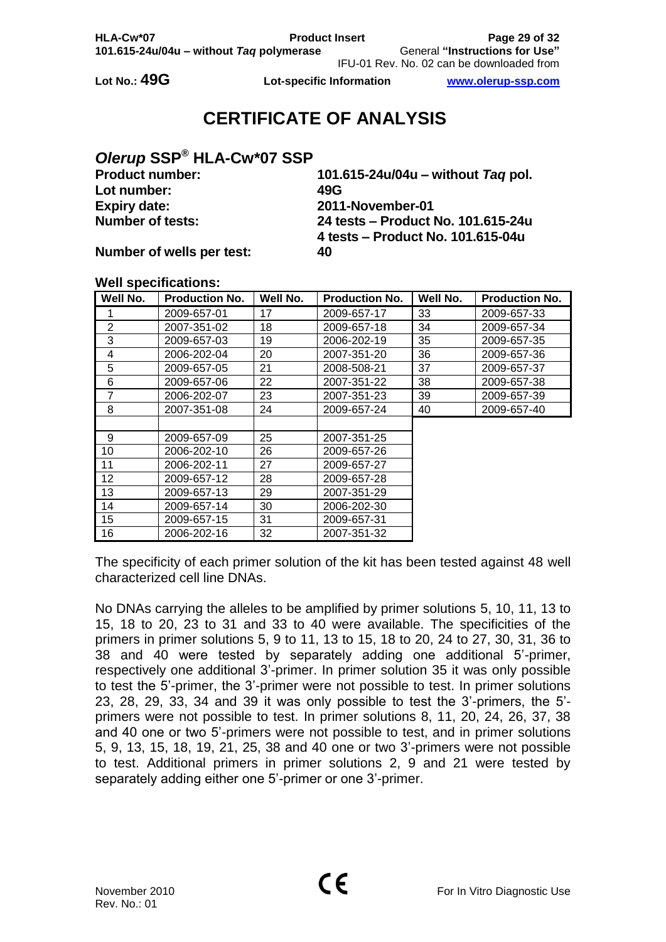**Lot No.: 49G Lot-specific Information www.olerup-ssp.com**

# **CERTIFICATE OF ANALYSIS**

## *Olerup* **SSP® HLA-Cw\*07 SSP**

| <b>Product number:</b>    | 101.615-24 $u$ /04 $u$ – without Tag pol. |
|---------------------------|-------------------------------------------|
| Lot number:               | 49G                                       |
| <b>Expiry date:</b>       | 2011-November-01                          |
| <b>Number of tests:</b>   | 24 tests – Product No. 101.615-24u        |
|                           | 4 tests – Product No. 101.615-04u         |
| Number of wells ner test: | 40                                        |

**Number of wells per test: 40**

| Well No.       | <b>Production No.</b> | Well No. | <b>Production No.</b> | Well No. | <b>Production No.</b> |
|----------------|-----------------------|----------|-----------------------|----------|-----------------------|
|                | 2009-657-01           | 17       | 2009-657-17           | 33       | 2009-657-33           |
| $\overline{2}$ | 2007-351-02           | 18       | 2009-657-18           | 34       | 2009-657-34           |
| 3              | 2009-657-03           | 19       | 2006-202-19           | 35       | 2009-657-35           |
| 4              | 2006-202-04           | 20       | 2007-351-20           | 36       | 2009-657-36           |
| 5              | 2009-657-05           | 21       | 2008-508-21           | 37       | 2009-657-37           |
| 6              | 2009-657-06           | 22       | 2007-351-22           | 38       | 2009-657-38           |
| $\overline{7}$ | 2006-202-07           | 23       | 2007-351-23           | 39       | 2009-657-39           |
| 8              | 2007-351-08           | 24       | 2009-657-24           | 40       | 2009-657-40           |
|                |                       |          |                       |          |                       |
| 9              | 2009-657-09           | 25       | 2007-351-25           |          |                       |
| 10             | 2006-202-10           | 26       | 2009-657-26           |          |                       |
| 11             | 2006-202-11           | 27       | 2009-657-27           |          |                       |
| 12             | 2009-657-12           | 28       | 2009-657-28           |          |                       |
| 13             | 2009-657-13           | 29       | 2007-351-29           |          |                       |
| 14             | 2009-657-14           | 30       | 2006-202-30           |          |                       |
| 15             | 2009-657-15           | 31       | 2009-657-31           |          |                       |
| 16             | 2006-202-16           | 32       | 2007-351-32           |          |                       |

#### **Well specifications:**

The specificity of each primer solution of the kit has been tested against 48 well characterized cell line DNAs.

No DNAs carrying the alleles to be amplified by primer solutions 5, 10, 11, 13 to 15, 18 to 20, 23 to 31 and 33 to 40 were available. The specificities of the primers in primer solutions 5, 9 to 11, 13 to 15, 18 to 20, 24 to 27, 30, 31, 36 to 38 and 40 were tested by separately adding one additional 5'-primer, respectively one additional 3'-primer. In primer solution 35 it was only possible to test the 5'-primer, the 3'-primer were not possible to test. In primer solutions 23, 28, 29, 33, 34 and 39 it was only possible to test the 3'-primers, the 5' primers were not possible to test. In primer solutions 8, 11, 20, 24, 26, 37, 38 and 40 one or two 5'-primers were not possible to test, and in primer solutions 5, 9, 13, 15, 18, 19, 21, 25, 38 and 40 one or two 3'-primers were not possible to test. Additional primers in primer solutions 2, 9 and 21 were tested by separately adding either one 5'-primer or one 3'-primer.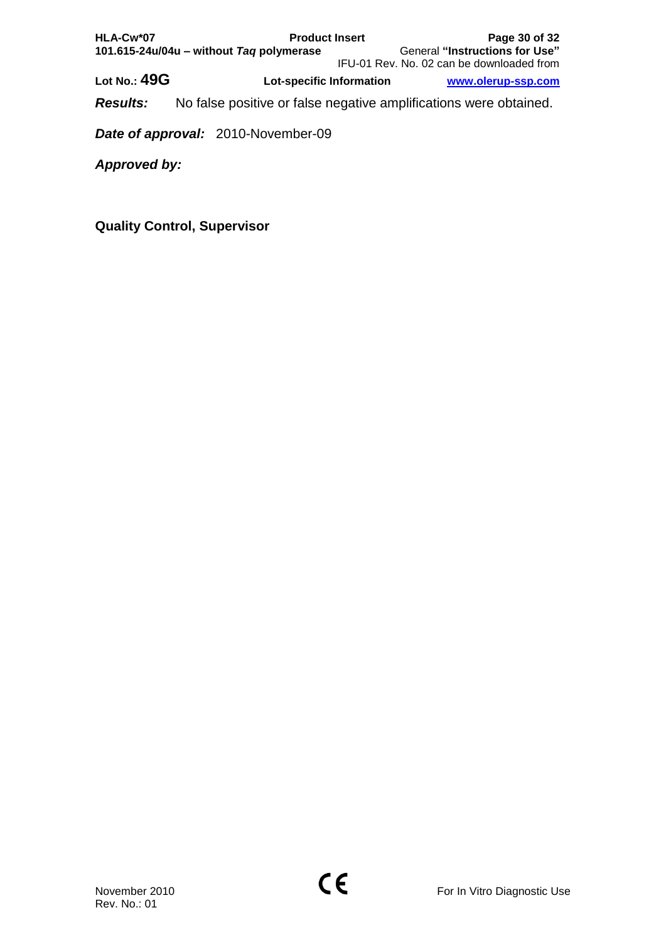*Results:* No false positive or false negative amplifications were obtained.

*Date of approval:* 2010-November-09

*Approved by:*

**Quality Control, Supervisor**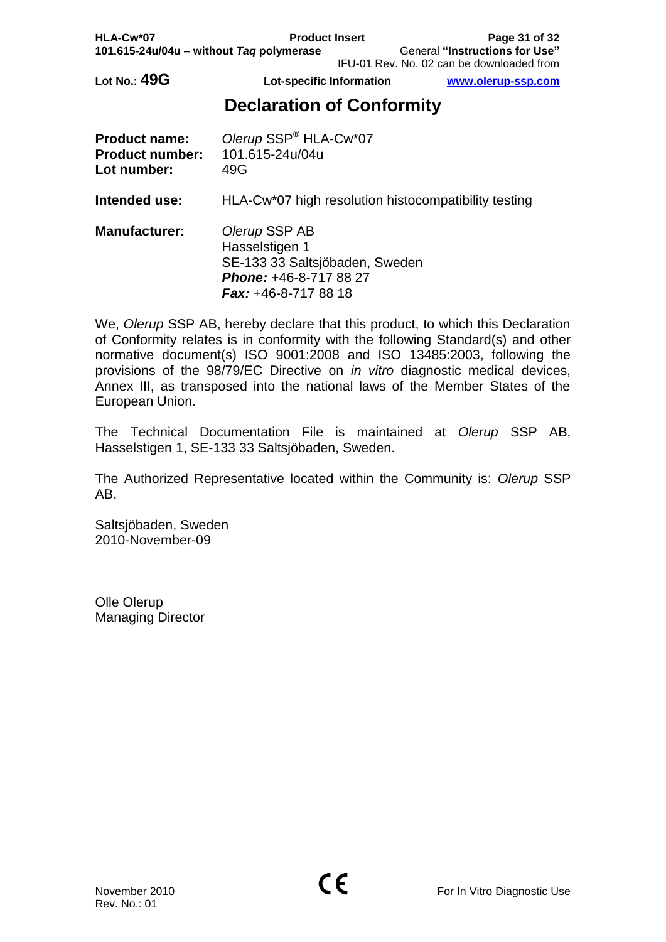| <b>Product name:</b><br><b>Product number:</b><br>Lot number: | Olerup SSP <sup>®</sup> HLA-Cw*07<br>101.615-24u/04u<br>49G                                                                |
|---------------------------------------------------------------|----------------------------------------------------------------------------------------------------------------------------|
| Intended use:                                                 | HLA-Cw*07 high resolution histocompatibility testing                                                                       |
| <b>Manufacturer:</b>                                          | Olerup SSP AB<br>Hasselstigen 1<br>SE-133 33 Saltsjöbaden, Sweden<br>Phone: +46-8-717 88 27<br><b>Fax:</b> $+46-8-7178818$ |

We, *Olerup* SSP AB, hereby declare that this product, to which this Declaration of Conformity relates is in conformity with the following Standard(s) and other normative document(s) ISO 9001:2008 and ISO 13485:2003, following the provisions of the 98/79/EC Directive on *in vitro* diagnostic medical devices, Annex III, as transposed into the national laws of the Member States of the European Union.

The Technical Documentation File is maintained at *Olerup* SSP AB, Hasselstigen 1, SE-133 33 Saltsjöbaden, Sweden.

The Authorized Representative located within the Community is: *Olerup* SSP AB.

Saltsjöbaden, Sweden 2010-November-09

Olle Olerup Managing Director